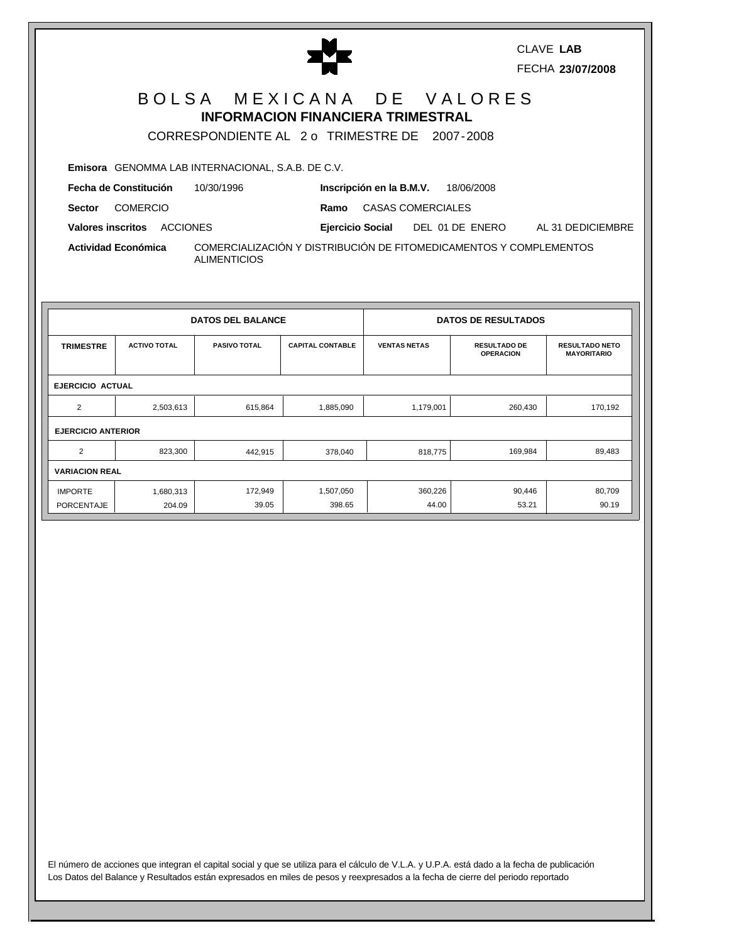|                                  |                                                          | Ŧ                                                                                                                      | <b>CLAVE LAB</b><br>FECHA 23/07/2008 |
|----------------------------------|----------------------------------------------------------|------------------------------------------------------------------------------------------------------------------------|--------------------------------------|
|                                  |                                                          | BOLSA MEXICANA DE VALORES<br><b>INFORMACION FINANCIERA TRIMESTRAL</b><br>CORRESPONDIENTE AL 2 o TRIMESTRE DE 2007-2008 |                                      |
|                                  | <b>Emisora</b> GENOMMA LAB INTERNACIONAL, S.A.B. DE C.V. |                                                                                                                        |                                      |
| Fecha de Constitución            | 10/30/1996                                               | Inscripción en la B.M.V. 18/06/2008                                                                                    |                                      |
| <b>COMERCIO</b><br><b>Sector</b> |                                                          | Ramo CASAS COMERCIALES                                                                                                 |                                      |
| Valores inscritos ACCIONES       |                                                          | Ejercicio Social DEL 01 DE ENERO                                                                                       | AL 31 DEDICIEMBRE                    |
| Actividad Económica              | <b>ALIMENTICIOS</b>                                      | COMERCIALIZACIÓN Y DISTRIBUCIÓN DE FITOMEDICAMENTOS Y COMPLEMENTOS                                                     |                                      |

| <b>DATOS DEL BALANCE</b>  |                         |                     |                         | <b>DATOS DE RESULTADOS</b> |                                         |                                             |  |  |  |
|---------------------------|-------------------------|---------------------|-------------------------|----------------------------|-----------------------------------------|---------------------------------------------|--|--|--|
| <b>TRIMESTRE</b>          | <b>ACTIVO TOTAL</b>     | <b>PASIVO TOTAL</b> | <b>CAPITAL CONTABLE</b> | <b>VENTAS NETAS</b>        | <b>RESULTADO DE</b><br><b>OPERACION</b> | <b>RESULTADO NETO</b><br><b>MAYORITARIO</b> |  |  |  |
|                           | <b>EJERCICIO ACTUAL</b> |                     |                         |                            |                                         |                                             |  |  |  |
| 2                         | 2,503,613               | 615,864             | 1,885,090               | 1,179,001                  | 260,430                                 | 170,192                                     |  |  |  |
| <b>EJERCICIO ANTERIOR</b> |                         |                     |                         |                            |                                         |                                             |  |  |  |
| $\overline{2}$            | 823,300                 | 442,915             | 378,040                 | 818,775                    | 169,984                                 | 89,483                                      |  |  |  |
| <b>VARIACION REAL</b>     |                         |                     |                         |                            |                                         |                                             |  |  |  |
| <b>IMPORTE</b>            | 1,680,313               | 172,949             | 1,507,050               | 360,226                    | 90,446                                  | 80,709                                      |  |  |  |
| PORCENTAJE                | 204.09                  | 39.05               | 398.65                  | 44.00                      | 53.21                                   | 90.19                                       |  |  |  |

El número de acciones que integran el capital social y que se utiliza para el cálculo de V.L.A. y U.P.A. está dado a la fecha de publicación Los Datos del Balance y Resultados están expresados en miles de pesos y reexpresados a la fecha de cierre del periodo reportado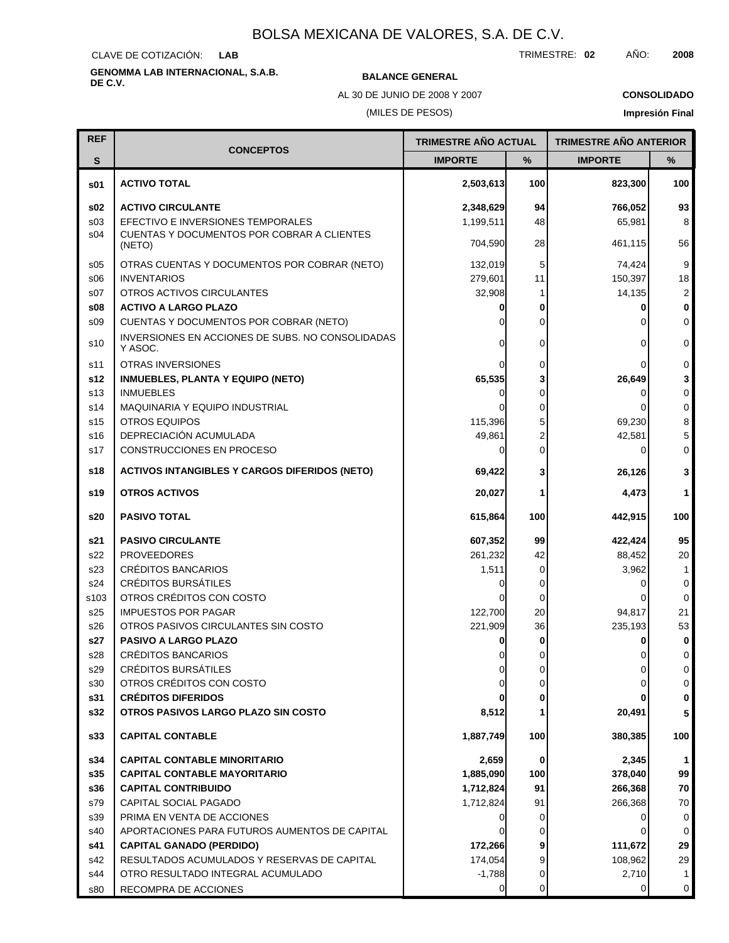CLAVE DE COTIZACIÓN: **LAB**

# **GENOMMA LAB INTERNACIONAL, S.A.B. DE C.V. BALANCE GENERAL**

AL 30 DE JUNIO DE 2008 Y 2007

## (MILES DE PESOS)

### **CONSOLIDADO**

**Impresión Final**

| <b>REF</b>      |                                                             | TRIMESTRE AÑO ACTUAL |          | <b>TRIMESTRE AÑO ANTERIOR</b> |                |
|-----------------|-------------------------------------------------------------|----------------------|----------|-------------------------------|----------------|
| $\mathbf{s}$    | <b>CONCEPTOS</b>                                            | <b>IMPORTE</b>       | %        | <b>IMPORTE</b>                | ℅              |
|                 |                                                             |                      |          |                               |                |
| s01             | <b>ACTIVO TOTAL</b>                                         | 2,503,613            | 100      | 823,300                       | 100            |
| \$02            | <b>ACTIVO CIRCULANTE</b>                                    | 2,348,629            | 94       | 766,052                       | 93             |
| s03             | EFECTIVO E INVERSIONES TEMPORALES                           | 1,199,511            | 48       | 65,981                        | 8              |
| s04             | CUENTAS Y DOCUMENTOS POR COBRAR A CLIENTES                  | 704,590              | 28       | 461,115                       | 56             |
|                 | (NETO)                                                      |                      |          |                               |                |
| \$05            | OTRAS CUENTAS Y DOCUMENTOS POR COBRAR (NETO)                | 132,019              | 5        | 74,424                        | 9              |
| \$06            | <b>INVENTARIOS</b>                                          | 279,601              | 11       | 150,397                       | 18             |
| s07             | OTROS ACTIVOS CIRCULANTES                                   | 32,908               | 1        | 14,135                        | $\overline{c}$ |
| \$08            | <b>ACTIVO A LARGO PLAZO</b>                                 |                      | 0        | 0                             | 0              |
| \$09            | CUENTAS Y DOCUMENTOS POR COBRAR (NETO)                      |                      | 0        |                               | 0              |
| s10             | INVERSIONES EN ACCIONES DE SUBS. NO CONSOLIDADAS<br>Y ASOC. |                      | 0        | $\Omega$                      | 0              |
| s11             | <b>OTRAS INVERSIONES</b>                                    |                      | 0        |                               | $\mathbf 0$    |
| s12             | <b>INMUEBLES, PLANTA Y EQUIPO (NETO)</b>                    | 65,535               | 3        | 26,649                        | 3              |
| s <sub>13</sub> | <b>INMUEBLES</b>                                            |                      | 0        | 0                             | $\mathsf 0$    |
| s14             | <b>MAQUINARIA Y EQUIPO INDUSTRIAL</b>                       |                      | 0        |                               | $\mathbf 0$    |
| s <sub>15</sub> | <b>OTROS EQUIPOS</b>                                        | 115,396              | 5        | 69,230                        | 8              |
| s16             | DEPRECIACIÓN ACUMULADA                                      | 49,861               | 2        | 42,581                        | 5              |
| s17             | CONSTRUCCIONES EN PROCESO                                   |                      | 0        | $\Omega$                      | 0              |
| s18             | <b>ACTIVOS INTANGIBLES Y CARGOS DIFERIDOS (NETO)</b>        | 69,422               | 3        | 26,126                        | 3              |
| s19             | <b>OTROS ACTIVOS</b>                                        | 20,027               | 1        | 4,473                         | 1              |
| s20             | <b>PASIVO TOTAL</b>                                         | 615,864              | 100      | 442,915                       | 100            |
| s21             | <b>PASIVO CIRCULANTE</b>                                    | 607,352              | 99       | 422,424                       | 95             |
| s22             | <b>PROVEEDORES</b>                                          | 261,232              | 42       | 88,452                        | 20             |
| s23             | <b>CRÉDITOS BANCARIOS</b>                                   | 1,511                | 0        | 3,962                         | 1              |
| s24             | <b>CRÉDITOS BURSÁTILES</b>                                  |                      | 0        | 0                             | 0              |
| s103            | OTROS CRÉDITOS CON COSTO                                    |                      | 0        |                               | $\mathbf 0$    |
| s25             | <b>IMPUESTOS POR PAGAR</b>                                  | 122,700              | 20       | 94,817                        | 21             |
| s26             | OTROS PASIVOS CIRCULANTES SIN COSTO                         | 221,909              | 36       | 235,193                       | 53             |
| s27             | PASIVO A LARGO PLAZO                                        |                      | 0        | 0                             | 0              |
| s28             | <b>CRÉDITOS BANCARIOS</b>                                   |                      | $\Omega$ |                               | 0              |
| s29             | CRÉDITOS BURSÁTILES                                         |                      | 0        | 0                             | 0              |
| s30             | OTROS CRÉDITOS CON COSTO                                    |                      | 0        |                               | 0              |
| s31             | <b>CRÉDITOS DIFERIDOS</b>                                   |                      | 0        |                               | $\pmb{0}$      |
| s32             | OTROS PASIVOS LARGO PLAZO SIN COSTO                         | 8,512                |          | 20,491                        | 5              |
| s33             | <b>CAPITAL CONTABLE</b>                                     | 1,887,749            | 100      | 380,385                       | 100            |
| s34             | <b>CAPITAL CONTABLE MINORITARIO</b>                         | 2,659                | 0        | 2,345                         | 1              |
| s35             | <b>CAPITAL CONTABLE MAYORITARIO</b>                         | 1,885,090            | 100      | 378,040                       | 99             |
| s36             | <b>CAPITAL CONTRIBUIDO</b>                                  | 1,712,824            | 91       | 266,368                       | 70             |
| s79             | CAPITAL SOCIAL PAGADO                                       | 1,712,824            | 91       | 266,368                       | 70             |
| s39             | PRIMA EN VENTA DE ACCIONES                                  |                      | 0        | 0                             | 0              |
| s40             | APORTACIONES PARA FUTUROS AUMENTOS DE CAPITAL               |                      | 0        |                               | 0              |
| s41             | <b>CAPITAL GANADO (PERDIDO)</b>                             | 172,266              | 9        | 111,672                       | 29             |
| s42             | RESULTADOS ACUMULADOS Y RESERVAS DE CAPITAL                 | 174,054              | 9        | 108,962                       | 29             |
| s44             | OTRO RESULTADO INTEGRAL ACUMULADO                           | $-1,788$             | 0        | 2,710                         | $\mathbf{1}$   |
| s80             | RECOMPRA DE ACCIONES                                        | 0                    | 0        | 0                             | $\mathbf 0$    |

TRIMESTRE: **02** AÑO: **2008**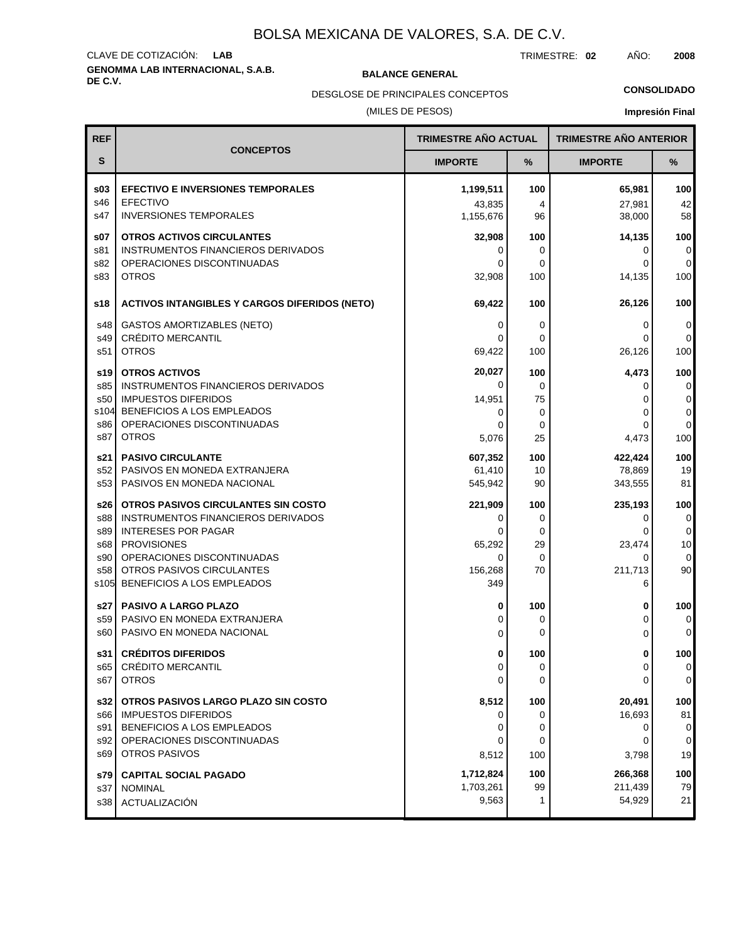# **GENOMMA LAB INTERNACIONAL, S.A.B. DE C.V. BALANCE GENERAL** CLAVE DE COTIZACIÓN: **LAB**

TRIMESTRE: **02** AÑO: **2008**

DESGLOSE DE PRINCIPALES CONCEPTOS

### (MILES DE PESOS)

## **CONSOLIDADO**

| <b>REF</b>                                     |                                                                                                                                                                                                                        | <b>TRIMESTRE AÑO ACTUAL</b>                        |                                  | <b>TRIMESTRE AÑO ANTERIOR</b>                    |                                                     |
|------------------------------------------------|------------------------------------------------------------------------------------------------------------------------------------------------------------------------------------------------------------------------|----------------------------------------------------|----------------------------------|--------------------------------------------------|-----------------------------------------------------|
| S                                              | <b>CONCEPTOS</b>                                                                                                                                                                                                       | <b>IMPORTE</b>                                     | %                                | <b>IMPORTE</b>                                   | ℅                                                   |
| \$03                                           | <b>EFECTIVO E INVERSIONES TEMPORALES</b>                                                                                                                                                                               | 1,199,511                                          | 100                              | 65,981                                           | 100                                                 |
| s46                                            | <b>EFECTIVO</b>                                                                                                                                                                                                        | 43,835                                             | 4                                | 27,981                                           | 42                                                  |
| s47                                            | <b>INVERSIONES TEMPORALES</b>                                                                                                                                                                                          | 1,155,676                                          | 96                               | 38,000                                           | 58                                                  |
| \$07                                           | <b>OTROS ACTIVOS CIRCULANTES</b>                                                                                                                                                                                       | 32,908                                             | 100                              | 14,135                                           | 100                                                 |
| s81                                            | INSTRUMENTOS FINANCIEROS DERIVADOS                                                                                                                                                                                     | 0                                                  | 0                                | 0                                                | 0                                                   |
| s82                                            | OPERACIONES DISCONTINUADAS                                                                                                                                                                                             | 0                                                  | 0                                | 0                                                | $\overline{0}$                                      |
| s83                                            | <b>OTROS</b>                                                                                                                                                                                                           | 32,908                                             | 100                              | 14,135                                           | 100                                                 |
| s18                                            | <b>ACTIVOS INTANGIBLES Y CARGOS DIFERIDOS (NETO)</b>                                                                                                                                                                   | 69,422                                             | 100                              | 26,126                                           | 100                                                 |
| s48                                            | <b>GASTOS AMORTIZABLES (NETO)</b>                                                                                                                                                                                      | 0                                                  | 0                                | 0                                                | 0                                                   |
| s49                                            | <b>CRÉDITO MERCANTIL</b>                                                                                                                                                                                               | 0                                                  | 0                                | 0                                                | 0                                                   |
| s51                                            | <b>OTROS</b>                                                                                                                                                                                                           | 69,422                                             | 100                              | 26,126                                           | 100                                                 |
| s19                                            | <b>OTROS ACTIVOS</b>                                                                                                                                                                                                   | 20,027                                             | 100                              | 4,473                                            | 100                                                 |
| s85                                            | INSTRUMENTOS FINANCIEROS DERIVADOS                                                                                                                                                                                     | 0                                                  | 0                                | 0                                                | 0                                                   |
| s50                                            | <b>IMPUESTOS DIFERIDOS</b>                                                                                                                                                                                             | 14,951                                             | 75                               | 0                                                | $\overline{0}$                                      |
| s104                                           | BENEFICIOS A LOS EMPLEADOS                                                                                                                                                                                             | 0                                                  | 0                                | 0                                                | 0                                                   |
| s86                                            | OPERACIONES DISCONTINUADAS                                                                                                                                                                                             | $\Omega$                                           | 0                                | 0                                                | 0                                                   |
| s87                                            | <b>OTROS</b>                                                                                                                                                                                                           | 5,076                                              | 25                               | 4,473                                            | 100                                                 |
| s21                                            | <b>PASIVO CIRCULANTE</b>                                                                                                                                                                                               | 607,352                                            | 100                              | 422,424                                          | 100                                                 |
| s52                                            | PASIVOS EN MONEDA EXTRANJERA                                                                                                                                                                                           | 61,410                                             | 10                               | 78,869                                           | 19                                                  |
| s53                                            | PASIVOS EN MONEDA NACIONAL                                                                                                                                                                                             | 545,942                                            | 90                               | 343,555                                          | 81                                                  |
| s26<br>s88<br>s89<br>s68<br>s90<br>s58<br>s105 | OTROS PASIVOS CIRCULANTES SIN COSTO<br>INSTRUMENTOS FINANCIEROS DERIVADOS<br><b>INTERESES POR PAGAR</b><br><b>PROVISIONES</b><br>OPERACIONES DISCONTINUADAS<br>OTROS PASIVOS CIRCULANTES<br>BENEFICIOS A LOS EMPLEADOS | 221,909<br>0<br>0<br>65,292<br>0<br>156,268<br>349 | 100<br>0<br>0<br>29<br>0<br>70   | 235,193<br>0<br>0<br>23,474<br>0<br>211,713<br>6 | 100<br>$\pmb{0}$<br>0<br>10<br>$\overline{0}$<br>90 |
| s27                                            | <b>PASIVO A LARGO PLAZO</b>                                                                                                                                                                                            | 0                                                  | 100                              | 0                                                | 100                                                 |
| s59                                            | PASIVO EN MONEDA EXTRANJERA                                                                                                                                                                                            | 0                                                  | 0                                | 0                                                | 0                                                   |
| s60                                            | PASIVO EN MONEDA NACIONAL                                                                                                                                                                                              | 0                                                  | 0                                | 0                                                | 0                                                   |
| s31                                            | <b>CRÉDITOS DIFERIDOS</b>                                                                                                                                                                                              | $\Omega$                                           | 100                              | U                                                | 100                                                 |
| s65                                            | CRÉDITO MERCANTIL                                                                                                                                                                                                      | 0                                                  | 0                                | 0                                                | 0                                                   |
| s67                                            | <b>OTROS</b>                                                                                                                                                                                                           | $\Omega$                                           | 0                                | 0                                                | 0                                                   |
| s32<br>s91<br>s92<br>s69                       | OTROS PASIVOS LARGO PLAZO SIN COSTO<br>s66   IMPUESTOS DIFERIDOS<br>BENEFICIOS A LOS EMPLEADOS<br>OPERACIONES DISCONTINUADAS<br><b>OTROS PASIVOS</b>                                                                   | 8,512<br>0<br>0<br>0<br>8,512<br>1,712,824         | 100<br>0<br>0<br>0<br>100<br>100 | 20,491<br>16,693<br>0<br>0<br>3,798<br>266,368   | 100<br>81<br>$\overline{0}$<br>0<br>19<br>100       |
| s79<br>s37<br>s38                              | <b>CAPITAL SOCIAL PAGADO</b><br><b>NOMINAL</b><br>ACTUALIZACIÓN                                                                                                                                                        | 1,703,261<br>9,563                                 | 99<br>1                          | 211,439<br>54,929                                | 79<br>21                                            |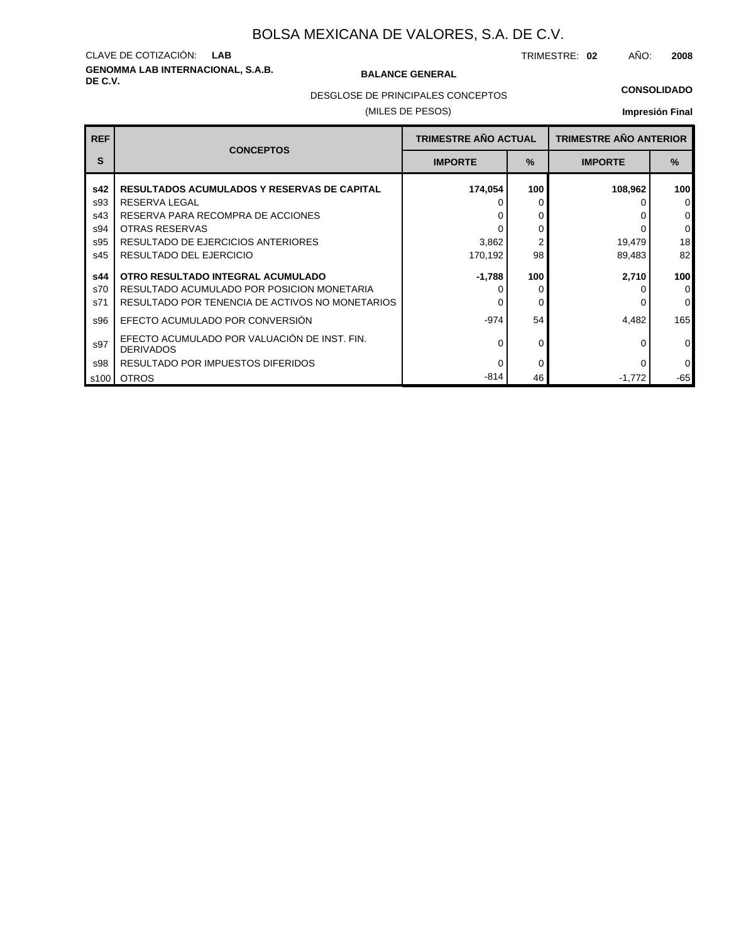# **GENOMMA LAB INTERNACIONAL, S.A.B. DE C.V. BALANCE GENERAL** CLAVE DE COTIZACIÓN: **LAB**

TRIMESTRE: **02** AÑO: **2008**

DESGLOSE DE PRINCIPALES CONCEPTOS

### (MILES DE PESOS)

### **CONSOLIDADO**

| <b>REF</b> | <b>CONCEPTOS</b>                                                 | <b>TRIMESTRE AÑO ACTUAL</b> |      | <b>TRIMESTRE AÑO ANTERIOR</b> |          |
|------------|------------------------------------------------------------------|-----------------------------|------|-------------------------------|----------|
| S          |                                                                  | <b>IMPORTE</b>              | $\%$ | <b>IMPORTE</b>                | $\%$     |
| s42        | <b>RESULTADOS ACUMULADOS Y RESERVAS DE CAPITAL</b>               | 174,054                     | 100  | 108,962                       | 100      |
| s93        | <b>RESERVA LEGAL</b>                                             |                             | 0    |                               | 0        |
| s43        | RESERVA PARA RECOMPRA DE ACCIONES                                |                             | 0    |                               | 0        |
| s94        | <b>OTRAS RESERVAS</b>                                            |                             | 0    |                               | 0        |
| s95        | RESULTADO DE EJERCICIOS ANTERIORES                               | 3,862                       |      | 19,479                        | 18       |
| s45        | RESULTADO DEL EJERCICIO                                          | 170,192                     | 98   | 89,483                        | 82       |
| s44        | OTRO RESULTADO INTEGRAL ACUMULADO                                | $-1,788$                    | 100  | 2,710                         | 100      |
| s70        | RESULTADO ACUMULADO POR POSICION MONETARIA                       |                             | 0    |                               | 0        |
| s71        | RESULTADO POR TENENCIA DE ACTIVOS NO MONETARIOS                  |                             | 0    |                               | 0        |
| s96        | EFECTO ACUMULADO POR CONVERSIÓN                                  | $-974$                      | 54   | 4,482                         | 165      |
| s97        | EFECTO ACUMULADO POR VALUACIÓN DE INST. FIN.<br><b>DERIVADOS</b> | ∩                           | 0    |                               | $\Omega$ |
| s98        | RESULTADO POR IMPUESTOS DIFERIDOS                                | 0                           | 0    | $\Omega$                      | 0        |
| s100       | <b>OTROS</b>                                                     | $-814$                      | 46   | $-1,772$                      | $-65$    |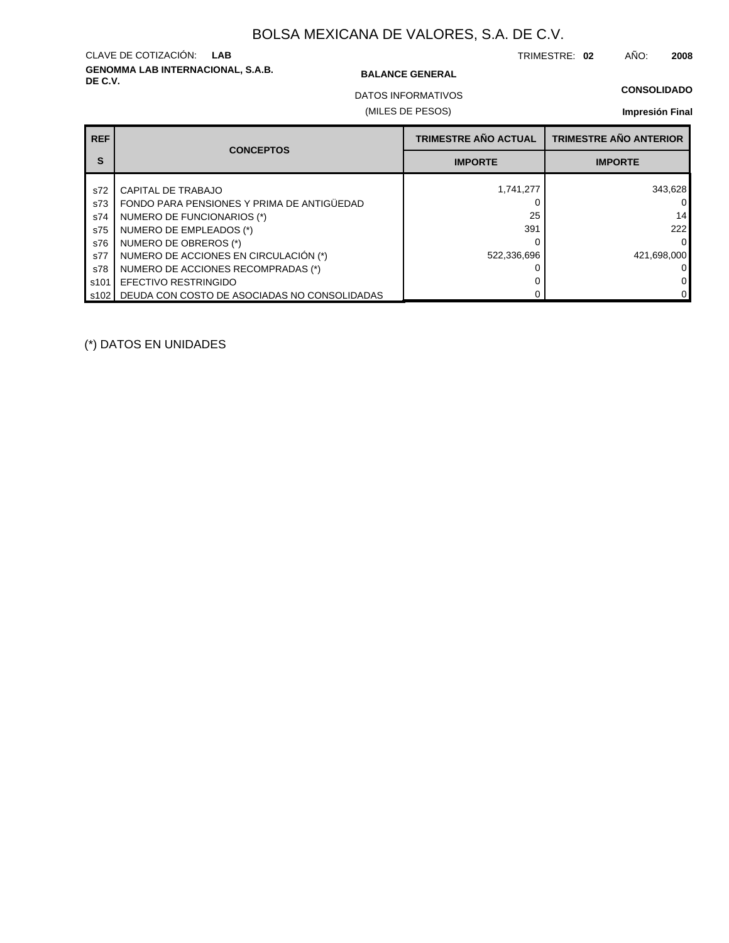# **GENOMMA LAB INTERNACIONAL, S.A.B. DE C.V. BALANCE GENERAL** CLAVE DE COTIZACIÓN: **LAB**

TRIMESTRE: **02** AÑO: **2008**

### **CONSOLIDADO**

(MILES DE PESOS) DATOS INFORMATIVOS

## **Impresión Final**

| <b>REF</b> | <b>CONCEPTOS</b>                             | <b>TRIMESTRE AÑO ACTUAL</b> | <b>TRIMESTRE AÑO ANTERIOR</b> |
|------------|----------------------------------------------|-----------------------------|-------------------------------|
| S          |                                              | <b>IMPORTE</b>              | <b>IMPORTE</b>                |
| s72        | CAPITAL DE TRABAJO                           | 1,741,277                   | 343,628                       |
| s73        | FONDO PARA PENSIONES Y PRIMA DE ANTIGÜEDAD   |                             | 0                             |
| s74        | NUMERO DE FUNCIONARIOS (*)                   | 25                          | 14                            |
| s75        | NUMERO DE EMPLEADOS (*)                      | 391                         | 222                           |
| s76        | NUMERO DE OBREROS (*)                        |                             | $\Omega$                      |
| s77        | NUMERO DE ACCIONES EN CIRCULACIÓN (*)        | 522,336,696                 | 421,698,000                   |
| s78        | NUMERO DE ACCIONES RECOMPRADAS (*)           |                             | ΟI                            |
| s101       | <b>EFECTIVO RESTRINGIDO</b>                  |                             | 0                             |
| s102 l     | DEUDA CON COSTO DE ASOCIADAS NO CONSOLIDADAS |                             | 0                             |

(\*) DATOS EN UNIDADES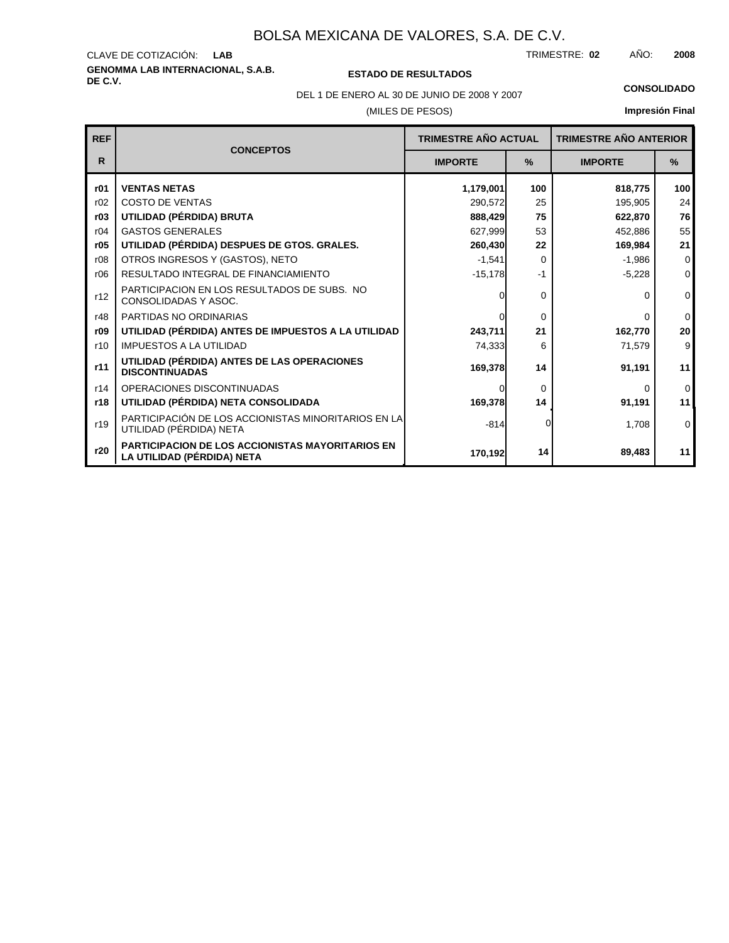### **GENOMMA LAB INTERNACIONAL, S.A.B.** CLAVE DE COTIZACIÓN: TRIMESTRE: AÑO: **LAB 02 2008**

## **DE C.V. ESTADO DE RESULTADOS**

DEL 1 DE ENERO AL 30 DE JUNIO DE 2008 Y 2007 **CONSOLIDADO**

### (MILES DE PESOS)

| <b>REF</b> | <b>CONCEPTOS</b>                                                                      | <b>TRIMESTRE AÑO ACTUAL</b> |               | <b>TRIMESTRE AÑO ANTERIOR</b> |               |
|------------|---------------------------------------------------------------------------------------|-----------------------------|---------------|-------------------------------|---------------|
| R          |                                                                                       | <b>IMPORTE</b>              | $\frac{9}{6}$ | <b>IMPORTE</b>                | $\frac{0}{0}$ |
| r01        | <b>VENTAS NETAS</b>                                                                   | 1,179,001                   | 100           | 818,775                       | 100           |
| r02        | <b>COSTO DE VENTAS</b>                                                                | 290,572                     | 25            | 195,905                       | 24            |
| r03        | UTILIDAD (PÉRDIDA) BRUTA                                                              | 888,429                     | 75            | 622,870                       | 76            |
| r04        | <b>GASTOS GENERALES</b>                                                               | 627,999                     | 53            | 452,886                       | 55            |
| r05        | UTILIDAD (PÉRDIDA) DESPUES DE GTOS. GRALES.                                           | 260,430                     | 22            | 169,984                       | 21            |
| r08        | OTROS INGRESOS Y (GASTOS), NETO                                                       | $-1,541$                    | $\Omega$      | $-1,986$                      | $\Omega$      |
| r06        | RESULTADO INTEGRAL DE FINANCIAMIENTO                                                  | $-15,178$                   | $-1$          | $-5,228$                      | $\mathbf{0}$  |
| r12        | PARTICIPACION EN LOS RESULTADOS DE SUBS. NO<br>CONSOLIDADAS Y ASOC.                   | $\Omega$                    | $\Omega$      | 0                             | $\mathbf{0}$  |
| r48        | PARTIDAS NO ORDINARIAS                                                                | $\Omega$                    | $\Omega$      | 0                             | $\mathbf 0$   |
| r09        | UTILIDAD (PÉRDIDA) ANTES DE IMPUESTOS A LA UTILIDAD                                   | 243,711                     | 21            | 162,770                       | 20            |
| r10        | <b>IMPUESTOS A LA UTILIDAD</b>                                                        | 74,333                      | 6             | 71,579                        | 9             |
| r11        | UTILIDAD (PÉRDIDA) ANTES DE LAS OPERACIONES<br><b>DISCONTINUADAS</b>                  | 169,378                     | 14            | 91,191                        | 11            |
| r14        | OPERACIONES DISCONTINUADAS                                                            | $\Omega$                    | $\Omega$      | 0                             | $\mathbf 0$   |
| r18        | UTILIDAD (PÉRDIDA) NETA CONSOLIDADA                                                   | 169,378                     | 14            | 91,191                        | 11            |
| r19        | PARTICIPACIÓN DE LOS ACCIONISTAS MINORITARIOS EN LA<br>UTILIDAD (PÉRDIDA) NETA        | $-814$                      |               | 1,708                         | $\mathbf 0$   |
| r20        | <b>PARTICIPACION DE LOS ACCIONISTAS MAYORITARIOS EN</b><br>LA UTILIDAD (PÉRDIDA) NETA | 170,192                     | 14            | 89,483                        | 11            |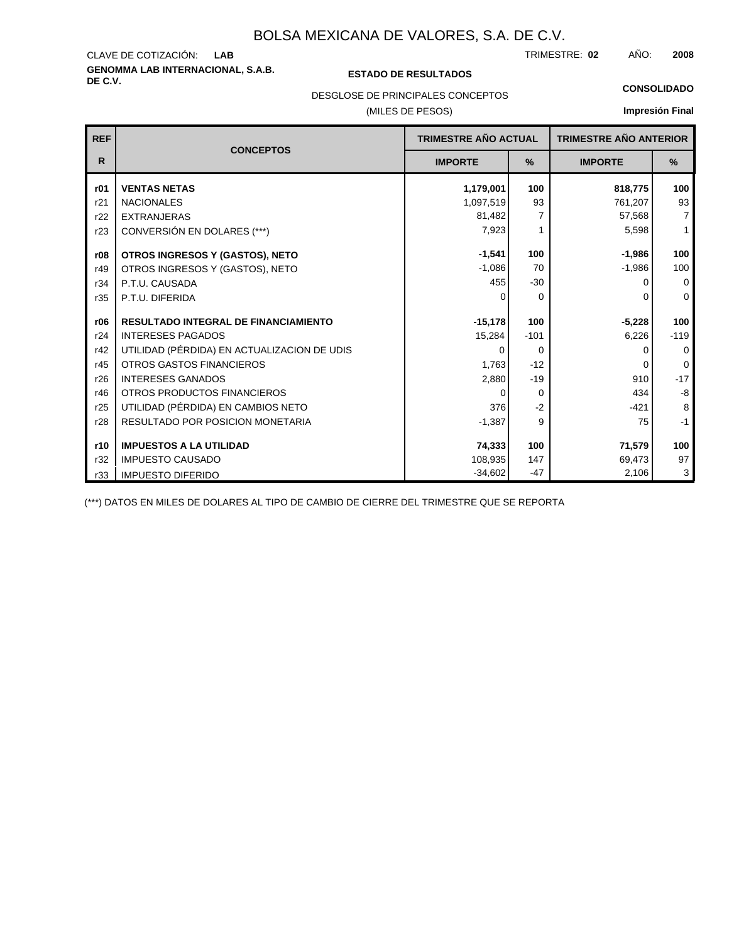### **GENOMMA LAB INTERNACIONAL, S.A.B.** CLAVE DE COTIZACIÓN: TRIMESTRE: AÑO: **LAB 02 2008**

### **DE C.V. ESTADO DE RESULTADOS**

DESGLOSE DE PRINCIPALES CONCEPTOS

## (MILES DE PESOS)

### **CONSOLIDADO**

**Impresión Final**

| <b>REF</b>   | <b>TRIMESTRE AÑO ACTUAL</b><br><b>CONCEPTOS</b> |                | <b>TRIMESTRE AÑO ANTERIOR</b> |                |                |
|--------------|-------------------------------------------------|----------------|-------------------------------|----------------|----------------|
| $\mathsf{R}$ |                                                 | <b>IMPORTE</b> | %                             | <b>IMPORTE</b> | %              |
| r01          | <b>VENTAS NETAS</b>                             | 1,179,001      | 100                           | 818,775        | 100            |
| r21          | <b>NACIONALES</b>                               | 1,097,519      | 93                            | 761,207        | 93             |
| r22          | <b>EXTRANJERAS</b>                              | 81,482         | 7                             | 57,568         | $\overline{7}$ |
| r23          | CONVERSIÓN EN DOLARES (***)                     | 7,923          |                               | 5,598          | $\mathbf{1}$   |
| r08          | OTROS INGRESOS Y (GASTOS), NETO                 | $-1,541$       | 100                           | $-1,986$       | 100            |
| r49          | OTROS INGRESOS Y (GASTOS), NETO                 | $-1,086$       | 70                            | $-1,986$       | 100            |
| r34          | P.T.U. CAUSADA                                  | 455            | $-30$                         | <sup>0</sup>   | 0              |
| r35          | P.T.U. DIFERIDA                                 | $\Omega$       | $\Omega$                      | $\Omega$       | $\Omega$       |
|              |                                                 |                |                               |                |                |
| r06          | <b>RESULTADO INTEGRAL DE FINANCIAMIENTO</b>     | $-15,178$      | 100                           | $-5,228$       | 100            |
| r24          | <b>INTERESES PAGADOS</b>                        | 15,284         | $-101$                        | 6,226          | $-119$         |
| r42          | UTILIDAD (PÉRDIDA) EN ACTUALIZACION DE UDIS     | 0              | $\Omega$                      | $\Omega$       | $\Omega$       |
| r45          | <b>OTROS GASTOS FINANCIEROS</b>                 | 1,763          | $-12$                         | $\Omega$       | $\Omega$       |
| r26          | <b>INTERESES GANADOS</b>                        | 2,880          | $-19$                         | 910            | $-17$          |
| r46          | OTROS PRODUCTOS FINANCIEROS                     | $\Omega$       | $\Omega$                      | 434            | $-8$           |
| r25          | UTILIDAD (PÉRDIDA) EN CAMBIOS NETO              | 376            | $-2$                          | $-421$         | 8              |
| r28          | <b>RESULTADO POR POSICION MONETARIA</b>         | $-1,387$       | 9                             | 75             | $-1$           |
|              |                                                 |                |                               |                |                |
| r10          | <b>IMPUESTOS A LA UTILIDAD</b>                  | 74,333         | 100                           | 71,579         | 100            |
| r32          | <b>IMPUESTO CAUSADO</b>                         | 108,935        | 147                           | 69,473         | 97             |
| r33          | <b>IMPUESTO DIFERIDO</b>                        | $-34,602$      | -47                           | 2,106          | 3              |

(\*\*\*) DATOS EN MILES DE DOLARES AL TIPO DE CAMBIO DE CIERRE DEL TRIMESTRE QUE SE REPORTA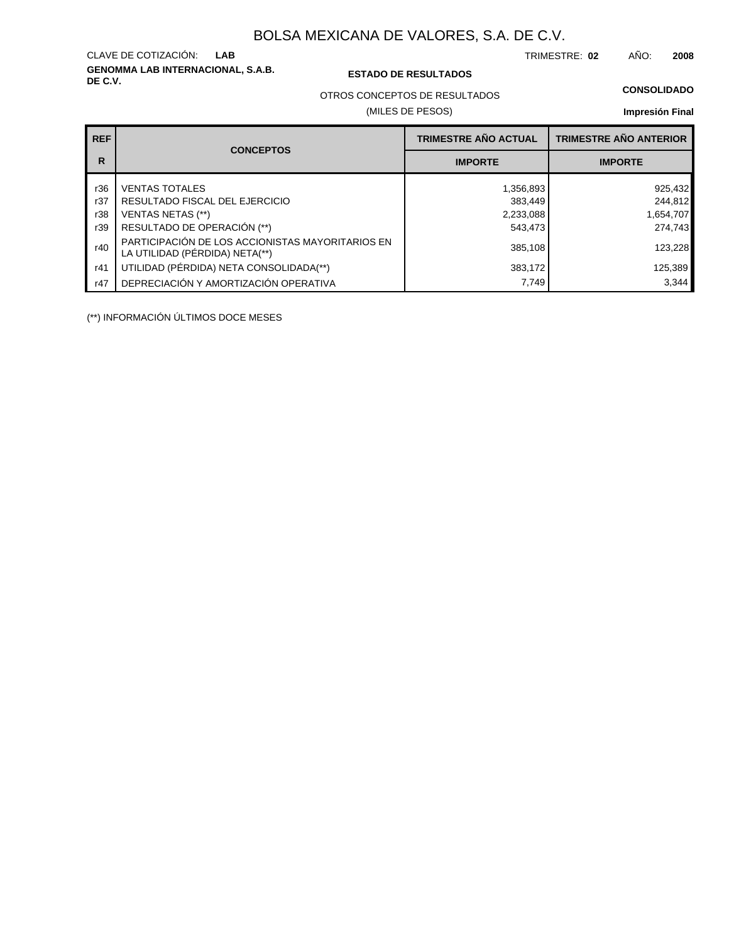# **GENOMMA LAB INTERNACIONAL, S.A.B.** CLAVE DE COTIZACIÓN:

### **DE C.V. ESTADO DE RESULTADOS**

TRIMESTRE: AÑO: **LAB 02 2008**

## OTROS CONCEPTOS DE RESULTADOS

### (MILES DE PESOS)

**Impresión Final**

| <b>REF</b> |                                                                                    | <b>TRIMESTRE AÑO ACTUAL</b> | <b>TRIMESTRE AÑO ANTERIOR</b> |  |
|------------|------------------------------------------------------------------------------------|-----------------------------|-------------------------------|--|
| R          | <b>CONCEPTOS</b>                                                                   | <b>IMPORTE</b>              | <b>IMPORTE</b>                |  |
| r36        | <b>VENTAS TOTALES</b>                                                              | 1,356,893                   | 925,432                       |  |
| r37        | RESULTADO FISCAL DEL EJERCICIO                                                     | 383,449                     | 244,812                       |  |
| r38        | <b>VENTAS NETAS (**)</b>                                                           | 2,233,088                   | 1,654,707                     |  |
| r39        | RESULTADO DE OPERACIÓN (**)                                                        | 543,473                     | 274,743                       |  |
| r40        | PARTICIPACIÓN DE LOS ACCIONISTAS MAYORITARIOS EN<br>LA UTILIDAD (PÉRDIDA) NETA(**) | 385,108                     | 123,228                       |  |
| r41        | UTILIDAD (PÉRDIDA) NETA CONSOLIDADA(**)                                            | 383,172                     | 125,389                       |  |
| r47        | DEPRECIACIÓN Y AMORTIZACIÓN OPERATIVA                                              | 7,749                       | 3,344                         |  |

(\*\*) INFORMACIÓN ÚLTIMOS DOCE MESES

**CONSOLIDADO**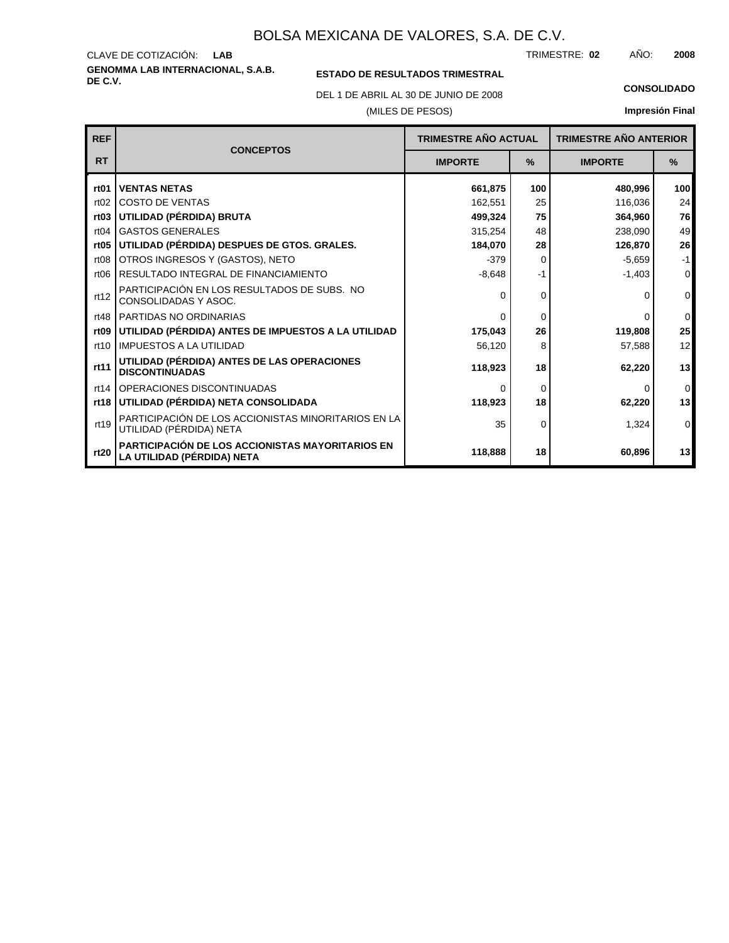### **GENOMMA LAB INTERNACIONAL, S.A.B.** CLAVE DE COTIZACIÓN: TRIMESTRE: AÑO: **LAB 02 2008**

## **ESTADO DE RESULTADOS TRIMESTRAL**

DEL 1 DE ABRIL AL 30 DE JUNIO DE 2008 **CONSOLIDADO**

### (MILES DE PESOS)

| <b>REF</b>       | <b>CONCEPTOS</b>                                                                      | <b>TRIMESTRE AÑO ACTUAL</b> |          | <b>TRIMESTRE AÑO ANTERIOR</b> |                  |
|------------------|---------------------------------------------------------------------------------------|-----------------------------|----------|-------------------------------|------------------|
| <b>RT</b>        |                                                                                       | <b>IMPORTE</b>              | $\%$     | <b>IMPORTE</b>                | $\frac{9}{6}$    |
| rt <sub>01</sub> | <b>VENTAS NETAS</b>                                                                   | 661,875                     | 100      | 480,996                       | 100 <sub>l</sub> |
| rt02             | <b>COSTO DE VENTAS</b>                                                                | 162,551                     | 25       | 116,036                       | 24               |
| rt <sub>03</sub> | UTILIDAD (PÉRDIDA) BRUTA                                                              | 499,324                     | 75       | 364,960                       | 76               |
| rt04             | <b>GASTOS GENERALES</b>                                                               | 315,254                     | 48       | 238,090                       | 49               |
| rt <sub>05</sub> | UTILIDAD (PÉRDIDA) DESPUES DE GTOS. GRALES.                                           | 184,070                     | 28       | 126,870                       | 26               |
| rt <sub>08</sub> | OTROS INGRESOS Y (GASTOS), NETO                                                       | $-379$                      | $\Omega$ | $-5,659$                      | $-1$             |
| rt <sub>06</sub> | RESULTADO INTEGRAL DE FINANCIAMIENTO                                                  | $-8,648$                    | $-1$     | $-1,403$                      | 0                |
| rt12             | PARTICIPACIÓN EN LOS RESULTADOS DE SUBS. NO<br>CONSOLIDADAS Y ASOC.                   | O                           | 0        |                               | $\overline{0}$   |
| rt48             | PARTIDAS NO ORDINARIAS                                                                | $\Omega$                    | 0        |                               | $\overline{0}$   |
| rt <sub>09</sub> | UTILIDAD (PÉRDIDA) ANTES DE IMPUESTOS A LA UTILIDAD                                   | 175,043                     | 26       | 119,808                       | 25               |
| rt10             | <b>IMPUESTOS A LA UTILIDAD</b>                                                        | 56,120                      | 8        | 57,588                        | 12               |
| rt11             | UTILIDAD (PÉRDIDA) ANTES DE LAS OPERACIONES<br><b>DISCONTINUADAS</b>                  | 118,923                     | 18       | 62,220                        | 13               |
| rt14             | OPERACIONES DISCONTINUADAS                                                            | ∩                           | 0        |                               | $\overline{0}$   |
| rt18             | UTILIDAD (PÉRDIDA) NETA CONSOLIDADA                                                   | 118,923                     | 18       | 62,220                        | 13               |
| rt19             | PARTICIPACIÓN DE LOS ACCIONISTAS MINORITARIOS EN LA<br>UTILIDAD (PÉRDIDA) NETA        | 35                          | 0        | 1,324                         | $\overline{0}$   |
| rt20             | <b>PARTICIPACIÓN DE LOS ACCIONISTAS MAYORITARIOS EN</b><br>LA UTILIDAD (PÉRDIDA) NETA | 118,888                     | 18       | 60,896                        | 13               |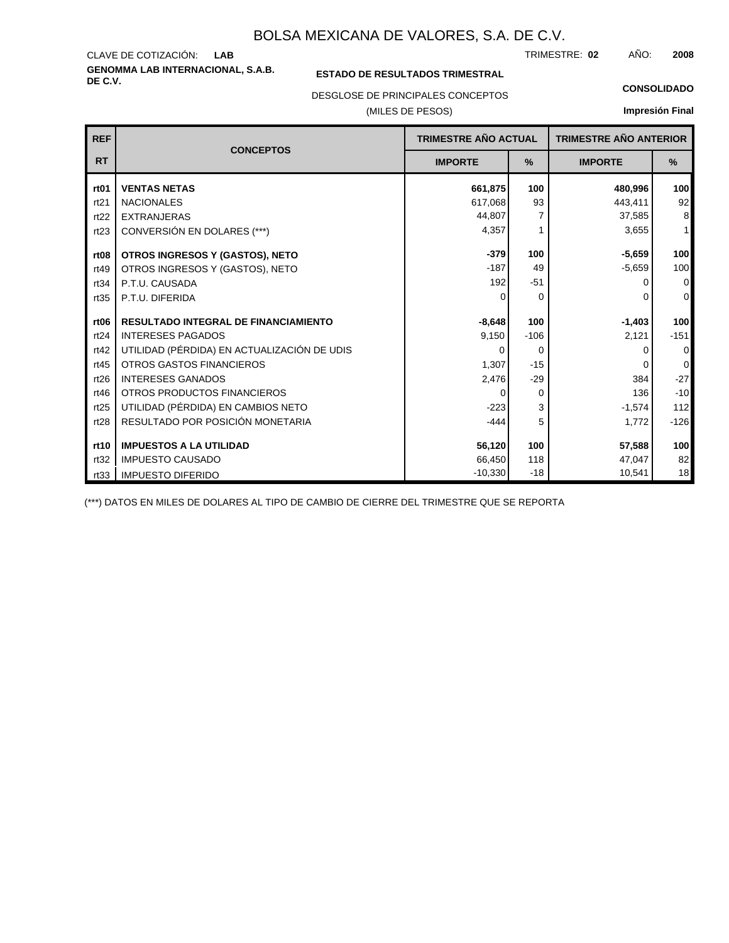**GENOMMA LAB INTERNACIONAL, S.A.B.** CLAVE DE COTIZACIÓN: TRIMESTRE: AÑO: **LAB 02 2008**

### **ESTADO DE RESULTADOS TRIMESTRAL**

DESGLOSE DE PRINCIPALES CONCEPTOS

### (MILES DE PESOS)

**CONSOLIDADO**

**Impresión Final**

| <b>REF</b>       | <b>CONCEPTOS</b>                            | TRIMESTRE AÑO ACTUAL |          | <b>TRIMESTRE AÑO ANTERIOR</b> |                |
|------------------|---------------------------------------------|----------------------|----------|-------------------------------|----------------|
| <b>RT</b>        |                                             | <b>IMPORTE</b>       | %        | <b>IMPORTE</b>                | %              |
| rt <sub>01</sub> | <b>VENTAS NETAS</b>                         | 661,875              | 100      | 480,996                       | 100            |
| rt21             | <b>NACIONALES</b>                           | 617,068              | 93       | 443,411                       | 92             |
| rt22             | <b>EXTRANJERAS</b>                          | 44.807               | 7        | 37,585                        | 8              |
| rt23             | CONVERSIÓN EN DOLARES (***)                 | 4,357                |          | 3,655                         | $\mathbf{1}$   |
| rt <sub>08</sub> | OTROS INGRESOS Y (GASTOS), NETO             | $-379$               | 100      | $-5,659$                      | 100            |
| rt49             | OTROS INGRESOS Y (GASTOS), NETO             | $-187$               | 49       | $-5,659$                      | 100            |
| rt34             | P.T.U. CAUSADA                              | 192                  | $-51$    | ŋ                             | $\overline{0}$ |
| rt35             | P.T.U. DIFERIDA                             |                      | $\Omega$ | ŋ                             | 0              |
| rt <sub>06</sub> | <b>RESULTADO INTEGRAL DE FINANCIAMIENTO</b> | $-8,648$             | 100      | $-1,403$                      | 100            |
| rt24             | <b>INTERESES PAGADOS</b>                    | 9,150                | $-106$   | 2,121                         | $-151$         |
| rt42             | UTILIDAD (PÉRDIDA) EN ACTUALIZACIÓN DE UDIS | 0                    | $\Omega$ | 0                             | 0              |
| rt45             | OTROS GASTOS FINANCIEROS                    | 1,307                | $-15$    | O                             | 0              |
| rt26             | <b>INTERESES GANADOS</b>                    | 2,476                | $-29$    | 384                           | $-27$          |
| rt46             | OTROS PRODUCTOS FINANCIEROS                 |                      | $\Omega$ | 136                           | $-10$          |
| rt25             | UTILIDAD (PÉRDIDA) EN CAMBIOS NETO          | $-223$               | 3        | $-1,574$                      | 112            |
| rt28             | RESULTADO POR POSICIÓN MONETARIA            | $-444$               | 5        | 1,772                         | $-126$         |
| rt10             | <b>IMPUESTOS A LA UTILIDAD</b>              | 56,120               | 100      | 57,588                        | 100            |
| rt32             | <b>IMPUESTO CAUSADO</b>                     | 66,450               | 118      | 47,047                        | 82             |
| rt33             | <b>IMPUESTO DIFERIDO</b>                    | $-10,330$            | $-18$    | 10,541                        | 18             |

(\*\*\*) DATOS EN MILES DE DOLARES AL TIPO DE CAMBIO DE CIERRE DEL TRIMESTRE QUE SE REPORTA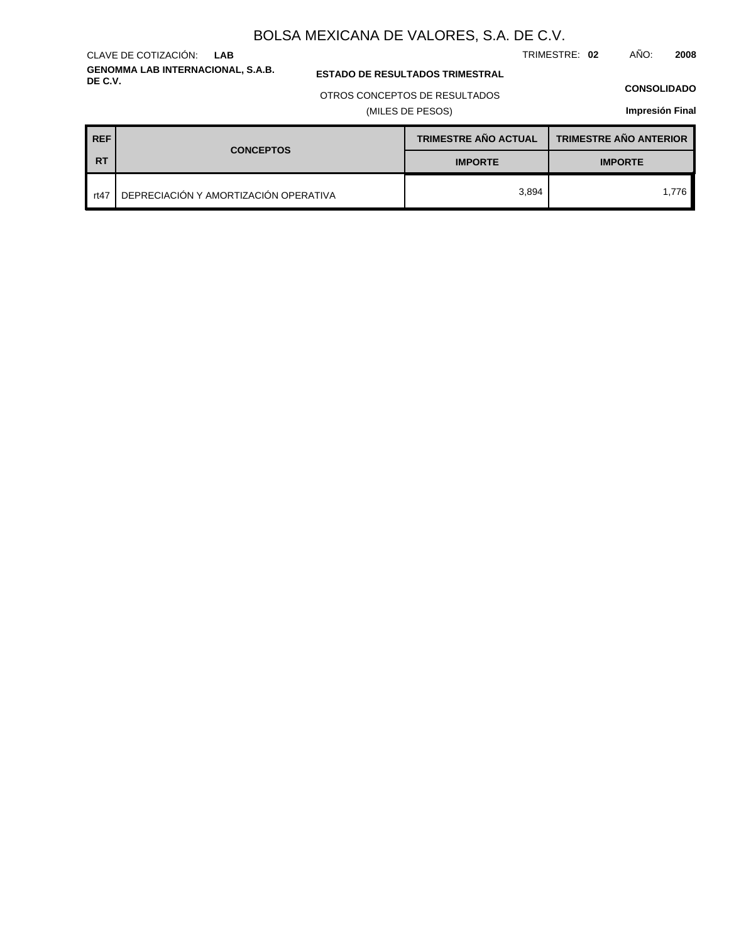TRIMESTRE: **02** AÑO: **2008**

### **ESTADO DE RESULTADOS TRIMESTRAL**

OTROS CONCEPTOS DE RESULTADOS

(MILES DE PESOS)

### **CONSOLIDADO**

**Impresión Final**

| <b>REF</b> | <b>CONCEPTOS</b>                      | <b>TRIMESTRE AÑO ACTUAL</b> | <b>TRIMESTRE AÑO ANTERIOR</b> |  |
|------------|---------------------------------------|-----------------------------|-------------------------------|--|
| <b>RT</b>  |                                       | <b>IMPORTE</b>              | <b>IMPORTE</b>                |  |
| rt47       | DEPRECIACIÓN Y AMORTIZACIÓN OPERATIVA | 3.894                       | 1.776                         |  |

### **GENOMMA LAB INTERNACIONAL, S.A.B.** CLAVE DE COTIZACIÓN: **LAB**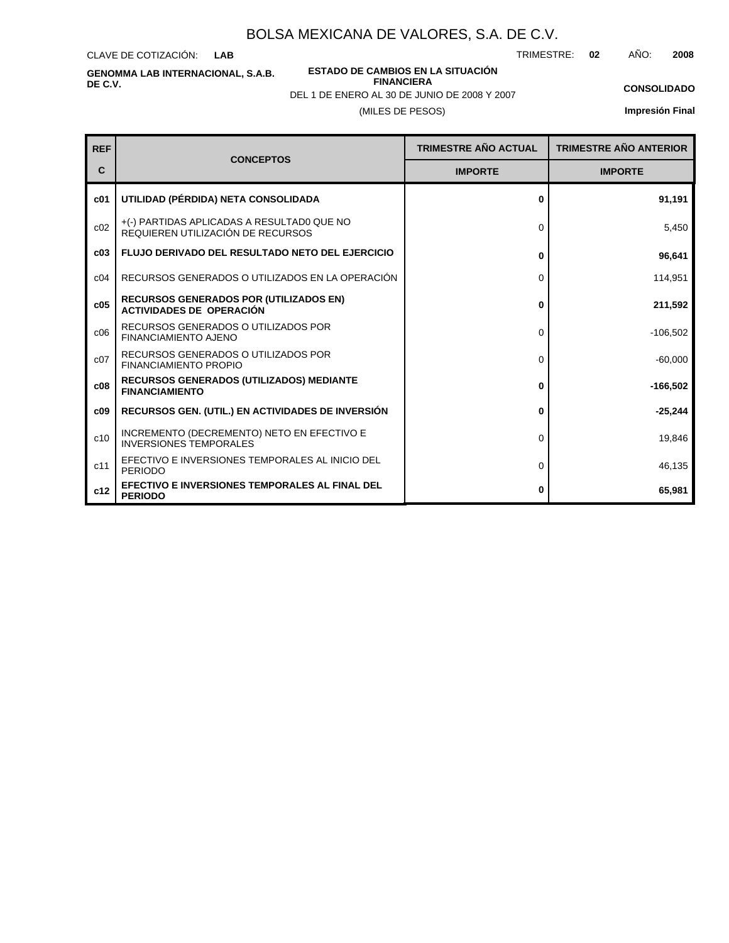CLAVE DE COTIZACIÓN: **LAB**

**DE C.V.**

**ESTADO DE CAMBIOS EN LA SITUACIÓN FINANCIERA**

TRIMESTRE: **02** AÑO: **2008**

**CONSOLIDADO Impresión Final**

### **c01** c02 **c03** c04 c06 c07 **c05 c08 c09** c10 c11 **c12 FLUJO DERIVADO DEL RESULTADO NETO DEL EJERCICIO** RECURSOS GENERADOS O UTILIZADOS EN LA OPERACIÓN +(-) PARTIDAS APLICADAS A RESULTAD0 QUE NO REQUIEREN UTILIZACIÓN DE RECURSOS RECURSOS GENERADOS O UTILIZADOS POR FINANCIAMIENTO PROPIO RECURSOS GENERADOS O UTILIZADOS POR FINANCIAMIENTO AJENO **RECURSOS GENERADOS POR (UTILIZADOS EN) ACTIVIDADES DE OPERACIÓN RECURSOS GENERADOS (UTILIZADOS) MEDIANTE FINANCIAMIENTO RECURSOS GEN. (UTIL.) EN ACTIVIDADES DE INVERSIÓN** INCREMENTO (DECREMENTO) NETO EN EFECTIVO E INVERSIONES TEMPORALES EFECTIVO E INVERSIONES TEMPORALES AL INICIO DEL PERIODO **EFECTIVO E INVERSIONES TEMPORALES AL FINAL DEL PERIODO UTILIDAD (PÉRDIDA) NETA CONSOLIDADA REF C CONCEPTOS IMPORTE IMPORTE TRIMESTRE AÑO ACTUAL TRIMESTRE AÑO ANTERIOR 0** 0 **0** 0 **0** 0 0 **0 0** 0  $\overline{0}$ **0 91,191** 5,450 **96,641** 114,951 **211,592** -106,502 -60,000 **-166,502 -25,244** 19,846 46,135 **65,981**

# **GENOMMA LAB INTERNACIONAL, S.A.B.**

DEL 1 DE ENERO AL 30 DE JUNIO DE 2008 Y 2007

(MILES DE PESOS)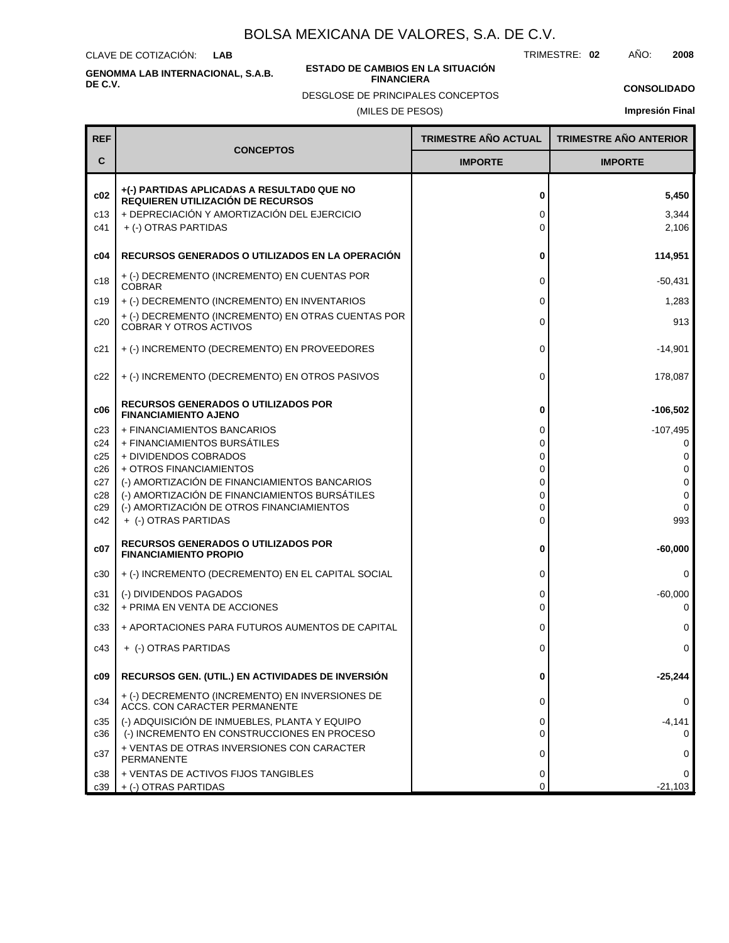CLAVE DE COTIZACIÓN: **LAB**

**GENOMMA LAB INTERNACIONAL, S.A.B. DE C.V.**

### **ESTADO DE CAMBIOS EN LA SITUACIÓN FINANCIERA**

TRIMESTRE: **02** AÑO: **2008**

**CONSOLIDADO**

DESGLOSE DE PRINCIPALES CONCEPTOS

## (MILES DE PESOS)

| <b>REF</b>                    |                                                                                                                                                        | <b>TRIMESTRE AÑO ACTUAL</b> | <b>TRIMESTRE AÑO ANTERIOR</b> |
|-------------------------------|--------------------------------------------------------------------------------------------------------------------------------------------------------|-----------------------------|-------------------------------|
| C                             | <b>CONCEPTOS</b>                                                                                                                                       | <b>IMPORTE</b>              | <b>IMPORTE</b>                |
| c <sub>02</sub><br>c13<br>c41 | +(-) PARTIDAS APLICADAS A RESULTADO QUE NO<br>REQUIEREN UTILIZACIÓN DE RECURSOS<br>+ DEPRECIACIÓN Y AMORTIZACIÓN DEL EJERCICIO<br>+ (-) OTRAS PARTIDAS | 0<br>0<br>0                 | 5,450<br>3,344<br>2,106       |
| c04                           | RECURSOS GENERADOS O UTILIZADOS EN LA OPERACIÓN                                                                                                        | 0                           | 114,951                       |
| c18                           | + (-) DECREMENTO (INCREMENTO) EN CUENTAS POR<br><b>COBRAR</b>                                                                                          | 0                           | $-50,431$                     |
| c19                           | + (-) DECREMENTO (INCREMENTO) EN INVENTARIOS                                                                                                           | 0                           | 1,283                         |
| c20                           | + (-) DECREMENTO (INCREMENTO) EN OTRAS CUENTAS POR<br><b>COBRAR Y OTROS ACTIVOS</b>                                                                    | 0                           | 913                           |
| c21                           | + (-) INCREMENTO (DECREMENTO) EN PROVEEDORES                                                                                                           | 0                           | -14,901                       |
| c22                           | + (-) INCREMENTO (DECREMENTO) EN OTROS PASIVOS                                                                                                         | 0                           | 178,087                       |
| c06                           | <b>RECURSOS GENERADOS O UTILIZADOS POR</b><br><b>FINANCIAMIENTO AJENO</b>                                                                              | 0                           | $-106,502$                    |
| c23                           | + FINANCIAMIENTOS BANCARIOS                                                                                                                            | 0                           | $-107,495$                    |
| c24                           | + FINANCIAMIENTOS BURSÁTILES                                                                                                                           | 0                           | 0                             |
| c25<br>c26                    | + DIVIDENDOS COBRADOS<br>+ OTROS FINANCIAMIENTOS                                                                                                       | 0<br>0                      | 0<br>$\mathbf 0$              |
| c27                           | (-) AMORTIZACIÓN DE FINANCIAMIENTOS BANCARIOS                                                                                                          | 0                           | 0                             |
| c28                           | (-) AMORTIZACIÓN DE FINANCIAMIENTOS BURSÁTILES                                                                                                         | 0                           | 0                             |
| c29                           | (-) AMORTIZACIÓN DE OTROS FINANCIAMIENTOS                                                                                                              | 0                           | 0                             |
| c42                           | + (-) OTRAS PARTIDAS                                                                                                                                   | 0                           | 993                           |
| c07                           | <b>RECURSOS GENERADOS O UTILIZADOS POR</b><br><b>FINANCIAMIENTO PROPIO</b>                                                                             | 0                           | $-60,000$                     |
| c30                           | + (-) INCREMENTO (DECREMENTO) EN EL CAPITAL SOCIAL                                                                                                     | 0                           | 0                             |
| c31                           | (-) DIVIDENDOS PAGADOS                                                                                                                                 | 0                           | $-60,000$                     |
| c32                           | + PRIMA EN VENTA DE ACCIONES                                                                                                                           | 0                           | 0                             |
| c33                           | + APORTACIONES PARA FUTUROS AUMENTOS DE CAPITAL                                                                                                        | 0                           | 0                             |
| c43                           | + (-) OTRAS PARTIDAS                                                                                                                                   | 0                           | $\Omega$                      |
| c09                           | RECURSOS GEN. (UTIL.) EN ACTIVIDADES DE INVERSIÓN                                                                                                      | 0                           | $-25,244$                     |
| c34                           | + (-) DECREMENTO (INCREMENTO) EN INVERSIONES DE<br>ACCS. CON CARACTER PERMANENTE                                                                       | 0                           | 0                             |
| c35<br>c36                    | (-) ADQUISICIÓN DE INMUEBLES, PLANTA Y EQUIPO<br>(-) INCREMENTO EN CONSTRUCCIONES EN PROCESO                                                           | 0<br>0                      | $-4,141$                      |
| c37                           | + VENTAS DE OTRAS INVERSIONES CON CARACTER<br>PERMANENTE                                                                                               | 0                           | 0                             |
| c38                           | + VENTAS DE ACTIVOS FIJOS TANGIBLES                                                                                                                    | 0                           | 0                             |
| c39                           | + (-) OTRAS PARTIDAS                                                                                                                                   | 0                           | $-21,103$                     |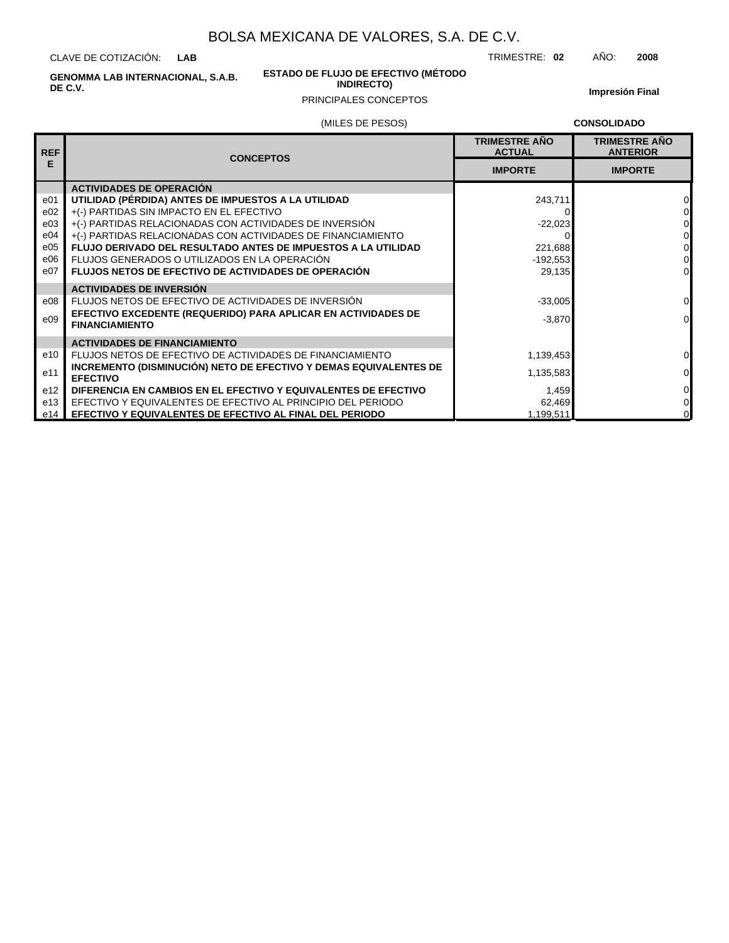CLAVE DE COTIZACIÓN: **LAB**

> **ESTADO DE FLUJO DE EFECTIVO (MÉTODO INDIRECTO)**

TRIMESTRE: **02** AÑO: **2008**

**GENOMMA LAB INTERNACIONAL, S.A.B. DE C.V.**

### PRINCIPALES CONCEPTOS

**Impresión Final**

|  |  | (MILES DE PESOS) |
|--|--|------------------|
|--|--|------------------|

**CONSOLIDADO**

| <b>REF</b> | <b>CONCEPTOS</b>                                                                     | <b>TRIMESTRE ANO</b><br><b>ACTUAL</b> | <b>TRIMESTRE ANO</b><br><b>ANTERIOR</b> |
|------------|--------------------------------------------------------------------------------------|---------------------------------------|-----------------------------------------|
| E          |                                                                                      | <b>IMPORTE</b>                        | <b>IMPORTE</b>                          |
|            | <b>ACTIVIDADES DE OPERACIÓN</b>                                                      |                                       |                                         |
| e01        | UTILIDAD (PÉRDIDA) ANTES DE IMPUESTOS A LA UTILIDAD                                  | 243,711                               | $\Omega$                                |
| e02        | +(-) PARTIDAS SIN IMPACTO EN EL EFECTIVO                                             |                                       | $\Omega$                                |
| e03        | +(-) PARTIDAS RELACIONADAS CON ACTIVIDADES DE INVERSIÓN                              | $-22,023$                             | $\overline{0}$                          |
| e04        | +(-) PARTIDAS RELACIONADAS CON ACTIVIDADES DE FINANCIAMIENTO                         |                                       | $\overline{0}$                          |
| e05        | <b>FLUJO DERIVADO DEL RESULTADO ANTES DE IMPUESTOS A LA UTILIDAD</b>                 | 221,688                               | $\overline{0}$                          |
| e06        | FLUJOS GENERADOS O UTILIZADOS EN LA OPERACIÓN                                        | $-192,553$                            | $\Omega$                                |
| e07        | <b>FLUJOS NETOS DE EFECTIVO DE ACTIVIDADES DE OPERACIÓN</b>                          | 29,135                                | $\Omega$                                |
|            | <b>ACTIVIDADES DE INVERSIÓN</b>                                                      |                                       |                                         |
| e08        | FLUJOS NETOS DE EFECTIVO DE ACTIVIDADES DE INVERSIÓN                                 | $-33,005$                             | $\overline{0}$                          |
| e09        | EFECTIVO EXCEDENTE (REQUERIDO) PARA APLICAR EN ACTIVIDADES DE                        | $-3,870$                              | $\overline{0}$                          |
|            | <b>FINANCIAMIENTO</b>                                                                |                                       |                                         |
|            | <b>ACTIVIDADES DE FINANCIAMIENTO</b>                                                 |                                       |                                         |
| e10        | FLUJOS NETOS DE EFECTIVO DE ACTIVIDADES DE FINANCIAMIENTO                            | 1,139,453                             | $\overline{0}$                          |
| e11        | INCREMENTO (DISMINUCIÓN) NETO DE EFECTIVO Y DEMAS EQUIVALENTES DE<br><b>EFECTIVO</b> | 1,135,583                             | $\Omega$                                |
| e12        | DIFERENCIA EN CAMBIOS EN EL EFECTIVO Y EQUIVALENTES DE EFECTIVO                      | 1,459                                 | $\overline{0}$                          |
| e13        | EFECTIVO Y EQUIVALENTES DE EFECTIVO AL PRINCIPIO DEL PERIODO                         | 62,469                                | $\overline{0}$                          |
| e14        | EFECTIVO Y EQUIVALENTES DE EFECTIVO AL FINAL DEL PERIODO                             | 1,199,511                             | $\overline{0}$                          |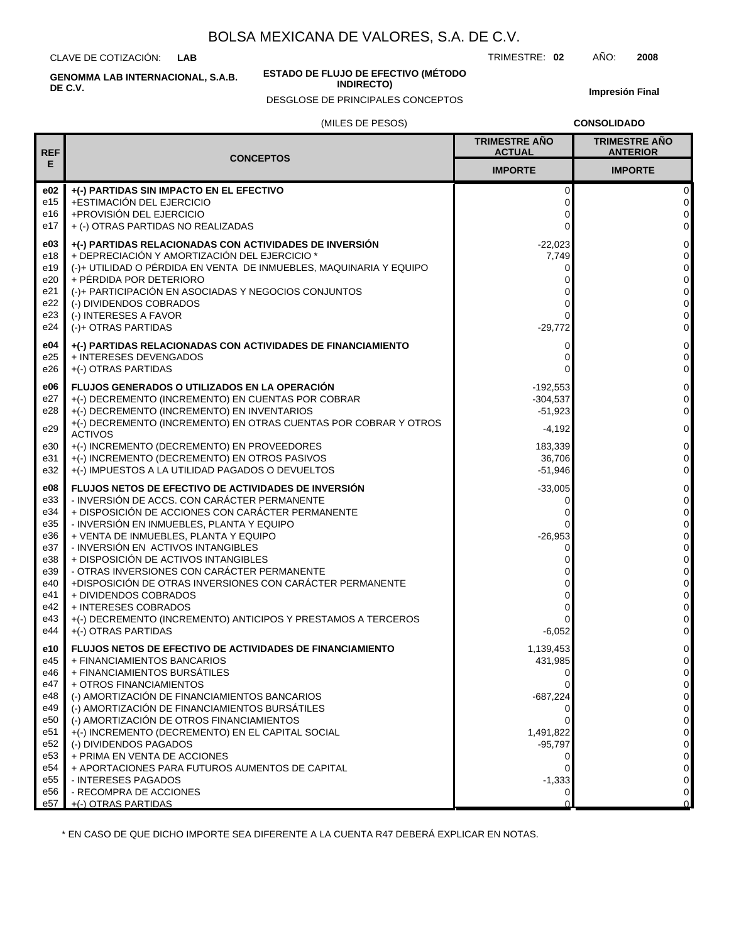CLAVE DE COTIZACIÓN: **LAB**

**ESTADO DE FLUJO DE EFECTIVO (MÉTODO**

**INDIRECTO)**

TRIMESTRE: **02** AÑO: **2008**

**Impresión Final**

## (MILES DE PESOS) DESGLOSE DE PRINCIPALES CONCEPTOS

**CONSOLIDADO**

| <b>REF</b>                                                                                     | <b>CONCEPTOS</b>                                                                                                                                                                                                                                                                                                                                                                                                                                                                                                                                                                   | <b>TRIMESTRE AÑO</b><br><b>ACTUAL</b>                                                                                     | <b>TRIMESTRE AÑO</b><br><b>ANTERIOR</b>                                                                                                                                                                                       |
|------------------------------------------------------------------------------------------------|------------------------------------------------------------------------------------------------------------------------------------------------------------------------------------------------------------------------------------------------------------------------------------------------------------------------------------------------------------------------------------------------------------------------------------------------------------------------------------------------------------------------------------------------------------------------------------|---------------------------------------------------------------------------------------------------------------------------|-------------------------------------------------------------------------------------------------------------------------------------------------------------------------------------------------------------------------------|
| Е                                                                                              |                                                                                                                                                                                                                                                                                                                                                                                                                                                                                                                                                                                    | <b>IMPORTE</b>                                                                                                            | <b>IMPORTE</b>                                                                                                                                                                                                                |
| e02<br>e15<br>e16<br>e17                                                                       | +(-) PARTIDAS SIN IMPACTO EN EL EFECTIVO<br>+ESTIMACIÓN DEL EJERCICIO<br>+PROVISIÓN DEL EJERCICIO<br>+ (-) OTRAS PARTIDAS NO REALIZADAS                                                                                                                                                                                                                                                                                                                                                                                                                                            | 0<br>0<br>0<br>0                                                                                                          | $\mathbf 0$<br>$\mathbf 0$<br>$\mathbf 0$<br>$\mathbf 0$                                                                                                                                                                      |
| e03<br>e18<br>e19<br>e20<br>e21<br>e22<br>e23<br>e24                                           | +(-) PARTIDAS RELACIONADAS CON ACTIVIDADES DE INVERSIÓN<br>+ DEPRECIACIÓN Y AMORTIZACIÓN DEL EJERCICIO *<br>(-)+ UTILIDAD O PÉRDIDA EN VENTA DE INMUEBLES, MAQUINARIA Y EQUIPO<br>+ PÉRDIDA POR DETERIORO<br>(-)+ PARTICIPACIÓN EN ASOCIADAS Y NEGOCIOS CONJUNTOS<br>(-) DIVIDENDOS COBRADOS<br>(-) INTERESES A FAVOR<br>$(-)$ + OTRAS PARTIDAS                                                                                                                                                                                                                                    | $-22,023$<br>7,749<br>0<br>0<br>0<br>0<br>$-29,772$                                                                       | $\pmb{0}$<br>$\pmb{0}$<br>$\mathbf 0$<br>$\pmb{0}$<br>$\pmb{0}$<br>$\pmb{0}$<br>$\pmb{0}$<br>$\mathbf 0$                                                                                                                      |
| e04<br>e25<br>e26                                                                              | +(-) PARTIDAS RELACIONADAS CON ACTIVIDADES DE FINANCIAMIENTO<br>+ INTERESES DEVENGADOS<br>+(-) OTRAS PARTIDAS                                                                                                                                                                                                                                                                                                                                                                                                                                                                      | 0<br>0<br>0                                                                                                               | $\pmb{0}$<br>$\mathbf 0$<br>$\mathbf 0$                                                                                                                                                                                       |
| e06<br>e27<br>e28<br>e29<br>e30<br>e31<br>e32                                                  | <b>FLUJOS GENERADOS O UTILIZADOS EN LA OPERACIÓN</b><br>+(-) DECREMENTO (INCREMENTO) EN CUENTAS POR COBRAR<br>+(-) DECREMENTO (INCREMENTO) EN INVENTARIOS<br>+(-) DECREMENTO (INCREMENTO) EN OTRAS CUENTAS POR COBRAR Y OTROS<br><b>ACTIVOS</b><br>+(-) INCREMENTO (DECREMENTO) EN PROVEEDORES<br>+(-) INCREMENTO (DECREMENTO) EN OTROS PASIVOS<br>+(-) IMPUESTOS A LA UTILIDAD PAGADOS O DEVUELTOS                                                                                                                                                                                | $-192,553$<br>$-304,537$<br>$-51,923$<br>$-4,192$<br>183,339<br>36,706<br>$-51,946$                                       | $\pmb{0}$<br>$\pmb{0}$<br>$\overline{0}$<br>$\mathbf 0$<br>$\pmb{0}$<br>$\pmb{0}$<br>$\mathbf 0$                                                                                                                              |
| e08<br>e33<br>e34<br>e35<br>e36<br>e37<br>e38<br>e39<br>e40<br>e41<br>e42<br>e43<br>e44        | FLUJOS NETOS DE EFECTIVO DE ACTIVIDADES DE INVERSIÓN<br>- INVERSIÓN DE ACCS. CON CARÁCTER PERMANENTE<br>+ DISPOSICIÓN DE ACCIONES CON CARÁCTER PERMANENTE<br>- INVERSIÓN EN INMUEBLES, PLANTA Y EQUIPO<br>+ VENTA DE INMUEBLES, PLANTA Y EQUIPO<br>- INVERSIÓN EN ACTIVOS INTANGIBLES<br>+ DISPOSICIÓN DE ACTIVOS INTANGIBLES<br>- OTRAS INVERSIONES CON CARÁCTER PERMANENTE<br>+DISPOSICIÓN DE OTRAS INVERSIONES CON CARÁCTER PERMANENTE<br>+ DIVIDENDOS COBRADOS<br>+ INTERESES COBRADOS<br>+(-) DECREMENTO (INCREMENTO) ANTICIPOS Y PRESTAMOS A TERCEROS<br>+(-) OTRAS PARTIDAS | $-33,005$<br>0<br>0<br>0<br>$-26,953$<br>0<br>0<br>0<br>0<br>0<br>0<br>$-6,052$                                           | $\pmb{0}$<br>$\pmb{0}$<br>$\pmb{0}$<br>$\mathbf 0$<br>$\mathbf 0$<br>$\pmb{0}$<br>$\pmb{0}$<br>$\mathsf{O}\xspace$<br>$\pmb{0}$<br>$\mathbf 0$<br>$\pmb{0}$<br>$\pmb{0}$<br>$\mathbf 0$                                       |
| e10<br>e45<br>e46<br>e47<br>e48<br>e49<br>e50<br>e51<br>e52<br>e53<br>e54<br>e55<br>e56<br>e57 | <b>FLUJOS NETOS DE EFECTIVO DE ACTIVIDADES DE FINANCIAMIENTO</b><br>+ FINANCIAMIENTOS BANCARIOS<br>+ FINANCIAMIENTOS BURSÁTILES<br>+ OTROS FINANCIAMIENTOS<br>(-) AMORTIZACIÓN DE FINANCIAMIENTOS BANCARIOS<br>(-) AMORTIZACIÓN DE FINANCIAMIENTOS BURSÁTILES<br>(-) AMORTIZACIÓN DE OTROS FINANCIAMIENTOS<br>+(-) INCREMENTO (DECREMENTO) EN EL CAPITAL SOCIAL<br>(-) DIVIDENDOS PAGADOS<br>+ PRIMA EN VENTA DE ACCIONES<br>+ APORTACIONES PARA FUTUROS AUMENTOS DE CAPITAL<br>- INTERESES PAGADOS<br>- RECOMPRA DE ACCIONES<br>+(-) OTRAS PARTIDAS                               | 1,139,453<br>431,985<br>0<br>$-687,224$<br>0<br>$\Omega$<br>1,491,822<br>$-95,797$<br>0<br>0<br>$-1,333$<br>0<br>$\Omega$ | $\pmb{0}$<br>$\mathsf{O}\xspace$<br>$\mathbf 0$<br>$\pmb{0}$<br>$\pmb{0}$<br>$\mathsf{O}\xspace$<br>$\pmb{0}$<br>$\pmb{0}$<br>$\mathbf 0$<br>$\mathsf{O}\xspace$<br>$\pmb{0}$<br>$\mathsf{O}\xspace$<br>$\pmb{0}$<br>$\Omega$ |

\* EN CASO DE QUE DICHO IMPORTE SEA DIFERENTE A LA CUENTA R47 DEBERÁ EXPLICAR EN NOTAS.

**GENOMMA LAB INTERNACIONAL, S.A.B. DE C.V.**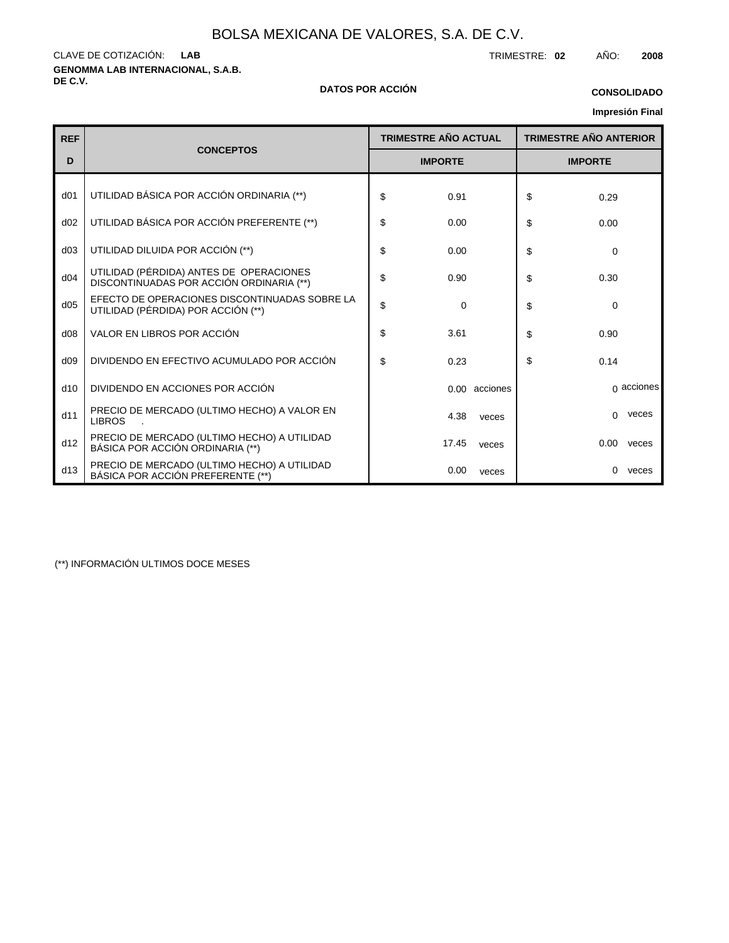**GENOMMA LAB INTERNACIONAL, S.A.B.** CLAVE DE COTIZACIÓN: TRIMESTRE: **02** AÑO: **2008 LAB**

### **DE C.V. DATOS POR ACCIÓN**

### **Impresión Final CONSOLIDADO**

| Impresión Final |  |
|-----------------|--|
|-----------------|--|

|                 |                                                                                     |                             |               |                |                               | <b>IIIIDI ESIOII FIII</b> dI |  |  |
|-----------------|-------------------------------------------------------------------------------------|-----------------------------|---------------|----------------|-------------------------------|------------------------------|--|--|
| <b>REF</b>      |                                                                                     | <b>TRIMESTRE AÑO ACTUAL</b> |               |                | <b>TRIMESTRE AÑO ANTERIOR</b> |                              |  |  |
| D               | <b>CONCEPTOS</b>                                                                    | <b>IMPORTE</b>              |               | <b>IMPORTE</b> |                               |                              |  |  |
| d <sub>01</sub> | UTILIDAD BÁSICA POR ACCIÓN ORDINARIA (**)                                           | \$<br>0.91                  |               | \$             | 0.29                          |                              |  |  |
| d02             | UTILIDAD BÁSICA POR ACCIÓN PREFERENTE (**)                                          | \$<br>0.00                  |               | \$             | 0.00                          |                              |  |  |
| d03             | UTILIDAD DILUIDA POR ACCIÓN (**)                                                    | \$<br>0.00                  |               | \$             | 0                             |                              |  |  |
| d04             | UTILIDAD (PÉRDIDA) ANTES DE OPERACIONES<br>DISCONTINUADAS POR ACCIÓN ORDINARIA (**) | \$<br>0.90                  |               | \$             | 0.30                          |                              |  |  |
| d05             | EFECTO DE OPERACIONES DISCONTINUADAS SOBRE LA<br>UTILIDAD (PÉRDIDA) POR ACCIÓN (**) | \$<br>$\mathbf 0$           |               | \$             | 0                             |                              |  |  |
| d08             | VALOR EN LIBROS POR ACCIÓN                                                          | \$<br>3.61                  |               | \$             | 0.90                          |                              |  |  |
| d09             | DIVIDENDO EN EFECTIVO ACUMULADO POR ACCIÓN                                          | \$<br>0.23                  |               | \$             | 0.14                          |                              |  |  |
| d10             | DIVIDENDO EN ACCIONES POR ACCIÓN                                                    |                             | 0.00 acciones |                |                               | $\alpha$ acciones            |  |  |
| d11             | PRECIO DE MERCADO (ULTIMO HECHO) A VALOR EN<br><b>LIBROS</b>                        | 4.38                        | veces         |                | $\Omega$                      | veces                        |  |  |
| d12             | PRECIO DE MERCADO (ULTIMO HECHO) A UTILIDAD<br>BÁSICA POR ACCIÓN ORDINARIA (**)     | 17.45                       | veces         |                | 0.00                          | veces                        |  |  |
| d13             | PRECIO DE MERCADO (ULTIMO HECHO) A UTILIDAD<br>BÁSICA POR ACCIÓN PREFERENTE (**)    | 0.00                        | veces         |                | $\Omega$                      | veces                        |  |  |

(\*\*) INFORMACIÓN ULTIMOS DOCE MESES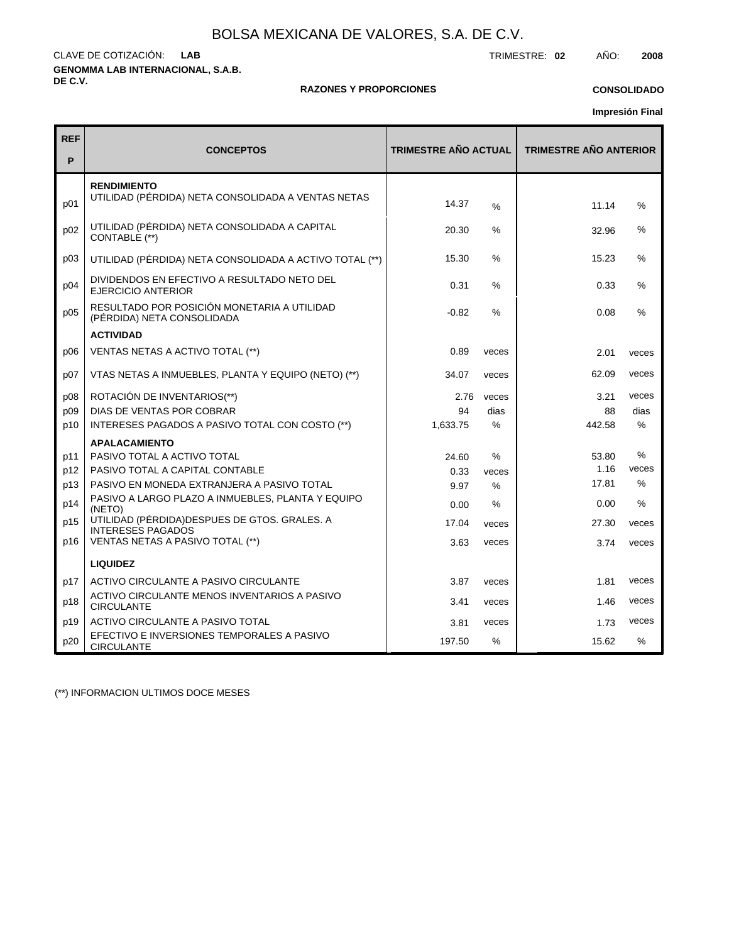**GENOMMA LAB INTERNACIONAL, S.A.B. DE C.V.** CLAVE DE COTIZACIÓN: TRIMESTRE: **02** AÑO: **2008 LAB**

### **RAZONES Y PROPORCIONES**

## **CONSOLIDADO**

**Impresión Final**

| <b>REF</b><br>P | <b>CONCEPTOS</b>                                                          | <b>TRIMESTRE AÑO ACTUAL</b> |       | <b>TRIMESTRE AÑO ANTERIOR</b> |               |  |  |
|-----------------|---------------------------------------------------------------------------|-----------------------------|-------|-------------------------------|---------------|--|--|
| p01             | <b>RENDIMIENTO</b><br>UTILIDAD (PÉRDIDA) NETA CONSOLIDADA A VENTAS NETAS  | 14.37                       | %     | 11.14                         | %             |  |  |
| p02             | UTILIDAD (PÉRDIDA) NETA CONSOLIDADA A CAPITAL<br>CONTABLE (**)            | 20.30                       | $\%$  | 32.96                         | %             |  |  |
| p03             | UTILIDAD (PÉRDIDA) NETA CONSOLIDADA A ACTIVO TOTAL (**)                   | 15.30                       | $\%$  | 15.23                         | %             |  |  |
| p04             | DIVIDENDOS EN EFECTIVO A RESULTADO NETO DEL<br>EJERCICIO ANTERIOR         | 0.31                        | %     | 0.33                          | %             |  |  |
| p05             | RESULTADO POR POSICIÓN MONETARIA A UTILIDAD<br>(PÉRDIDA) NETA CONSOLIDADA | $-0.82$                     | %     | 0.08                          | $\frac{0}{0}$ |  |  |
|                 | <b>ACTIVIDAD</b>                                                          |                             |       |                               |               |  |  |
| p06             | VENTAS NETAS A ACTIVO TOTAL (**)                                          | 0.89                        | veces | 2.01                          | veces         |  |  |
| p07             | VTAS NETAS A INMUEBLES, PLANTA Y EQUIPO (NETO) (**)                       | 34.07                       | veces | 62.09                         | veces         |  |  |
| p08             | ROTACIÓN DE INVENTARIOS(**)                                               | 2.76                        | veces | 3.21                          | veces         |  |  |
| p09             | DIAS DE VENTAS POR COBRAR                                                 | 94                          | dias  | 88                            | dias          |  |  |
| p10             | INTERESES PAGADOS A PASIVO TOTAL CON COSTO (**)                           | 1,633.75                    | $\%$  | 442.58                        | $\frac{0}{0}$ |  |  |
|                 | <b>APALACAMIENTO</b>                                                      |                             |       |                               |               |  |  |
| p11             | PASIVO TOTAL A ACTIVO TOTAL                                               | 24.60                       | %     | 53.80                         | $\frac{0}{0}$ |  |  |
| p12             | PASIVO TOTAL A CAPITAL CONTABLE                                           | 0.33                        | veces | 1.16                          | veces         |  |  |
| p13             | PASIVO EN MONEDA EXTRANJERA A PASIVO TOTAL                                | 9.97                        | $\%$  | 17.81                         | %             |  |  |
| p14             | PASIVO A LARGO PLAZO A INMUEBLES, PLANTA Y EQUIPO<br>(NETO)               | 0.00                        | %     | 0.00                          | $\frac{0}{0}$ |  |  |
| p15             | UTILIDAD (PÉRDIDA) DESPUES DE GTOS. GRALES. A<br><b>INTERESES PAGADOS</b> | 17.04                       | veces | 27.30                         | veces         |  |  |
| p16             | VENTAS NETAS A PASIVO TOTAL (**)                                          | 3.63                        | veces | 3.74                          | veces         |  |  |
|                 | <b>LIQUIDEZ</b>                                                           |                             |       |                               |               |  |  |
| p17             | ACTIVO CIRCULANTE A PASIVO CIRCULANTE                                     | 3.87                        | veces | 1.81                          | veces         |  |  |
| p18             | ACTIVO CIRCULANTE MENOS INVENTARIOS A PASIVO<br><b>CIRCULANTE</b>         | 3.41                        | veces | 1.46                          | veces         |  |  |
| p19             | ACTIVO CIRCULANTE A PASIVO TOTAL                                          | 3.81                        | veces | 1.73                          | veces         |  |  |
| p20             | EFECTIVO E INVERSIONES TEMPORALES A PASIVO<br><b>CIRCULANTE</b>           | 197.50                      | %     | 15.62                         | %             |  |  |

(\*\*) INFORMACION ULTIMOS DOCE MESES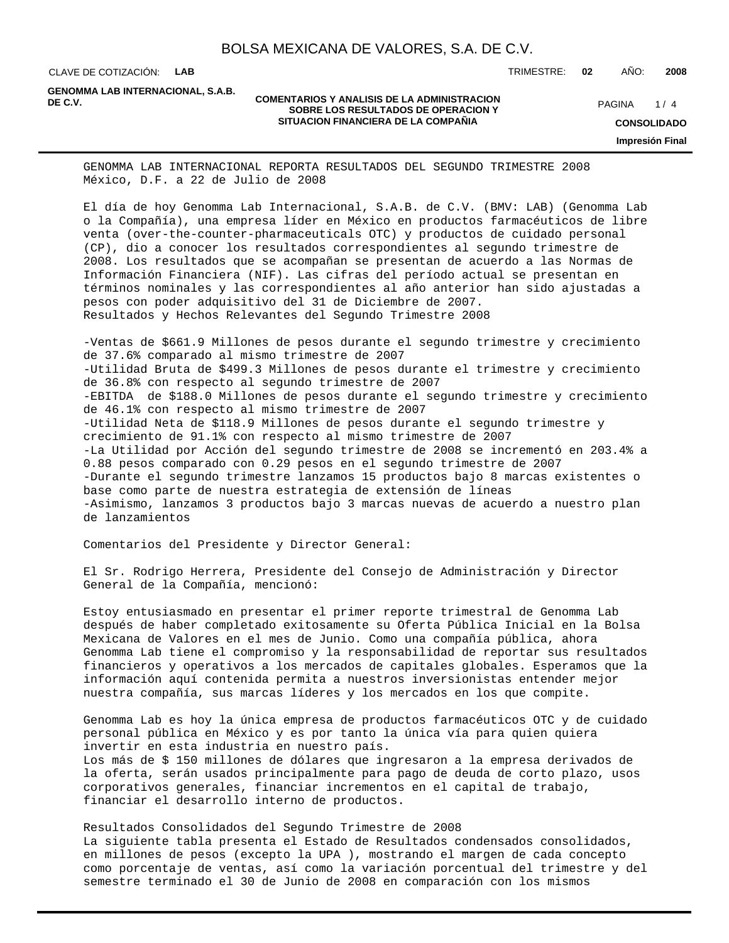CLAVE DE COTIZACIÓN: **LAB** TRIMESTRE: **02** AÑO: **2008**

**GENOMMA LAB INTERNACIONAL, S.A.B.**

### **COMENTARIOS Y ANALISIS DE LA ADMINISTRACION<br>
COMENTARIOS Y ANALISIS DE LA ADMINISTRACION MARIE DE CONTRACION DE CONTRACION DE CONTRACION DE CONTRACION DE CONTRACION DE CONTRACION DE CONTRACION DE CONTRACION DE CONTRACION SOBRE LOS RESULTADOS DE OPERACION Y SITUACION FINANCIERA DE LA COMPAÑIA**

 $1/4$ **CONSOLIDADO Impresión Final**

GENOMMA LAB INTERNACIONAL REPORTA RESULTADOS DEL SEGUNDO TRIMESTRE 2008 México, D.F. a 22 de Julio de 2008

El día de hoy Genomma Lab Internacional, S.A.B. de C.V. (BMV: LAB) (Genomma Lab o la Compañía), una empresa líder en México en productos farmacéuticos de libre venta (over-the-counter-pharmaceuticals OTC) y productos de cuidado personal (CP), dio a conocer los resultados correspondientes al segundo trimestre de 2008. Los resultados que se acompañan se presentan de acuerdo a las Normas de Información Financiera (NIF). Las cifras del período actual se presentan en términos nominales y las correspondientes al año anterior han sido ajustadas a pesos con poder adquisitivo del 31 de Diciembre de 2007. Resultados y Hechos Relevantes del Segundo Trimestre 2008

- Ventas de \$661.9 Millones de pesos durante el segundo trimestre y crecimiento de 37.6% comparado al mismo trimestre de 2007 - Utilidad Bruta de \$499.3 Millones de pesos durante el trimestre y crecimiento de 36.8% con respecto al segundo trimestre de 2007 - EBITDA de \$188.0 Millones de pesos durante el segundo trimestre y crecimiento de 46.1% con respecto al mismo trimestre de 2007 - Utilidad Neta de \$118.9 Millones de pesos durante el segundo trimestre y crecimiento de 91.1% con respecto al mismo trimestre de 2007 - La Utilidad por Acción del segundo trimestre de 2008 se incrementó en 203.4% a 0.88 pesos comparado con 0.29 pesos en el segundo trimestre de 2007 - Durante el segundo trimestre lanzamos 15 productos bajo 8 marcas existentes o base como parte de nuestra estrategia de extensión de líneas - Asimismo, lanzamos 3 productos bajo 3 marcas nuevas de acuerdo a nuestro plan de lanzamientos

Comentarios del Presidente y Director General:

El Sr. Rodrigo Herrera, Presidente del Consejo de Administración y Director General de la Compañía, mencionó:

Estoy entusiasmado en presentar el primer reporte trimestral de Genomma Lab después de haber completado exitosamente su Oferta Pública Inicial en la Bolsa Mexicana de Valores en el mes de Junio. Como una compañía pública, ahora Genomma Lab tiene el compromiso y la responsabilidad de reportar sus resultados financieros y operativos a los mercados de capitales globales. Esperamos que la información aquí contenida permita a nuestros inversionistas entender mejor nuestra compañía, sus marcas líderes y los mercados en los que compite.

Genomma Lab es hoy la única empresa de productos farmacéuticos OTC y de cuidado personal pública en México y es por tanto la única vía para quien quiera invertir en esta industria en nuestro país. Los más de \$ 150 millones de dólares que ingresaron a la empresa derivados de la oferta, serán usados principalmente para pago de deuda de corto plazo, usos corporativos generales, financiar incrementos en el capital de trabajo, financiar el desarrollo interno de productos.

Resultados Consolidados del Segundo Trimestre de 2008 La siguiente tabla presenta el Estado de Resultados condensados consolidados, en millones de pesos (excepto la UPA ), mostrando el margen de cada concepto como porcentaje de ventas, así como la variación porcentual del trimestre y del semestre terminado el 30 de Junio de 2008 en comparación con los mismos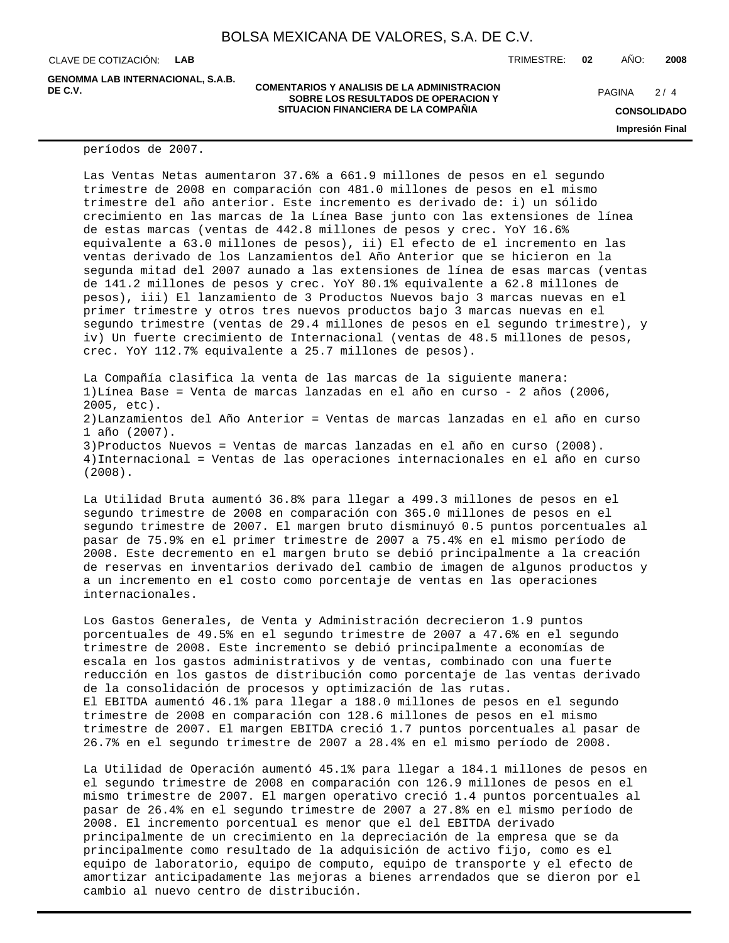CLAVE DE COTIZACIÓN: **LAB**

**GENOMMA LAB INTERNACIONAL, S.A.B.**

### **COMENTARIOS Y ANALISIS DE LA ADMINISTRACION<br>COMENTARIOS Y ANALISIS DE LA ADMINISTRACION Y PAGINA 2/4 SOBRE LOS RESULTADOS DE OPERACION Y SITUACION FINANCIERA DE LA COMPAÑIA**

 $2/4$ 

**CONSOLIDADO**

**Impresión Final**

períodos de 2007.

Las Ventas Netas aumentaron 37.6% a 661.9 millones de pesos en el segundo trimestre de 2008 en comparación con 481.0 millones de pesos en el mismo trimestre del año anterior. Este incremento es derivado de: i) un sólido crecimiento en las marcas de la Línea Base junto con las extensiones de línea de estas marcas (ventas de 442.8 millones de pesos y crec. YoY 16.6% equivalente a 63.0 millones de pesos), ii) El efecto de el incremento en las ventas derivado de los Lanzamientos del Año Anterior que se hicieron en la segunda mitad del 2007 aunado a las extensiones de línea de esas marcas (ventas de 141.2 millones de pesos y crec. YoY 80.1% equivalente a 62.8 millones de pesos), iii) El lanzamiento de 3 Productos Nuevos bajo 3 marcas nuevas en el primer trimestre y otros tres nuevos productos bajo 3 marcas nuevas en el segundo trimestre (ventas de 29.4 millones de pesos en el segundo trimestre), y iv) Un fuerte crecimiento de Internacional (ventas de 48.5 millones de pesos, crec. YoY 112.7% equivalente a 25.7 millones de pesos).

La Compañía clasifica la venta de las marcas de la siguiente manera: 1) Línea Base = Venta de marcas lanzadas en el año en curso - 2 años (2006, 2005, etc). 2) Lanzamientos del Año Anterior = Ventas de marcas lanzadas en el año en curso 1 año (2007). 3) Productos Nuevos = Ventas de marcas lanzadas en el año en curso (2008). 4) Internacional = Ventas de las operaciones internacionales en el año en curso (2008).

La Utilidad Bruta aumentó 36.8% para llegar a 499.3 millones de pesos en el segundo trimestre de 2008 en comparación con 365.0 millones de pesos en el segundo trimestre de 2007. El margen bruto disminuyó 0.5 puntos porcentuales al pasar de 75.9% en el primer trimestre de 2007 a 75.4% en el mismo período de 2008. Este decremento en el margen bruto se debió principalmente a la creación de reservas en inventarios derivado del cambio de imagen de algunos productos y a un incremento en el costo como porcentaje de ventas en las operaciones internacionales.

Los Gastos Generales, de Venta y Administración decrecieron 1.9 puntos porcentuales de 49.5% en el segundo trimestre de 2007 a 47.6% en el segundo trimestre de 2008. Este incremento se debió principalmente a economías de escala en los gastos administrativos y de ventas, combinado con una fuerte reducción en los gastos de distribución como porcentaje de las ventas derivado de la consolidación de procesos y optimización de las rutas. El EBITDA aumentó 46.1% para llegar a 188.0 millones de pesos en el segundo trimestre de 2008 en comparación con 128.6 millones de pesos en el mismo trimestre de 2007. El margen EBITDA creció 1.7 puntos porcentuales al pasar de 26.7% en el segundo trimestre de 2007 a 28.4% en el mismo período de 2008.

La Utilidad de Operación aumentó 45.1% para llegar a 184.1 millones de pesos en el segundo trimestre de 2008 en comparación con 126.9 millones de pesos en el mismo trimestre de 2007. El margen operativo creció 1.4 puntos porcentuales al pasar de 26.4% en el segundo trimestre de 2007 a 27.8% en el mismo período de 2008. El incremento porcentual es menor que el del EBITDA derivado principalmente de un crecimiento en la depreciación de la empresa que se da principalmente como resultado de la adquisición de activo fijo, como es el equipo de laboratorio, equipo de computo, equipo de transporte y el efecto de amortizar anticipadamente las mejoras a bienes arrendados que se dieron por el cambio al nuevo centro de distribución.

TRIMESTRE: **02** AÑO: **2008**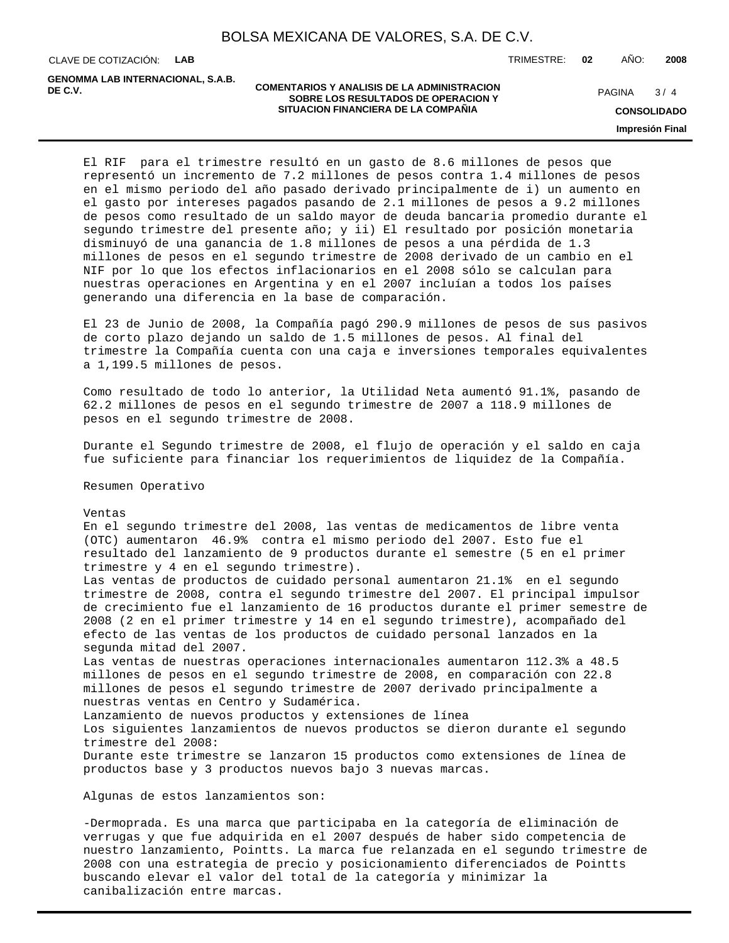CLAVE DE COTIZACIÓN: **LAB**

**GENOMMA LAB INTERNACIONAL, S.A.B.**

### **COMENTARIOS Y ANALISIS DE LA ADMINISTRACION SOBRE LOS RESULTADOS DE OPERACION Y DE C.V.** PAGINA / 4 **SITUACION FINANCIERA DE LA COMPAÑIA**

TRIMESTRE: **02** AÑO: **2008**

 $3/4$ 

**CONSOLIDADO**

**Impresión Final**

El RIF para el trimestre resultó en un gasto de 8.6 millones de pesos que representó un incremento de 7.2 millones de pesos contra 1.4 millones de pesos en el mismo periodo del año pasado derivado principalmente de i) un aumento en el gasto por intereses pagados pasando de 2.1 millones de pesos a 9.2 millones de pesos como resultado de un saldo mayor de deuda bancaria promedio durante el segundo trimestre del presente año; y ii) El resultado por posición monetaria disminuyó de una ganancia de 1.8 millones de pesos a una pérdida de 1.3 millones de pesos en el segundo trimestre de 2008 derivado de un cambio en el NIF por lo que los efectos inflacionarios en el 2008 sólo se calculan para nuestras operaciones en Argentina y en el 2007 incluían a todos los países generando una diferencia en la base de comparación.

El 23 de Junio de 2008, la Compañía pagó 290.9 millones de pesos de sus pasivos de corto plazo dejando un saldo de 1.5 millones de pesos. Al final del trimestre la Compañía cuenta con una caja e inversiones temporales equivalentes a 1,199.5 millones de pesos.

Como resultado de todo lo anterior, la Utilidad Neta aumentó 91.1%, pasando de 62.2 millones de pesos en el segundo trimestre de 2007 a 118.9 millones de pesos en el segundo trimestre de 2008.

Durante el Segundo trimestre de 2008, el flujo de operación y el saldo en caja fue suficiente para financiar los requerimientos de liquidez de la Compañía.

Resumen Operativo

Ventas

En el segundo trimestre del 2008, las ventas de medicamentos de libre venta (OTC) aumentaron 46.9% contra el mismo periodo del 2007. Esto fue el resultado del lanzamiento de 9 productos durante el semestre (5 en el primer trimestre y 4 en el segundo trimestre). Las ventas de productos de cuidado personal aumentaron 21.1% en el segundo trimestre de 2008, contra el segundo trimestre del 2007. El principal impulsor de crecimiento fue el lanzamiento de 16 productos durante el primer semestre de 2008 (2 en el primer trimestre y 14 en el segundo trimestre), acompañado del efecto de las ventas de los productos de cuidado personal lanzados en la segunda mitad del 2007. Las ventas de nuestras operaciones internacionales aumentaron 112.3% a 48.5 millones de pesos en el segundo trimestre de 2008, en comparación con 22.8 millones de pesos el segundo trimestre de 2007 derivado principalmente a nuestras ventas en Centro y Sudamérica. Lanzamiento de nuevos productos y extensiones de línea Los siguientes lanzamientos de nuevos productos se dieron durante el segundo trimestre del 2008: Durante este trimestre se lanzaron 15 productos como extensiones de línea de productos base y 3 productos nuevos bajo 3 nuevas marcas.

Algunas de estos lanzamientos son:

- Dermoprada. Es una marca que participaba en la categoría de eliminación de verrugas y que fue adquirida en el 2007 después de haber sido competencia de nuestro lanzamiento, Pointts. La marca fue relanzada en el segundo trimestre de 2008 con una estrategia de precio y posicionamiento diferenciados de Pointts buscando elevar el valor del total de la categoría y minimizar la canibalización entre marcas.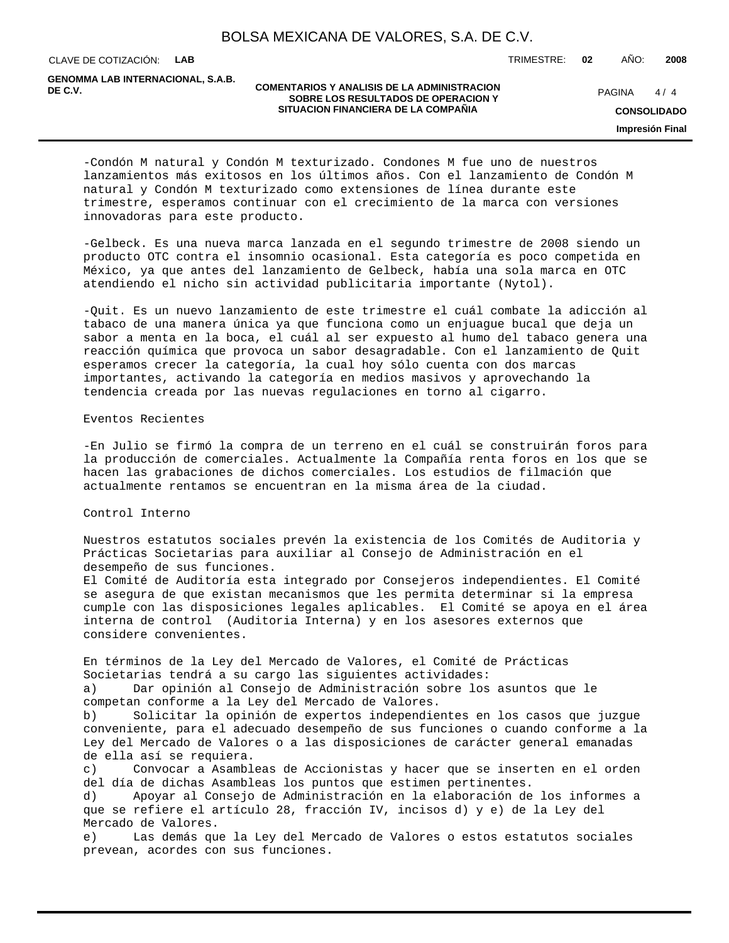CLAVE DE COTIZACIÓN: **LAB**

**GENOMMA LAB INTERNACIONAL, S.A.B.**

### **COMENTARIOS Y ANALISIS DE LA ADMINISTRACION SOBRE LOS RESULTADOS DE OPERACION Y DE C.V.** PAGINA / 4 **SITUACION FINANCIERA DE LA COMPAÑIA**

 $4/4$ 

TRIMESTRE: **02** AÑO: **2008**

**CONSOLIDADO**

**Impresión Final**

- Condón M natural y Condón M texturizado. Condones M fue uno de nuestros lanzamientos más exitosos en los últimos años. Con el lanzamiento de Condón M natural y Condón M texturizado como extensiones de línea durante este trimestre, esperamos continuar con el crecimiento de la marca con versiones innovadoras para este producto.

- Gelbeck. Es una nueva marca lanzada en el segundo trimestre de 2008 siendo un producto OTC contra el insomnio ocasional. Esta categoría es poco competida en México, ya que antes del lanzamiento de Gelbeck, había una sola marca en OTC atendiendo el nicho sin actividad publicitaria importante (Nytol).

- Quit. Es un nuevo lanzamiento de este trimestre el cuál combate la adicción al tabaco de una manera única ya que funciona como un enjuague bucal que deja un sabor a menta en la boca, el cuál al ser expuesto al humo del tabaco genera una reacción química que provoca un sabor desagradable. Con el lanzamiento de Quit esperamos crecer la categoría, la cual hoy sólo cuenta con dos marcas importantes, activando la categoría en medios masivos y aprovechando la tendencia creada por las nuevas regulaciones en torno al cigarro.

### Eventos Recientes

- En Julio se firmó la compra de un terreno en el cuál se construirán foros para la producción de comerciales. Actualmente la Compañía renta foros en los que se hacen las grabaciones de dichos comerciales. Los estudios de filmación que actualmente rentamos se encuentran en la misma área de la ciudad.

### Control Interno

Nuestros estatutos sociales prevén la existencia de los Comités de Auditoria y Prácticas Societarias para auxiliar al Consejo de Administración en el desempeño de sus funciones. El Comité de Auditoría esta integrado por Consejeros independientes. El Comité se asegura de que existan mecanismos que les permita determinar si la empresa cumple con las disposiciones legales aplicables. El Comité se apoya en el área interna de control (Auditoria Interna) y en los asesores externos que considere convenientes.

En términos de la Ley del Mercado de Valores, el Comité de Prácticas Societarias tendrá a su cargo las siguientes actividades: a) Dar opinión al Consejo de Administración sobre los asuntos que le competan conforme a la Ley del Mercado de Valores.

b) Solicitar la opinión de expertos independientes en los casos que juzgue conveniente, para el adecuado desempeño de sus funciones o cuando conforme a la Ley del Mercado de Valores o a las disposiciones de carácter general emanadas de ella así se requiera.

c) Convocar a Asambleas de Accionistas y hacer que se inserten en el orden del día de dichas Asambleas los puntos que estimen pertinentes.

d) Apoyar al Consejo de Administración en la elaboración de los informes a que se refiere el artículo 28, fracción IV, incisos d) y e) de la Ley del Mercado de Valores.

e) Las demás que la Ley del Mercado de Valores o estos estatutos sociales prevean, acordes con sus funciones.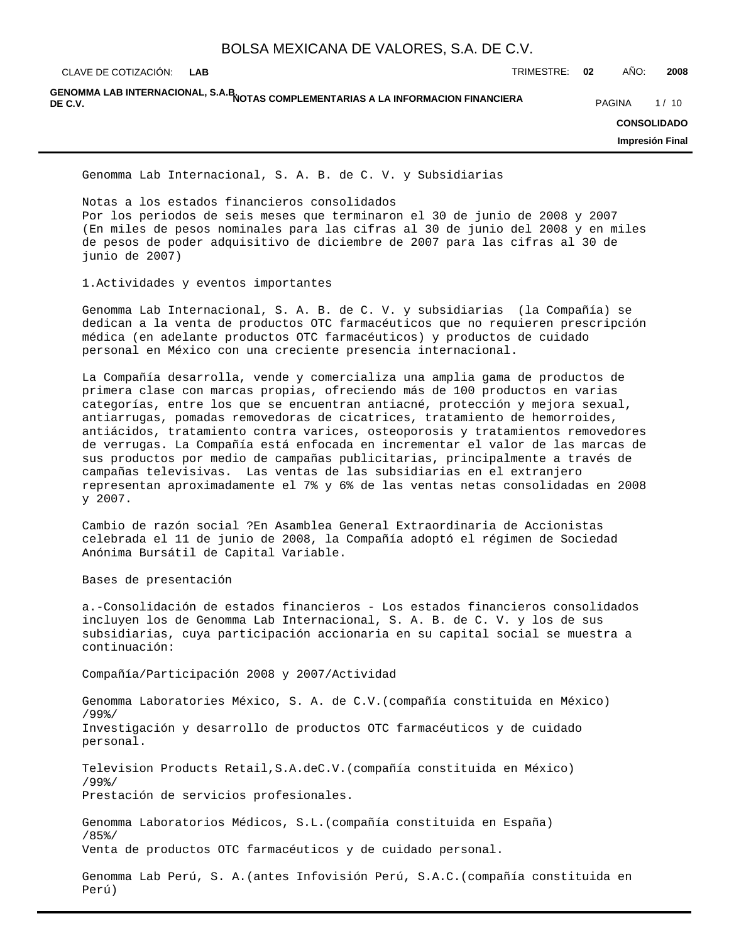**LAB**

CLAVE DE COTIZACIÓN: TRIMESTRE: **02** AÑO: **2008**

GENOMMA LAB INTERNACIONAL, S.A.B<mark>.</mark><br>DE C.V. **DE C.V.** PAGINA 1/10

**CONSOLIDADO**

**Impresión Final**

Genomma Lab Internacional, S. A. B. de C. V. y Subsidiarias

Notas a los estados financieros consolidados

Por los periodos de seis meses que terminaron el 30 de junio de 2008 y 2007 (En miles de pesos nominales para las cifras al 30 de junio del 2008 y en miles de pesos de poder adquisitivo de diciembre de 2007 para las cifras al 30 de junio de 2007)

1.Actividades y eventos importantes

Genomma Lab Internacional, S. A. B. de C. V. y subsidiarias (la Compañía) se dedican a la venta de productos OTC farmacéuticos que no requieren prescripción médica (en adelante productos OTC farmacéuticos) y productos de cuidado personal en México con una creciente presencia internacional.

La Compañía desarrolla, vende y comercializa una amplia gama de productos de primera clase con marcas propias, ofreciendo más de 100 productos en varias categorías, entre los que se encuentran antiacné, protección y mejora sexual, antiarrugas, pomadas removedoras de cicatrices, tratamiento de hemorroides, antiácidos, tratamiento contra varices, osteoporosis y tratamientos removedores de verrugas. La Compañía está enfocada en incrementar el valor de las marcas de sus productos por medio de campañas publicitarias, principalmente a través de campañas televisivas. Las ventas de las subsidiarias en el extranjero representan aproximadamente el 7% y 6% de las ventas netas consolidadas en 2008 y 2007.

Cambio de razón social ?En Asamblea General Extraordinaria de Accionistas celebrada el 11 de junio de 2008, la Compañía adoptó el régimen de Sociedad Anónima Bursátil de Capital Variable.

Bases de presentación

a.-Consolidación de estados financieros - Los estados financieros consolidados incluyen los de Genomma Lab Internacional, S. A. B. de C. V. y los de sus subsidiarias, cuya participación accionaria en su capital social se muestra a continuación:

Compañía/Participación 2008 y 2007/Actividad

Genomma Laboratories México, S. A. de C.V.(compañía constituida en México) /99%/ Investigación y desarrollo de productos OTC farmacéuticos y de cuidado personal.

Television Products Retail,S.A.deC.V.(compañía constituida en México) /99%/ Prestación de servicios profesionales.

Genomma Laboratorios Médicos, S.L.(compañía constituida en España) /85%/ Venta de productos OTC farmacéuticos y de cuidado personal.

Genomma Lab Perú, S. A.(antes Infovisión Perú, S.A.C.(compañía constituida en Perú)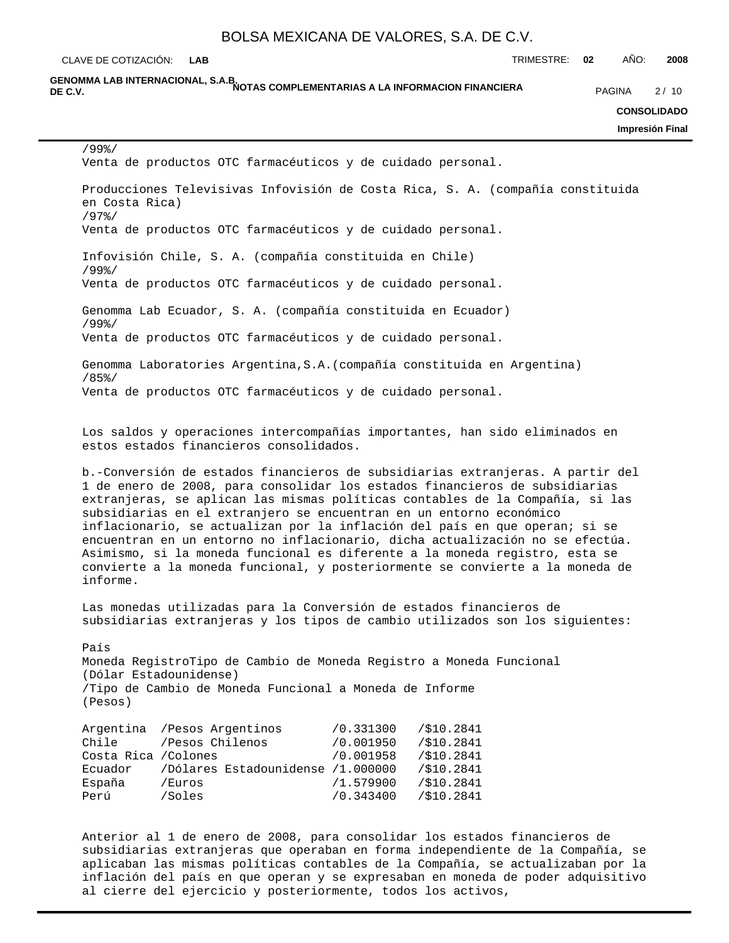CLAVE DE COTIZACIÓN: TRIMESTRE: **02** AÑO: **2008 LAB**

GENOMMA LAB INTERNACIONAL, S.A.B.<br>DE C.V. **DE C.V.** PAGINA 2/10

**CONSOLIDADO**

**Impresión Final**

/99%/ Venta de productos OTC farmacéuticos y de cuidado personal. Producciones Televisivas Infovisión de Costa Rica, S. A. (compañía constituida en Costa Rica) /97%/ Venta de productos OTC farmacéuticos y de cuidado personal. Infovisión Chile, S. A. (compañía constituida en Chile) /99%/ Venta de productos OTC farmacéuticos y de cuidado personal. Genomma Lab Ecuador, S. A. (compañía constituida en Ecuador) /99%/ Venta de productos OTC farmacéuticos y de cuidado personal. Genomma Laboratories Argentina,S.A.(compañía constituida en Argentina) /85%/ Venta de productos OTC farmacéuticos y de cuidado personal. Los saldos y operaciones intercompañías importantes, han sido eliminados en estos estados financieros consolidados. b.-Conversión de estados financieros de subsidiarias extranjeras. A partir del 1 de enero de 2008, para consolidar los estados financieros de subsidiarias extranjeras, se aplican las mismas políticas contables de la Compañía, si las subsidiarias en el extranjero se encuentran en un entorno económico inflacionario, se actualizan por la inflación del país en que operan; si se encuentran en un entorno no inflacionario, dicha actualización no se efectúa. Asimismo, si la moneda funcional es diferente a la moneda registro, esta se convierte a la moneda funcional, y posteriormente se convierte a la moneda de informe. Las monedas utilizadas para la Conversión de estados financieros de subsidiarias extranjeras y los tipos de cambio utilizados son los siguientes: País Moneda Registro Tipo de Cambio de Moneda Registro a Moneda Funcional (Dólar Estadounidense) /Tipo de Cambio de Moneda Funcional a Moneda de Informe (Pesos) Argentina /Pesos Argentinos /0.331300 /\$10.2841 Chile /Pesos Chilenos /0.001950 /\$10.2841 Costa Rica /Colones /0.001958 /\$10.2841 Ecuador /Dólares Estadounidense /1.000000 /\$10.2841 España /Euros /1.579900 /\$10.2841 Perú /Soles /0.343400 /\$10.2841

Anterior al 1 de enero de 2008, para consolidar los estados financieros de subsidiarias extranjeras que operaban en forma independiente de la Compañía, se aplicaban las mismas políticas contables de la Compañía, se actualizaban por la inflación del país en que operan y se expresaban en moneda de poder adquisitivo al cierre del ejercicio y posteriormente, todos los activos,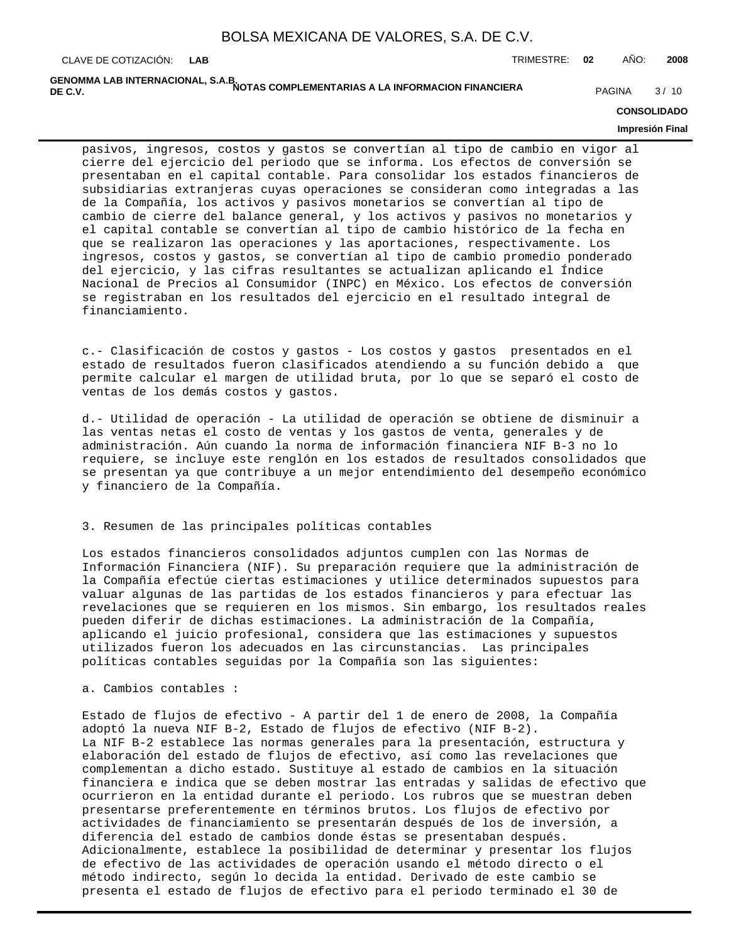GENOMMA LAB INTERNACIONAL, S.A.B.<br>DE C.V. **DE C.V.** PAGINA 3/10

### **CONSOLIDADO**

### **Impresión Final**

pasivos, ingresos, costos y gastos se convertían al tipo de cambio en vigor al cierre del ejercicio del periodo que se informa. Los efectos de conversión se presentaban en el capital contable. Para consolidar los estados financieros de subsidiarias extranjeras cuyas operaciones se consideran como integradas a las de la Compañía, los activos y pasivos monetarios se convertían al tipo de cambio de cierre del balance general, y los activos y pasivos no monetarios y el capital contable se convertían al tipo de cambio histórico de la fecha en que se realizaron las operaciones y las aportaciones, respectivamente. Los ingresos, costos y gastos, se convertían al tipo de cambio promedio ponderado del ejercicio, y las cifras resultantes se actualizan aplicando el Índice Nacional de Precios al Consumidor (INPC) en México. Los efectos de conversión se registraban en los resultados del ejercicio en el resultado integral de financiamiento.

c.- Clasificación de costos y gastos - Los costos y gastos presentados en el estado de resultados fueron clasificados atendiendo a su función debido a que permite calcular el margen de utilidad bruta, por lo que se separó el costo de ventas de los demás costos y gastos.

d.- Utilidad de operación - La utilidad de operación se obtiene de disminuir a las ventas netas el costo de ventas y los gastos de venta, generales y de administración. Aún cuando la norma de información financiera NIF B-3 no lo requiere, se incluye este renglón en los estados de resultados consolidados que se presentan ya que contribuye a un mejor entendimiento del desempeño económico y financiero de la Compañía.

### 3. Resumen de las principales políticas contables

Los estados financieros consolidados adjuntos cumplen con las Normas de Información Financiera (NIF). Su preparación requiere que la administración de la Compañía efectúe ciertas estimaciones y utilice determinados supuestos para valuar algunas de las partidas de los estados financieros y para efectuar las revelaciones que se requieren en los mismos. Sin embargo, los resultados reales pueden diferir de dichas estimaciones. La administración de la Compañía, aplicando el juicio profesional, considera que las estimaciones y supuestos utilizados fueron los adecuados en las circunstancias. Las principales políticas contables seguidas por la Compañía son las siguientes:

a. Cambios contables :

Estado de flujos de efectivo - A partir del 1 de enero de 2008, la Compañía adoptó la nueva NIF B-2, Estado de flujos de efectivo (NIF B-2). La NIF B-2 establece las normas generales para la presentación, estructura y elaboración del estado de flujos de efectivo, así como las revelaciones que complementan a dicho estado. Sustituye al estado de cambios en la situación financiera e indica que se deben mostrar las entradas y salidas de efectivo que ocurrieron en la entidad durante el periodo. Los rubros que se muestran deben presentarse preferentemente en términos brutos. Los flujos de efectivo por actividades de financiamiento se presentarán después de los de inversión, a diferencia del estado de cambios donde éstas se presentaban después. Adicionalmente, establece la posibilidad de determinar y presentar los flujos de efectivo de las actividades de operación usando el método directo o el método indirecto, según lo decida la entidad. Derivado de este cambio se presenta el estado de flujos de efectivo para el periodo terminado el 30 de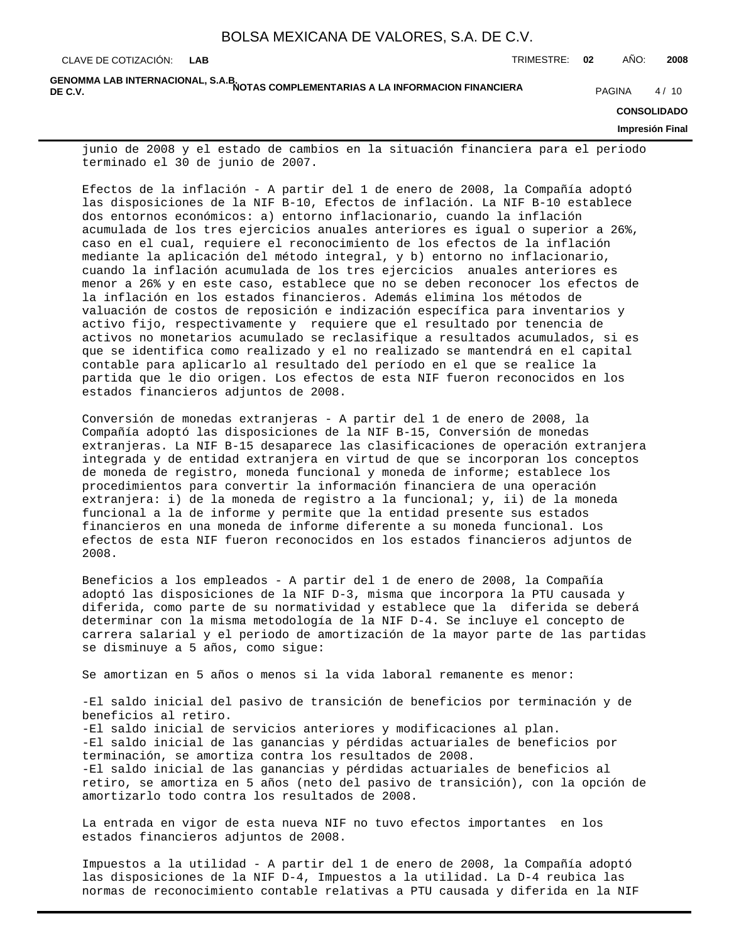GENOMMA LAB INTERNACIONAL, S.A.B.<br>DE C.V. **DE C.V.** PAGINA 4/10

**CONSOLIDADO**

**Impresión Final**

junio de 2008 y el estado de cambios en la situación financiera para el periodo terminado el 30 de junio de 2007.

Efectos de la inflación - A partir del 1 de enero de 2008, la Compañía adoptó las disposiciones de la NIF B-10, Efectos de inflación. La NIF B-10 establece dos entornos económicos: a) entorno inflacionario, cuando la inflación acumulada de los tres ejercicios anuales anteriores es igual o superior a 26%, caso en el cual, requiere el reconocimiento de los efectos de la inflación mediante la aplicación del método integral, y b) entorno no inflacionario, cuando la inflación acumulada de los tres ejercicios anuales anteriores es menor a 26% y en este caso, establece que no se deben reconocer los efectos de la inflación en los estados financieros. Además elimina los métodos de valuación de costos de reposición e indización específica para inventarios y activo fijo, respectivamente y requiere que el resultado por tenencia de activos no monetarios acumulado se reclasifique a resultados acumulados, si es que se identifica como realizado y el no realizado se mantendrá en el capital contable para aplicarlo al resultado del período en el que se realice la partida que le dio origen. Los efectos de esta NIF fueron reconocidos en los estados financieros adjuntos de 2008.

Conversión de monedas extranjeras - A partir del 1 de enero de 2008, la Compañía adoptó las disposiciones de la NIF B-15, Conversión de monedas extranjeras. La NIF B-15 desaparece las clasificaciones de operación extranjera integrada y de entidad extranjera en virtud de que se incorporan los conceptos de moneda de registro, moneda funcional y moneda de informe; establece los procedimientos para convertir la información financiera de una operación extranjera: i) de la moneda de registro a la funcional; y, ii) de la moneda funcional a la de informe y permite que la entidad presente sus estados financieros en una moneda de informe diferente a su moneda funcional. Los efectos de esta NIF fueron reconocidos en los estados financieros adjuntos de 2008.

Beneficios a los empleados - A partir del 1 de enero de 2008, la Compañía adoptó las disposiciones de la NIF D-3, misma que incorpora la PTU causada y diferida, como parte de su normatividad y establece que la diferida se deberá determinar con la misma metodología de la NIF D-4. Se incluye el concepto de carrera salarial y el periodo de amortización de la mayor parte de las partidas se disminuye a 5 años, como sigue:

Se amortizan en 5 años o menos si la vida laboral remanente es menor:

-El saldo inicial del pasivo de transición de beneficios por terminación y de beneficios al retiro. -El saldo inicial de servicios anteriores y modificaciones al plan. -El saldo inicial de las ganancias y pérdidas actuariales de beneficios por terminación, se amortiza contra los resultados de 2008. -El saldo inicial de las ganancias y pérdidas actuariales de beneficios al retiro, se amortiza en 5 años (neto del pasivo de transición), con la opción de amortizarlo todo contra los resultados de 2008.

La entrada en vigor de esta nueva NIF no tuvo efectos importantes en los estados financieros adjuntos de 2008.

Impuestos a la utilidad - A partir del 1 de enero de 2008, la Compañía adoptó las disposiciones de la NIF D-4, Impuestos a la utilidad. La D-4 reubica las normas de reconocimiento contable relativas a PTU causada y diferida en la NIF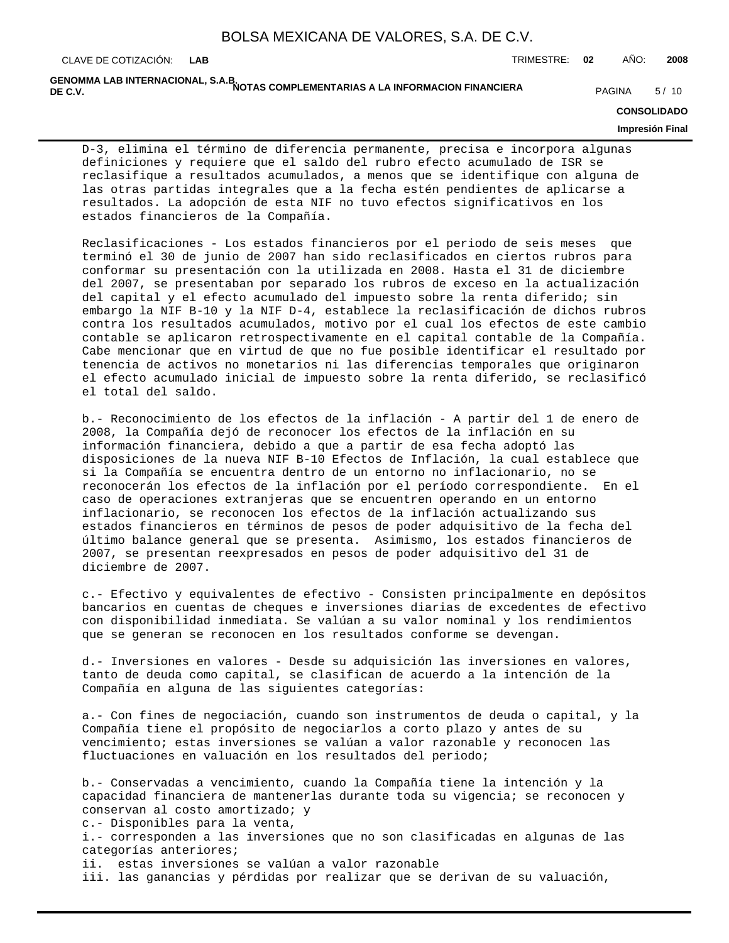GENOMMA LAB INTERNACIONAL, S.A.B.<br>DE C.V. **DE C.V.** PAGINA 5/10

**CONSOLIDADO**

**Impresión Final**

D-3, elimina el término de diferencia permanente, precisa e incorpora algunas definiciones y requiere que el saldo del rubro efecto acumulado de ISR se reclasifique a resultados acumulados, a menos que se identifique con alguna de las otras partidas integrales que a la fecha estén pendientes de aplicarse a resultados. La adopción de esta NIF no tuvo efectos significativos en los estados financieros de la Compañía.

Reclasificaciones - Los estados financieros por el periodo de seis meses que terminó el 30 de junio de 2007 han sido reclasificados en ciertos rubros para conformar su presentación con la utilizada en 2008. Hasta el 31 de diciembre del 2007, se presentaban por separado los rubros de exceso en la actualización del capital y el efecto acumulado del impuesto sobre la renta diferido; sin embargo la NIF B-10 y la NIF D-4, establece la reclasificación de dichos rubros contra los resultados acumulados, motivo por el cual los efectos de este cambio contable se aplicaron retrospectivamente en el capital contable de la Compañía. Cabe mencionar que en virtud de que no fue posible identificar el resultado por tenencia de activos no monetarios ni las diferencias temporales que originaron el efecto acumulado inicial de impuesto sobre la renta diferido, se reclasificó el total del saldo.

b.- Reconocimiento de los efectos de la inflación - A partir del 1 de enero de 2008, la Compañía dejó de reconocer los efectos de la inflación en su información financiera, debido a que a partir de esa fecha adoptó las disposiciones de la nueva NIF B-10 Efectos de Inflación, la cual establece que si la Compañía se encuentra dentro de un entorno no inflacionario, no se reconocerán los efectos de la inflación por el período correspondiente. En el caso de operaciones extranjeras que se encuentren operando en un entorno inflacionario, se reconocen los efectos de la inflación actualizando sus estados financieros en términos de pesos de poder adquisitivo de la fecha del último balance general que se presenta. Asimismo, los estados financieros de 2007, se presentan reexpresados en pesos de poder adquisitivo del 31 de diciembre de 2007.

c.- Efectivo y equivalentes de efectivo - Consisten principalmente en depósitos bancarios en cuentas de cheques e inversiones diarias de excedentes de efectivo con disponibilidad inmediata. Se valúan a su valor nominal y los rendimientos que se generan se reconocen en los resultados conforme se devengan.

d.- Inversiones en valores - Desde su adquisición las inversiones en valores, tanto de deuda como capital, se clasifican de acuerdo a la intención de la Compañía en alguna de las siguientes categorías:

a.- Con fines de negociación, cuando son instrumentos de deuda o capital, y la Compañía tiene el propósito de negociarlos a corto plazo y antes de su vencimiento; estas inversiones se valúan a valor razonable y reconocen las fluctuaciones en valuación en los resultados del periodo;

b.- Conservadas a vencimiento, cuando la Compañía tiene la intención y la capacidad financiera de mantenerlas durante toda su vigencia; se reconocen y conservan al costo amortizado; y c.- Disponibles para la venta, i.- corresponden a las inversiones que no son clasificadas en algunas de las categorías anteriores; ii. estas inversiones se valúan a valor razonable

iii. las ganancias y pérdidas por realizar que se derivan de su valuación,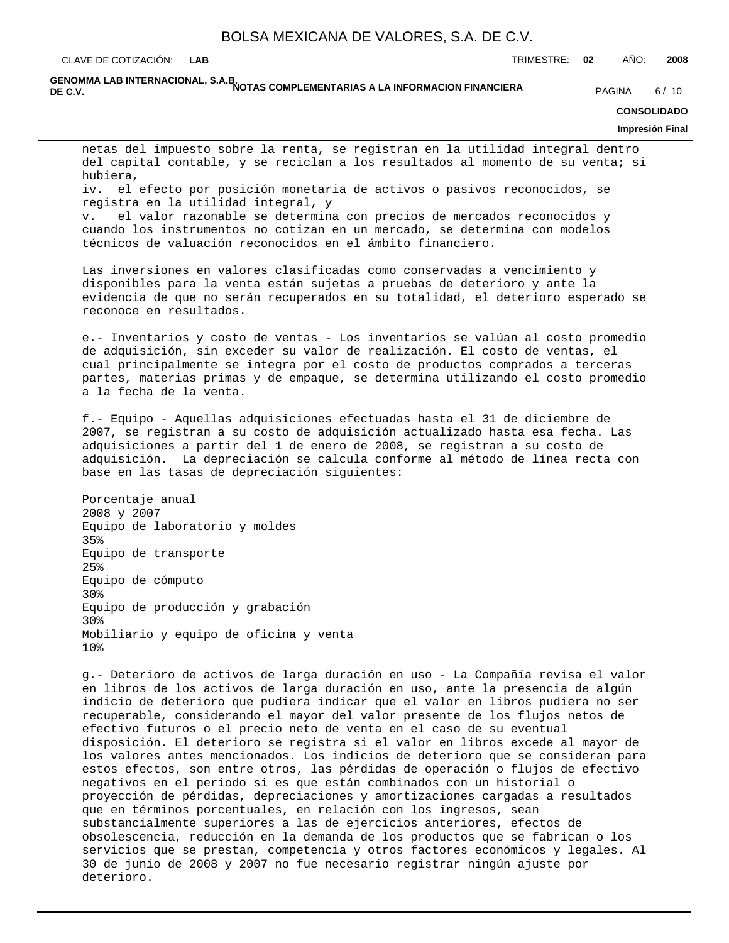CLAVE DE COTIZACIÓN: TRIMESTRE: **02** AÑO: **2008 LAB**

GENOMMA LAB INTERNACIONAL, S.A.B.<br>DE C.V. **DE C.V.** PAGINA 6/10

### **CONSOLIDADO**

### **Impresión Final**

netas del impuesto sobre la renta, se registran en la utilidad integral dentro del capital contable, y se reciclan a los resultados al momento de su venta; si hubiera,

iv. el efecto por posición monetaria de activos o pasivos reconocidos, se registra en la utilidad integral, y

v. el valor razonable se determina con precios de mercados reconocidos y cuando los instrumentos no cotizan en un mercado, se determina con modelos técnicos de valuación reconocidos en el ámbito financiero.

Las inversiones en valores clasificadas como conservadas a vencimiento y disponibles para la venta están sujetas a pruebas de deterioro y ante la evidencia de que no serán recuperados en su totalidad, el deterioro esperado se reconoce en resultados.

e.- Inventarios y costo de ventas - Los inventarios se valúan al costo promedio de adquisición, sin exceder su valor de realización. El costo de ventas, el cual principalmente se integra por el costo de productos comprados a terceras partes, materias primas y de empaque, se determina utilizando el costo promedio a la fecha de la venta.

f.- Equipo - Aquellas adquisiciones efectuadas hasta el 31 de diciembre de 2007, se registran a su costo de adquisición actualizado hasta esa fecha. Las adquisiciones a partir del 1 de enero de 2008, se registran a su costo de adquisición. La depreciación se calcula conforme al método de línea recta con base en las tasas de depreciación siguientes:

Porcentaje anual 2008 y 2007 Equipo de laboratorio y moldes 35% Equipo de transporte 25% Equipo de cómputo 30% Equipo de producción y grabación 30% Mobiliario y equipo de oficina y venta 10%

g.- Deterioro de activos de larga duración en uso - La Compañía revisa el valor en libros de los activos de larga duración en uso, ante la presencia de algún indicio de deterioro que pudiera indicar que el valor en libros pudiera no ser recuperable, considerando el mayor del valor presente de los flujos netos de efectivo futuros o el precio neto de venta en el caso de su eventual disposición. El deterioro se registra si el valor en libros excede al mayor de los valores antes mencionados. Los indicios de deterioro que se consideran para estos efectos, son entre otros, las pérdidas de operación o flujos de efectivo negativos en el periodo si es que están combinados con un historial o proyección de pérdidas, depreciaciones y amortizaciones cargadas a resultados que en términos porcentuales, en relación con los ingresos, sean substancialmente superiores a las de ejercicios anteriores, efectos de obsolescencia, reducción en la demanda de los productos que se fabrican o los servicios que se prestan, competencia y otros factores económicos y legales. Al 30 de junio de 2008 y 2007 no fue necesario registrar ningún ajuste por deterioro.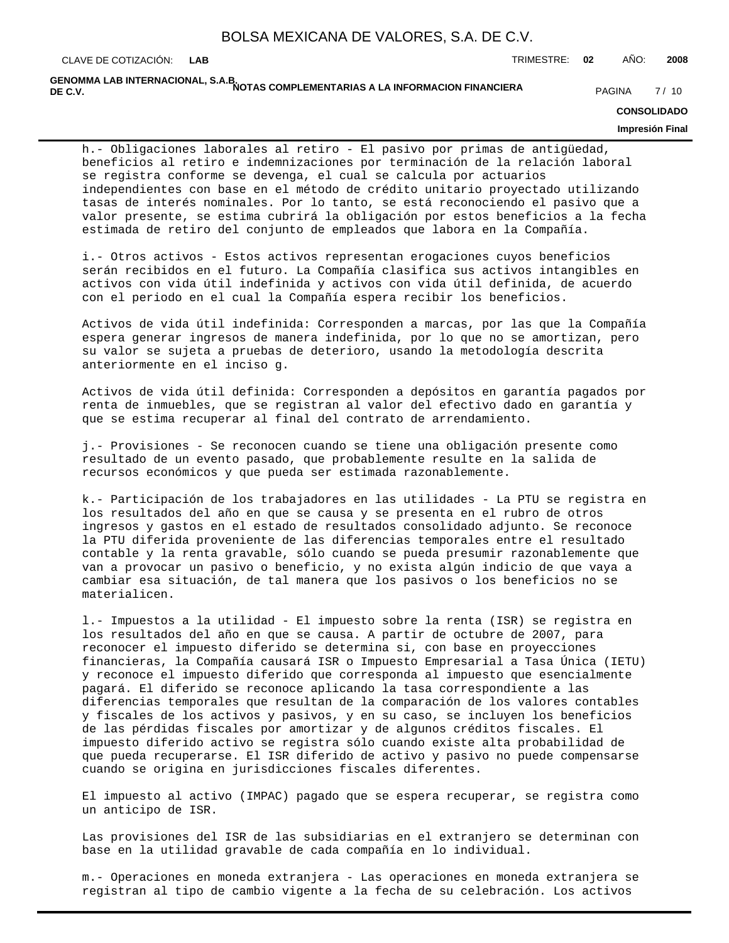GENOMMA LAB INTERNACIONAL, S.A.B.<br>DE C.V. **DE C.V.** PAGINA 7/10

**CONSOLIDADO**

### **Impresión Final**

h.- Obligaciones laborales al retiro - El pasivo por primas de antigüedad, beneficios al retiro e indemnizaciones por terminación de la relación laboral se registra conforme se devenga, el cual se calcula por actuarios independientes con base en el método de crédito unitario proyectado utilizando tasas de interés nominales. Por lo tanto, se está reconociendo el pasivo que a valor presente, se estima cubrirá la obligación por estos beneficios a la fecha estimada de retiro del conjunto de empleados que labora en la Compañía.

i.- Otros activos - Estos activos representan erogaciones cuyos beneficios serán recibidos en el futuro. La Compañía clasifica sus activos intangibles en activos con vida útil indefinida y activos con vida útil definida, de acuerdo con el periodo en el cual la Compañía espera recibir los beneficios.

Activos de vida útil indefinida: Corresponden a marcas, por las que la Compañía espera generar ingresos de manera indefinida, por lo que no se amortizan, pero su valor se sujeta a pruebas de deterioro, usando la metodología descrita anteriormente en el inciso g.

Activos de vida útil definida: Corresponden a depósitos en garantía pagados por renta de inmuebles, que se registran al valor del efectivo dado en garantía y que se estima recuperar al final del contrato de arrendamiento.

j.- Provisiones - Se reconocen cuando se tiene una obligación presente como resultado de un evento pasado, que probablemente resulte en la salida de recursos económicos y que pueda ser estimada razonablemente.

k.- Participación de los trabajadores en las utilidades - La PTU se registra en los resultados del año en que se causa y se presenta en el rubro de otros ingresos y gastos en el estado de resultados consolidado adjunto. Se reconoce la PTU diferida proveniente de las diferencias temporales entre el resultado contable y la renta gravable, sólo cuando se pueda presumir razonablemente que van a provocar un pasivo o beneficio, y no exista algún indicio de que vaya a cambiar esa situación, de tal manera que los pasivos o los beneficios no se materialicen.

l.- Impuestos a la utilidad - El impuesto sobre la renta (ISR) se registra en los resultados del año en que se causa. A partir de octubre de 2007, para reconocer el impuesto diferido se determina si, con base en proyecciones financieras, la Compañía causará ISR o Impuesto Empresarial a Tasa Única (IETU) y reconoce el impuesto diferido que corresponda al impuesto que esencialmente pagará. El diferido se reconoce aplicando la tasa correspondiente a las diferencias temporales que resultan de la comparación de los valores contables y fiscales de los activos y pasivos, y en su caso, se incluyen los beneficios de las pérdidas fiscales por amortizar y de algunos créditos fiscales. El impuesto diferido activo se registra sólo cuando existe alta probabilidad de que pueda recuperarse. El ISR diferido de activo y pasivo no puede compensarse cuando se origina en jurisdicciones fiscales diferentes.

El impuesto al activo (IMPAC) pagado que se espera recuperar, se registra como un anticipo de ISR.

Las provisiones del ISR de las subsidiarias en el extranjero se determinan con base en la utilidad gravable de cada compañía en lo individual.

m.- Operaciones en moneda extranjera - Las operaciones en moneda extranjera se registran al tipo de cambio vigente a la fecha de su celebración. Los activos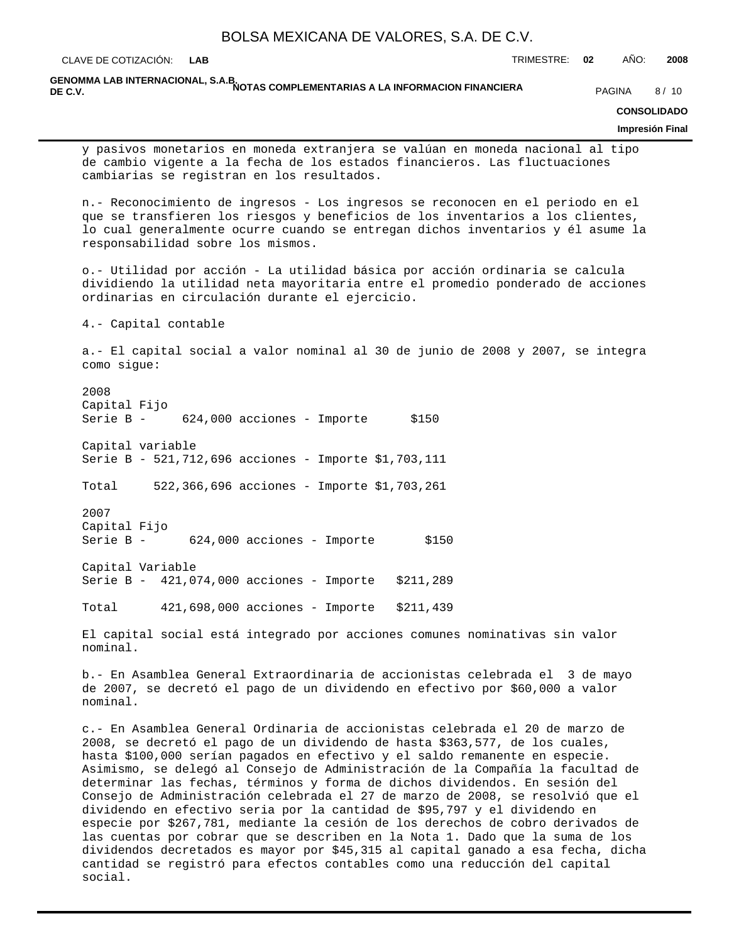CLAVE DE COTIZACIÓN: TRIMESTRE: **02** AÑO: **2008 LAB**

GENOMMA LAB INTERNACIONAL, S.A.B.<br>DE C.V. **DE C.V.** PAGINA 8/10

### **CONSOLIDADO**

**Impresión Final**

y pasivos monetarios en moneda extranjera se valúan en moneda nacional al tipo de cambio vigente a la fecha de los estados financieros. Las fluctuaciones cambiarias se registran en los resultados.

n.- Reconocimiento de ingresos - Los ingresos se reconocen en el periodo en el que se transfieren los riesgos y beneficios de los inventarios a los clientes, lo cual generalmente ocurre cuando se entregan dichos inventarios y él asume la responsabilidad sobre los mismos.

o.- Utilidad por acción - La utilidad básica por acción ordinaria se calcula dividiendo la utilidad neta mayoritaria entre el promedio ponderado de acciones ordinarias en circulación durante el ejercicio.

4.- Capital contable

a.- El capital social a valor nominal al 30 de junio de 2008 y 2007, se integra como sigue:

2008 Capital Fijo Serie B - 624,000 acciones - Importe \$150

Capital variable Serie B - 521,712,696 acciones - Importe \$1,703,111

Total 522,366,696 acciones - Importe \$1,703,261

2007 Capital Fijo Serie B - 624,000 acciones - Importe \$150

Capital Variable Serie B - 421,074,000 acciones - Importe \$211,289

Total 421,698,000 acciones - Importe \$211,439

El capital social está integrado por acciones comunes nominativas sin valor nominal.

b.- En Asamblea General Extraordinaria de accionistas celebrada el 3 de mayo de 2007, se decretó el pago de un dividendo en efectivo por \$60,000 a valor nominal.

c.- En Asamblea General Ordinaria de accionistas celebrada el 20 de marzo de 2008, se decretó el pago de un dividendo de hasta \$363,577, de los cuales, hasta \$100,000 serían pagados en efectivo y el saldo remanente en especie. Asimismo, se delegó al Consejo de Administración de la Compañía la facultad de determinar las fechas, términos y forma de dichos dividendos. En sesión del Consejo de Administración celebrada el 27 de marzo de 2008, se resolvió que el dividendo en efectivo seria por la cantidad de \$95,797 y el dividendo en especie por \$267,781, mediante la cesión de los derechos de cobro derivados de las cuentas por cobrar que se describen en la Nota 1. Dado que la suma de los dividendos decretados es mayor por \$45,315 al capital ganado a esa fecha, dicha cantidad se registró para efectos contables como una reducción del capital social.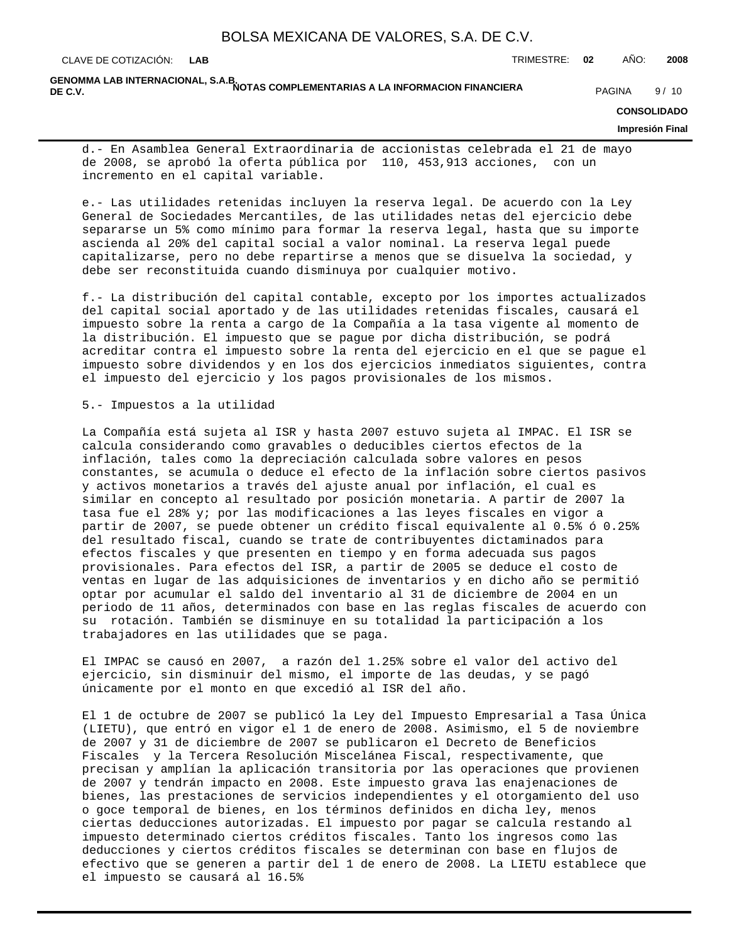GENOMMA LAB INTERNACIONAL, S.A.B.<br>DE C.V. **DE C.V.** PAGINA 9/10

### **CONSOLIDADO**

### **Impresión Final**

d.- En Asamblea General Extraordinaria de accionistas celebrada el 21 de mayo de 2008, se aprobó la oferta pública por 110, 453,913 acciones, con un incremento en el capital variable.

e.- Las utilidades retenidas incluyen la reserva legal. De acuerdo con la Ley General de Sociedades Mercantiles, de las utilidades netas del ejercicio debe separarse un 5% como mínimo para formar la reserva legal, hasta que su importe ascienda al 20% del capital social a valor nominal. La reserva legal puede capitalizarse, pero no debe repartirse a menos que se disuelva la sociedad, y debe ser reconstituida cuando disminuya por cualquier motivo.

f.- La distribución del capital contable, excepto por los importes actualizados del capital social aportado y de las utilidades retenidas fiscales, causará el impuesto sobre la renta a cargo de la Compañía a la tasa vigente al momento de la distribución. El impuesto que se pague por dicha distribución, se podrá acreditar contra el impuesto sobre la renta del ejercicio en el que se pague el impuesto sobre dividendos y en los dos ejercicios inmediatos siguientes, contra el impuesto del ejercicio y los pagos provisionales de los mismos.

### 5.- Impuestos a la utilidad

La Compañía está sujeta al ISR y hasta 2007 estuvo sujeta al IMPAC. El ISR se calcula considerando como gravables o deducibles ciertos efectos de la inflación, tales como la depreciación calculada sobre valores en pesos constantes, se acumula o deduce el efecto de la inflación sobre ciertos pasivos y activos monetarios a través del ajuste anual por inflación, el cual es similar en concepto al resultado por posición monetaria. A partir de 2007 la tasa fue el 28% y; por las modificaciones a las leyes fiscales en vigor a partir de 2007, se puede obtener un crédito fiscal equivalente al 0.5% ó 0.25% del resultado fiscal, cuando se trate de contribuyentes dictaminados para efectos fiscales y que presenten en tiempo y en forma adecuada sus pagos provisionales. Para efectos del ISR, a partir de 2005 se deduce el costo de ventas en lugar de las adquisiciones de inventarios y en dicho año se permitió optar por acumular el saldo del inventario al 31 de diciembre de 2004 en un periodo de 11 años, determinados con base en las reglas fiscales de acuerdo con su rotación. También se disminuye en su totalidad la participación a los trabajadores en las utilidades que se paga.

El IMPAC se causó en 2007, a razón del 1.25% sobre el valor del activo del ejercicio, sin disminuir del mismo, el importe de las deudas, y se pagó únicamente por el monto en que excedió al ISR del año.

El 1 de octubre de 2007 se publicó la Ley del Impuesto Empresarial a Tasa Única (LIETU), que entró en vigor el 1 de enero de 2008. Asimismo, el 5 de noviembre de 2007 y 31 de diciembre de 2007 se publicaron el Decreto de Beneficios Fiscales y la Tercera Resolución Miscelánea Fiscal, respectivamente, que precisan y amplían la aplicación transitoria por las operaciones que provienen de 2007 y tendrán impacto en 2008. Este impuesto grava las enajenaciones de bienes, las prestaciones de servicios independientes y el otorgamiento del uso o goce temporal de bienes, en los términos definidos en dicha ley, menos ciertas deducciones autorizadas. El impuesto por pagar se calcula restando al impuesto determinado ciertos créditos fiscales. Tanto los ingresos como las deducciones y ciertos créditos fiscales se determinan con base en flujos de efectivo que se generen a partir del 1 de enero de 2008. La LIETU establece que el impuesto se causará al 16.5%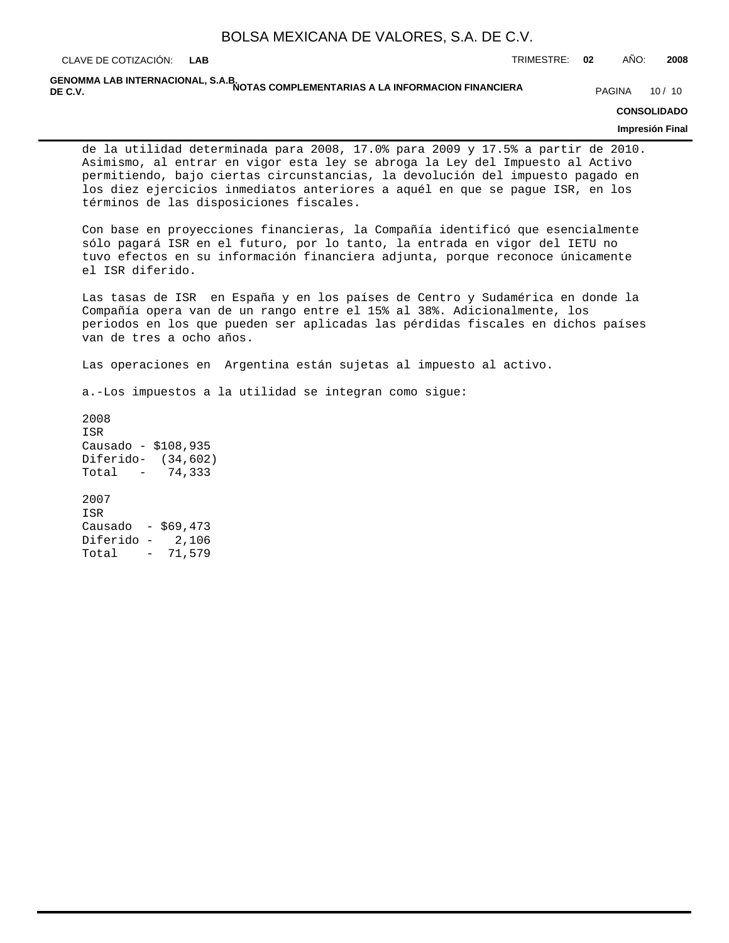CLAVE DE COTIZACIÓN: TRIMESTRE: **02** AÑO: **2008 LAB**

GENOMMA LAB INTERNACIONAL, S.A.B.<br>DE C.V. **DE C.V.** PAGINA 10/10 IN INVITAD COMPLEMENTANIAS A LA INFORMACION FINANCIERA PAGINA 10/10

### **CONSOLIDADO**

### **Impresión Final**

de la utilidad determinada para 2008, 17.0% para 2009 y 17.5% a partir de 2010. Asimismo, al entrar en vigor esta ley se abroga la Ley del Impuesto al Activo permitiendo, bajo ciertas circunstancias, la devolución del impuesto pagado en los diez ejercicios inmediatos anteriores a aquél en que se pague ISR, en los términos de las disposiciones fiscales.

Con base en proyecciones financieras, la Compañía identificó que esencialmente sólo pagará ISR en el futuro, por lo tanto, la entrada en vigor del IETU no tuvo efectos en su información financiera adjunta, porque reconoce únicamente el ISR diferido.

Las tasas de ISR en España y en los países de Centro y Sudamérica en donde la Compañía opera van de un rango entre el 15% al 38%. Adicionalmente, los periodos en los que pueden ser aplicadas las pérdidas fiscales en dichos países van de tres a ocho años.

Las operaciones en Argentina están sujetas al impuesto al activo.

a.-Los impuestos a la utilidad se integran como sigue:

2008 ISR Causado - \$108,935 Diferido- (34,602) Total - 74,333 2007 ISR Causado - \$69,473 Diferido - 2,106 Total - 71,579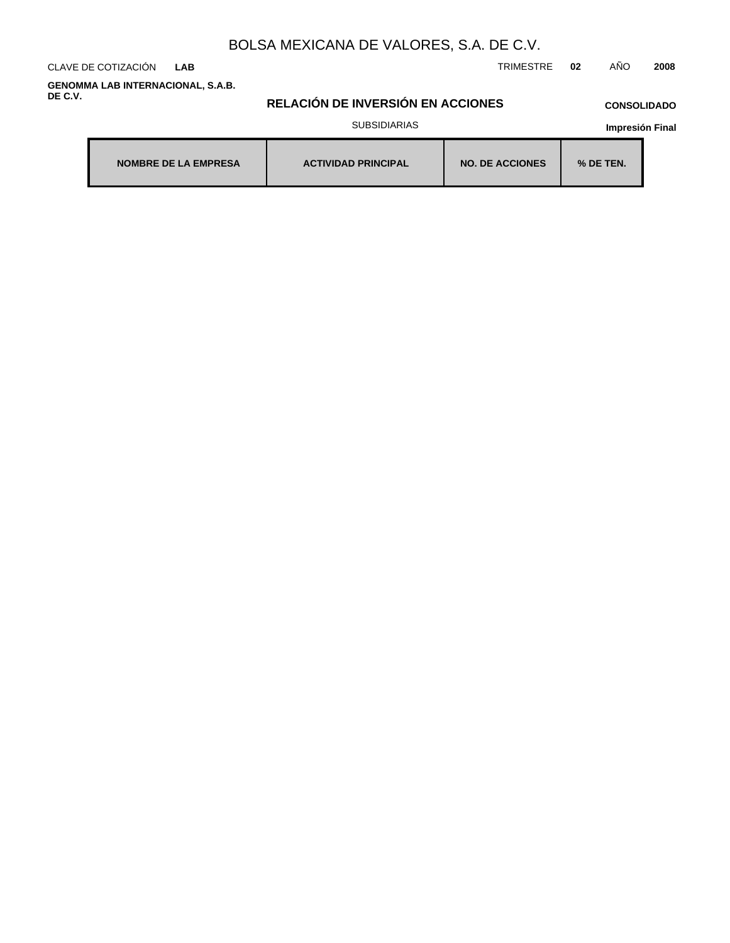CLAVE DE COTIZACIÓN TRIMESTRE **02** AÑO **2008 LAB**

**GENOMMA LAB INTERNACIONAL, S.A.B. DE C.V.**

## **RELACIÓN DE INVERSIÓN EN ACCIONES**

# **CONSOLIDADO**

### SUBSIDIARIAS

| <b>NOMBRE DE LA EMPRESA</b> | <b>ACTIVIDAD PRINCIPAL</b> | <b>NO. DE ACCIONES</b> | $%$ DE TEN. |
|-----------------------------|----------------------------|------------------------|-------------|
|-----------------------------|----------------------------|------------------------|-------------|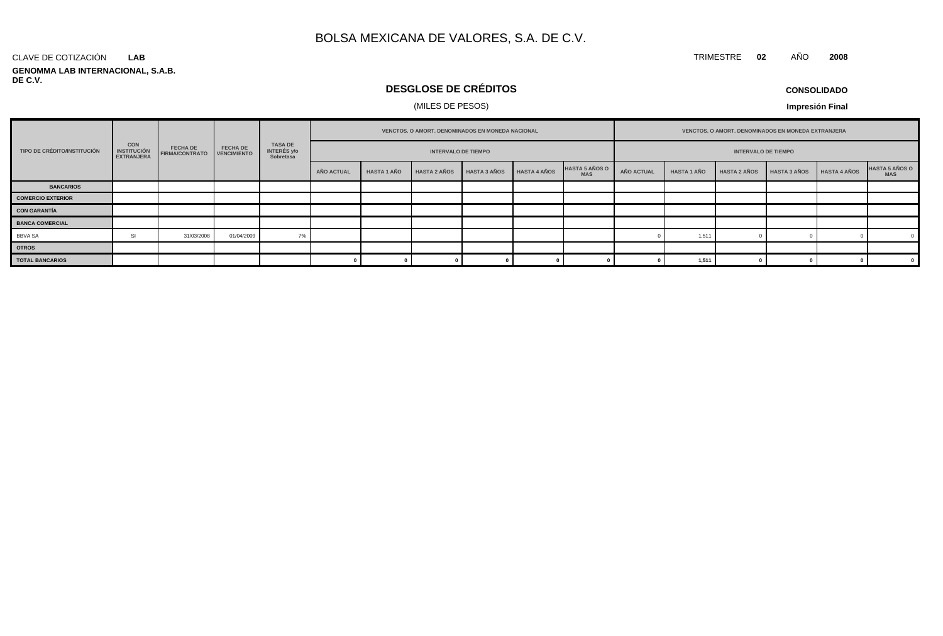### CLAVE DE COTIZACIÓN **LAB**

**GENOMMA LAB INTERNACIONAL, S.A.B. DE C.V.**

## **DESGLOSE DE CRÉDITOS**

## (MILES DE PESOS)

**CONSOLIDADO**

**Impresión Final**

| TIPO DE CRÉDITO/INSTITUCIÓN | <b>CON</b><br><b>INSTITUCIÓN</b><br><b>EXTRANJERA</b> |                                               | <b>FECHA DE</b> | TASA DE<br>INTERÉS y/o<br>Sobretasa | VENCTOS. O AMORT. DENOMINADOS EN MONEDA NACIONAL |                    |                     |                     |              |                                     | VENCTOS. O AMORT. DENOMINADOS EN MONEDA EXTRANJERA |                            |                     |                     |              |                                     |  |  |
|-----------------------------|-------------------------------------------------------|-----------------------------------------------|-----------------|-------------------------------------|--------------------------------------------------|--------------------|---------------------|---------------------|--------------|-------------------------------------|----------------------------------------------------|----------------------------|---------------------|---------------------|--------------|-------------------------------------|--|--|
|                             |                                                       | <b>FECHA DE</b><br>FIRMA/CONTRATO VENCIMIENTO |                 |                                     | <b>INTERVALO DE TIEMPO</b>                       |                    |                     |                     |              |                                     |                                                    | <b>INTERVALO DE TIEMPO</b> |                     |                     |              |                                     |  |  |
|                             |                                                       |                                               |                 |                                     | AÑO ACTUAL                                       | <b>HASTA 1 AÑO</b> | <b>HASTA 2 AÑOS</b> | <b>HASTA 3 AÑOS</b> | HASTA 4 AÑOS | <b>HASTA 5 AÑOS O</b><br><b>MAS</b> | AÑO ACTUAL                                         | <b>HASTA 1 AÑO</b>         | <b>HASTA 2 AÑOS</b> | <b>HASTA 3 AÑOS</b> | HASTA 4 AÑOS | <b>HASTA 5 AÑOS O</b><br><b>MAS</b> |  |  |
| <b>BANCARIOS</b>            |                                                       |                                               |                 |                                     |                                                  |                    |                     |                     |              |                                     |                                                    |                            |                     |                     |              |                                     |  |  |
| <b>COMERCIO EXTERIOR</b>    |                                                       |                                               |                 |                                     |                                                  |                    |                     |                     |              |                                     |                                                    |                            |                     |                     |              |                                     |  |  |
| <b>CON GARANTÍA</b>         |                                                       |                                               |                 |                                     |                                                  |                    |                     |                     |              |                                     |                                                    |                            |                     |                     |              |                                     |  |  |
| <b>BANCA COMERCIAL</b>      |                                                       |                                               |                 |                                     |                                                  |                    |                     |                     |              |                                     |                                                    |                            |                     |                     |              |                                     |  |  |
| <b>BBVA SA</b>              | 51                                                    | 31/03/2008                                    | 01/04/2009      | 7%                                  |                                                  |                    |                     |                     |              |                                     |                                                    | 1,511                      |                     |                     |              |                                     |  |  |
| <b>OTROS</b>                |                                                       |                                               |                 |                                     |                                                  |                    |                     |                     |              |                                     |                                                    |                            |                     |                     |              |                                     |  |  |
| <b>TOTAL BANCARIOS</b>      |                                                       |                                               |                 |                                     |                                                  |                    |                     |                     |              |                                     |                                                    | 1,511                      |                     |                     |              |                                     |  |  |

TRIMESTRE **02** AÑO **2008**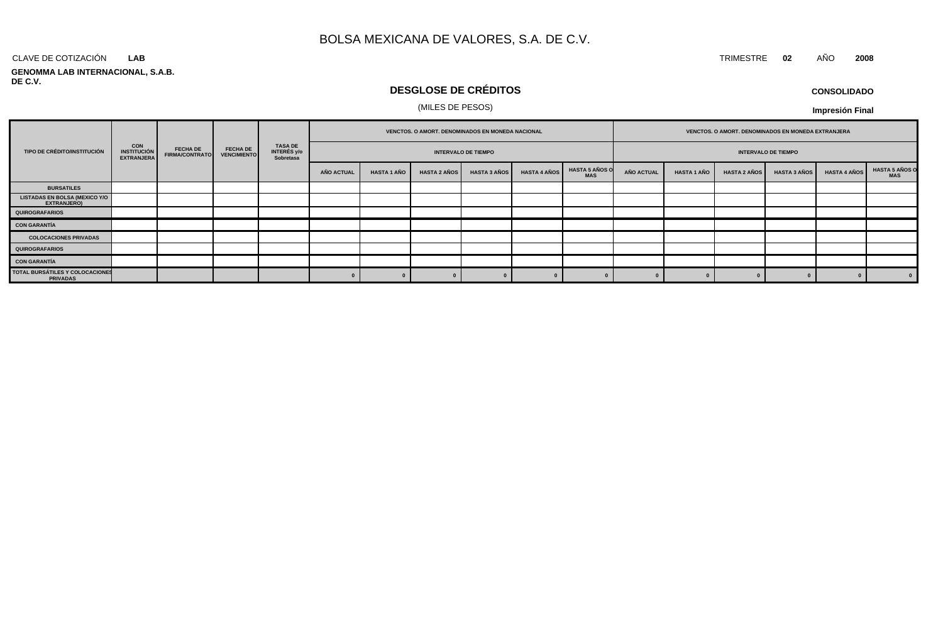### CLAVE DE COTIZACIÓN TRIMESTRE **02** AÑO **2008 LAB**

### **GENOMMA LAB INTERNACIONAL, S.A.B. DE C.V.**

## **DESGLOSE DE CRÉDITOS**

### (MILES DE PESOS)

|                                                    | <b>CON</b><br><b>INSTITUCIÓN</b><br><b>EXTRANJERA</b> | <b>FECHA DE</b><br><b>FIRMA/CONTRATO</b> |                                       |                                     | VENCTOS. O AMORT. DENOMINADOS EN MONEDA NACIONAL |             |                     |                            |                     |                                     | VENCTOS. O AMORT. DENOMINADOS EN MONEDA EXTRANJERA |                    |                     |                     |                     |                                     |
|----------------------------------------------------|-------------------------------------------------------|------------------------------------------|---------------------------------------|-------------------------------------|--------------------------------------------------|-------------|---------------------|----------------------------|---------------------|-------------------------------------|----------------------------------------------------|--------------------|---------------------|---------------------|---------------------|-------------------------------------|
| TIPO DE CRÉDITO/INSTITUCIÓN                        |                                                       |                                          | <b>FECHA DE</b><br><b>VENCIMIENTO</b> | TASA DE<br>INTERÉS y/o<br>Sobretasa |                                                  |             |                     | <b>INTERVALO DE TIEMPO</b> |                     | <b>INTERVALO DE TIEMPO</b>          |                                                    |                    |                     |                     |                     |                                     |
|                                                    |                                                       |                                          |                                       |                                     | AÑO ACTUAL                                       | HASTA 1 AÑO | <b>HASTA 2 AÑOS</b> | <b>HASTA 3 AÑOS</b>        | <b>HASTA 4 AÑOS</b> | <b>HASTA 5 AÑOS O</b><br><b>MAS</b> | <b>AÑO ACTUAL</b>                                  | <b>HASTA 1 AÑO</b> | <b>HASTA 2 AÑOS</b> | <b>HASTA 3 AÑOS</b> | <b>HASTA 4 AÑOS</b> | <b>HASTA 5 AÑOS O</b><br><b>MAS</b> |
| <b>BURSATILES</b>                                  |                                                       |                                          |                                       |                                     |                                                  |             |                     |                            |                     |                                     |                                                    |                    |                     |                     |                     |                                     |
| LISTADAS EN BOLSA (MEXICO Y/O<br>EXTRANJERO)       |                                                       |                                          |                                       |                                     |                                                  |             |                     |                            |                     |                                     |                                                    |                    |                     |                     |                     |                                     |
| QUIROGRAFARIOS                                     |                                                       |                                          |                                       |                                     |                                                  |             |                     |                            |                     |                                     |                                                    |                    |                     |                     |                     |                                     |
| <b>CON GARANTÍA</b>                                |                                                       |                                          |                                       |                                     |                                                  |             |                     |                            |                     |                                     |                                                    |                    |                     |                     |                     |                                     |
| <b>COLOCACIONES PRIVADAS</b>                       |                                                       |                                          |                                       |                                     |                                                  |             |                     |                            |                     |                                     |                                                    |                    |                     |                     |                     |                                     |
| QUIROGRAFARIOS                                     |                                                       |                                          |                                       |                                     |                                                  |             |                     |                            |                     |                                     |                                                    |                    |                     |                     |                     |                                     |
| <b>CON GARANTÍA</b>                                |                                                       |                                          |                                       |                                     |                                                  |             |                     |                            |                     |                                     |                                                    |                    |                     |                     |                     |                                     |
| TOTAL BURSÁTILES Y COLOCACIONES<br><b>PRIVADAS</b> |                                                       |                                          |                                       |                                     |                                                  |             |                     |                            |                     |                                     |                                                    |                    |                     |                     |                     |                                     |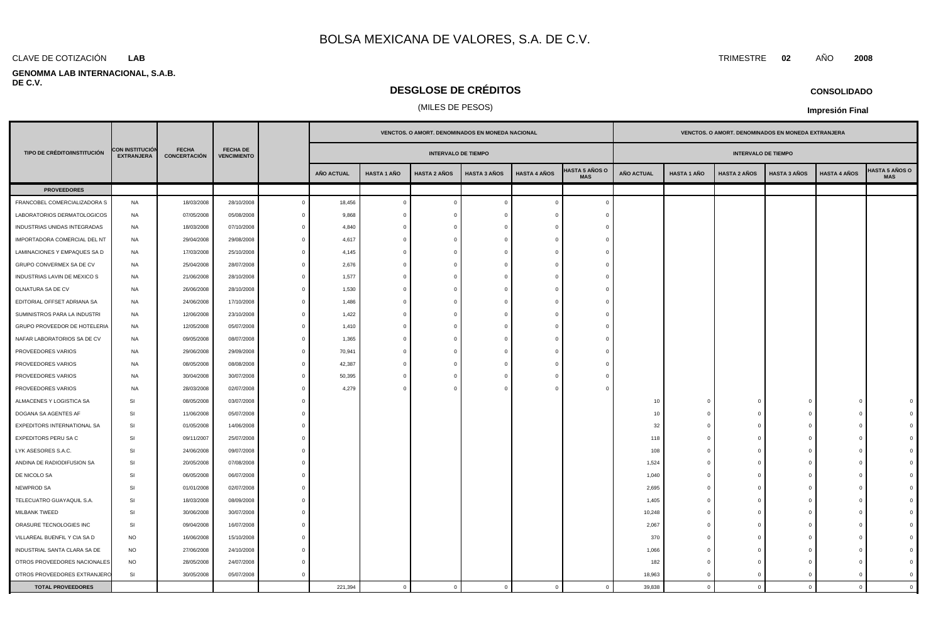### **LAB**

### **GENOMMA LAB INTERNACIONAL, S.A.B. DE C.V.**

## **DESGLOSE DE CRÉDITOS**

## (MILES DE PESOS)

|                              |                                             | <b>FECHA</b><br><b>CONCERTACIÓN</b> |                                       |                |                   |                    |                            | VENCTOS. O AMORT. DENOMINADOS EN MONEDA NACIONAL |                     |                                     |                   |                    |                     | VENCTOS. O AMORT. DENOMINADOS EN MONEDA EXTRANJERA |                     |                                     |  |
|------------------------------|---------------------------------------------|-------------------------------------|---------------------------------------|----------------|-------------------|--------------------|----------------------------|--------------------------------------------------|---------------------|-------------------------------------|-------------------|--------------------|---------------------|----------------------------------------------------|---------------------|-------------------------------------|--|
| TIPO DE CRÉDITO/INSTITUCIÓN  | <b>CON INSTITUCIÓN</b><br><b>EXTRANJERA</b> |                                     | <b>FECHA DE</b><br><b>VENCIMIENTO</b> |                |                   |                    | <b>INTERVALO DE TIEMPO</b> |                                                  |                     | <b>INTERVALO DE TIEMPO</b>          |                   |                    |                     |                                                    |                     |                                     |  |
|                              |                                             |                                     |                                       |                | <b>AÑO ACTUAL</b> | <b>HASTA 1 AÑO</b> | <b>HASTA 2 AÑOS</b>        | <b>HASTA 3 AÑOS</b>                              | <b>HASTA 4 AÑOS</b> | <b>HASTA 5 AÑOS O</b><br><b>MAS</b> | <b>AÑO ACTUAL</b> | <b>HASTA 1 AÑO</b> | <b>HASTA 2 AÑOS</b> | <b>HASTA 3 AÑOS</b>                                | <b>HASTA 4 AÑOS</b> | <b>IASTA 5 AÑOS O</b><br><b>MAS</b> |  |
| <b>PROVEEDORES</b>           |                                             |                                     |                                       |                |                   |                    |                            |                                                  |                     |                                     |                   |                    |                     |                                                    |                     |                                     |  |
| FRANCOBEL COMERCIALIZADORA S | NA                                          | 18/03/2008                          | 28/10/2008                            | $\overline{0}$ | 18,456            | $\overline{0}$     | $\overline{0}$             | $\Omega$                                         | $\Omega$            | $\Omega$                            |                   |                    |                     |                                                    |                     |                                     |  |
| LABORATORIOS DERMATOLOGICOS  | <b>NA</b>                                   | 07/05/2008                          | 05/08/2008                            | $\Omega$       | 9,868             | $\Omega$           | $\overline{0}$             |                                                  | $\Omega$            | $\epsilon$                          |                   |                    |                     |                                                    |                     |                                     |  |
| INDUSTRIAS UNIDAS INTEGRADAS | <b>NA</b>                                   | 18/03/2008                          | 07/10/2008                            | $\overline{0}$ | 4,840             | $\mathbf{0}$       | $\overline{0}$             | - 0                                              | $\Omega$            | -0                                  |                   |                    |                     |                                                    |                     |                                     |  |
| IMPORTADORA COMERCIAL DEL NT | <b>NA</b>                                   | 29/04/2008                          | 29/08/2008                            | $\Omega$       | 4,617             | $\mathbf{0}$       | $\overline{0}$             | - 0                                              | $\Omega$            |                                     |                   |                    |                     |                                                    |                     |                                     |  |
| LAMINACIONES Y EMPAQUES SA D | <b>NA</b>                                   | 17/03/2008                          | 25/10/2008                            | $\overline{0}$ | 4,145             | $\Omega$           | $\overline{0}$             | $\Omega$                                         | $\Omega$            |                                     |                   |                    |                     |                                                    |                     |                                     |  |
| GRUPO CONVERMEX SA DE CV     | <b>NA</b>                                   | 25/04/2008                          | 28/07/2008                            | $\Omega$       | 2,676             | $\Omega$           | $\overline{0}$             | - 0                                              | $\Omega$            |                                     |                   |                    |                     |                                                    |                     |                                     |  |
| INDUSTRIAS LAVIN DE MEXICO S | <b>NA</b>                                   | 21/06/2008                          | 28/10/2008                            | $\Omega$       | 1,577             | $\Omega$           | $\overline{0}$             | $\Omega$                                         | $^{\circ}$          |                                     |                   |                    |                     |                                                    |                     |                                     |  |
| OLNATURA SA DE CV            | <b>NA</b>                                   | 26/06/2008                          | 28/10/2008                            | $\Omega$       | 1,530             | $\Omega$           | $\overline{0}$             | $\Omega$                                         | $\mathbf{0}$        |                                     |                   |                    |                     |                                                    |                     |                                     |  |
| EDITORIAL OFFSET ADRIANA SA  | <b>NA</b>                                   | 24/06/2008                          | 17/10/2008                            | $\Omega$       | 1,486             | $\Omega$           | $\overline{0}$             | $\Omega$                                         | $\mathbf{0}$        |                                     |                   |                    |                     |                                                    |                     |                                     |  |
| SUMINISTROS PARA LA INDUSTRI | <b>NA</b>                                   | 12/06/2008                          | 23/10/2008                            | $\mathbf{0}$   | 1,422             | $\Omega$           | $\overline{0}$             | $\Omega$                                         | $\mathbf{0}$        |                                     |                   |                    |                     |                                                    |                     |                                     |  |
| GRUPO PROVEEDOR DE HOTELERIA | <b>NA</b>                                   | 12/05/2008                          | 05/07/2008                            | $\Omega$       | 1,410             | $\Omega$           | $\overline{0}$             |                                                  | $\Omega$            |                                     |                   |                    |                     |                                                    |                     |                                     |  |
| NAFAR LABORATORIOS SA DE CV  | NA                                          | 09/05/2008                          | 08/07/2008                            | $\Omega$       | 1,365             | $\mathbf{0}$       | $\overline{0}$             |                                                  | $\Omega$            |                                     |                   |                    |                     |                                                    |                     |                                     |  |
| PROVEEDORES VARIOS           | <b>NA</b>                                   | 29/06/2008                          | 29/09/2008                            | $\mathbf{0}$   | 70,941            | $\Omega$           | $\overline{0}$             |                                                  | $\Omega$            |                                     |                   |                    |                     |                                                    |                     |                                     |  |
| PROVEEDORES VARIOS           | NA                                          | 08/05/2008                          | 08/08/2008                            | $\mathbf{0}$   | 42,387            | $\Omega$           | $\overline{0}$             |                                                  | $\Omega$            |                                     |                   |                    |                     |                                                    |                     |                                     |  |
| PROVEEDORES VARIOS           | <b>NA</b>                                   | 30/04/2008                          | 30/07/2008                            | $\mathbf{0}$   | 50,395            |                    | $\overline{0}$             |                                                  | $\Omega$            |                                     |                   |                    |                     |                                                    |                     |                                     |  |
| PROVEEDORES VARIOS           | <b>NA</b>                                   | 28/03/2008                          | 02/07/2008                            | $\Omega$       | 4,279             |                    | $\overline{0}$             |                                                  | $\Omega$            |                                     |                   |                    |                     |                                                    |                     |                                     |  |
| ALMACENES Y LOGISTICA SA     | SI                                          | 08/05/2008                          | 03/07/2008                            | $\overline{0}$ |                   |                    |                            |                                                  |                     |                                     | 10                | C.                 | $\mathbf{0}$        | $\Omega$                                           | <sup>0</sup>        |                                     |  |
| DOGANA SA AGENTES AF         | SI                                          | 11/06/2008                          | 05/07/2008                            | $\Omega$       |                   |                    |                            |                                                  |                     |                                     | 10                | $\Omega$           | $\Omega$            | $\Omega$                                           |                     |                                     |  |
| EXPEDITORS INTERNATIONAL SA  | SI                                          | 01/05/2008                          | 14/06/2008                            | $\Omega$       |                   |                    |                            |                                                  |                     |                                     | 32                | $\Omega$           | $\Omega$            | $\Omega$                                           |                     |                                     |  |
| EXPEDITORS PERU SA C         | SI                                          | 09/11/2007                          | 25/07/2008                            | $\Omega$       |                   |                    |                            |                                                  |                     |                                     | 118               | $\Omega$           | $\mathbf{0}$        | $\Omega$                                           |                     |                                     |  |
| LYK ASESORES S.A.C.          | SI                                          | 24/06/2008                          | 09/07/2008                            | $\Omega$       |                   |                    |                            |                                                  |                     |                                     | 108               | $\Omega$           | $\Omega$            | $\Omega$                                           |                     |                                     |  |
| ANDINA DE RADIODIFUSION SA   | SI                                          | 20/05/2008                          | 07/08/2008                            | $\Omega$       |                   |                    |                            |                                                  |                     |                                     | 1,524             | $\Omega$           | $\mathbf{0}$        | $\Omega$                                           |                     |                                     |  |
| DE NICOLO SA                 | SI                                          | 06/05/2008                          | 06/07/2008                            | $\Omega$       |                   |                    |                            |                                                  |                     |                                     | 1,040             | $\Omega$           | $\mathbf{0}$        | $\Omega$                                           |                     |                                     |  |
| NEWPROD SA                   | SI                                          | 01/01/2008                          | 02/07/2008                            | $\Omega$       |                   |                    |                            |                                                  |                     |                                     | 2,695             | $\overline{0}$     | $\mathbf{0}$        | $\Omega$                                           |                     |                                     |  |
| TELECUATRO GUAYAQUIL S.A.    | SI                                          | 18/03/2008                          | 08/09/2008                            |                |                   |                    |                            |                                                  |                     |                                     | 1,405             | $\sqrt{ }$         | $\mathbf{0}$        | $\Omega$                                           |                     |                                     |  |
| MILBANK TWEED                | SI                                          | 30/06/2008                          | 30/07/2008                            | $\Omega$       |                   |                    |                            |                                                  |                     |                                     | 10,248            | $\sqrt{ }$         | $\mathbf 0$         | $\Omega$                                           |                     |                                     |  |
| ORASURE TECNOLOGIES INC      | SI                                          | 09/04/2008                          | 16/07/2008                            |                |                   |                    |                            |                                                  |                     |                                     | 2,067             | C.                 | $\mathbf 0$         | $\Omega$                                           |                     |                                     |  |
| VILLAREAL BUENFIL Y CIA SA D | <b>NO</b>                                   | 16/06/2008                          | 15/10/2008                            |                |                   |                    |                            |                                                  |                     |                                     | 370               |                    | $\Omega$            |                                                    |                     |                                     |  |
| INDUSTRIAL SANTA CLARA SA DE | <b>NO</b>                                   | 27/06/2008                          | 24/10/2008                            | $\Omega$       |                   |                    |                            |                                                  |                     |                                     | 1,066             | $\Omega$           | $\Omega$            | $\Omega$                                           |                     |                                     |  |
| OTROS PROVEEDORES NACIONALES | <b>NO</b>                                   | 28/05/2008                          | 24/07/2008                            | $\Omega$       |                   |                    |                            |                                                  |                     |                                     | 182               |                    | $\Omega$            |                                                    |                     |                                     |  |
| OTROS PROVEEDORES EXTRANJERO | SI                                          | 30/05/2008                          | 05/07/2008                            | $\overline{0}$ |                   |                    |                            |                                                  |                     |                                     | 18.963            | $\Omega$           | $\Omega$            | $\Omega$                                           | $\Omega$            |                                     |  |

**TOTAL PROVEEDORES** 221,394 0 0 0 0 0 39,838 0 0 0 0 0

CLAVE DE COTIZACIÓN TRIMESTRE **02** AÑO **2008**

**CONSOLIDADO**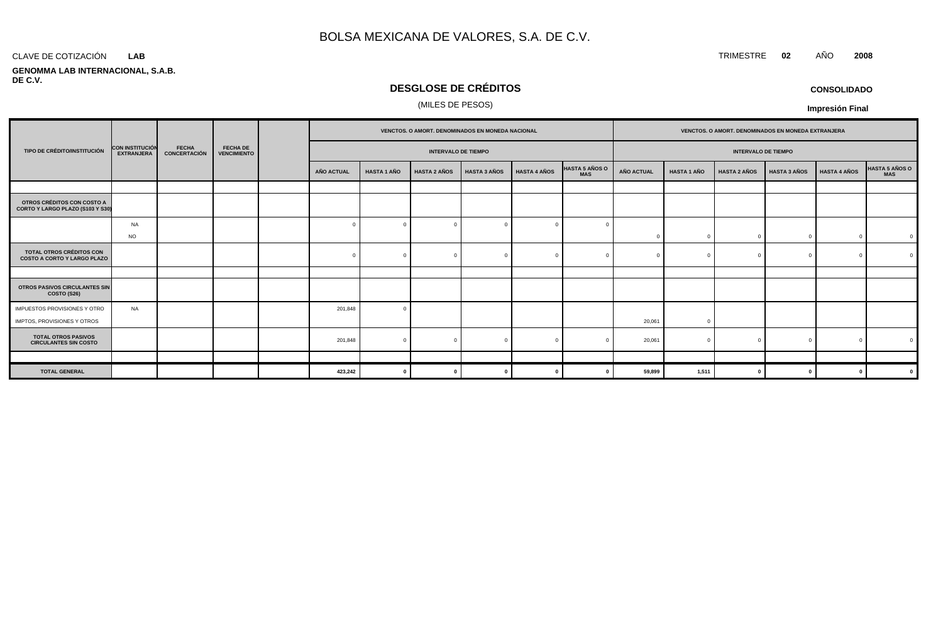### CLAVE DE COTIZACIÓN TRIMESTRE **02** AÑO **2008 LAB**

### **GENOMMA LAB INTERNACIONAL, S.A.B. DE C.V.**

## **DESGLOSE DE CRÉDITOS**

### (MILES DE PESOS)

**CONSOLIDADO**

|                                                                       |                                             |                              |                                       |  |                   |                    | VENCTOS. O AMORT. DENOMINADOS EN MONEDA NACIONAL |                     |                     | VENCTOS. O AMORT. DENOMINADOS EN MONEDA EXTRANJERA |                   |                    |                            |                     |                     |                |
|-----------------------------------------------------------------------|---------------------------------------------|------------------------------|---------------------------------------|--|-------------------|--------------------|--------------------------------------------------|---------------------|---------------------|----------------------------------------------------|-------------------|--------------------|----------------------------|---------------------|---------------------|----------------|
| TIPO DE CRÉDITO/INSTITUCIÓN                                           | <b>CON INSTITUCIÓN</b><br><b>EXTRANJERA</b> | <b>FECHA</b><br>CONCERTACIÓN | <b>FECHA DE</b><br><b>VENCIMIENTO</b> |  |                   |                    | <b>INTERVALO DE TIEMPO</b>                       |                     |                     |                                                    |                   |                    | <b>INTERVALO DE TIEMPO</b> |                     |                     |                |
|                                                                       |                                             |                              |                                       |  | <b>AÑO ACTUAL</b> | <b>HASTA 1 AÑO</b> | <b>HASTA 2 AÑOS</b>                              | <b>HASTA 3 AÑOS</b> | <b>HASTA 4 AÑOS</b> | <b>HASTA 5 AÑOS O</b><br><b>MAS</b>                | <b>AÑO ACTUAL</b> | <b>HASTA 1 AÑO</b> | <b>HASTA 2 AÑOS</b>        | <b>HASTA 3 AÑOS</b> | <b>HASTA 4 AÑOS</b> | HASTA 5 AÑOS O |
|                                                                       |                                             |                              |                                       |  |                   |                    |                                                  |                     |                     |                                                    |                   |                    |                            |                     |                     |                |
| OTROS CRÉDITOS CON COSTO A<br>CORTO Y LARGO PLAZO (S103 Y S30)        |                                             |                              |                                       |  |                   |                    |                                                  |                     |                     |                                                    |                   |                    |                            |                     |                     |                |
|                                                                       | <b>NA</b>                                   |                              |                                       |  |                   | $\Omega$           |                                                  |                     |                     |                                                    |                   |                    |                            |                     |                     |                |
|                                                                       | <b>NO</b>                                   |                              |                                       |  |                   |                    |                                                  |                     |                     |                                                    |                   | $\cap$             |                            | $\sqrt{ }$          |                     | $\mathbf{0}$   |
| <b>TOTAL OTROS CRÉDITOS CON</b><br><b>COSTO A CORTO Y LARGO PLAZO</b> |                                             |                              |                                       |  |                   |                    |                                                  |                     |                     |                                                    |                   | $\sqrt{ }$         |                            | $\Omega$            |                     | $\Omega$       |
|                                                                       |                                             |                              |                                       |  |                   |                    |                                                  |                     |                     |                                                    |                   |                    |                            |                     |                     |                |
| OTROS PASIVOS CIRCULANTES SIN<br><b>COSTO (S26)</b>                   |                                             |                              |                                       |  |                   |                    |                                                  |                     |                     |                                                    |                   |                    |                            |                     |                     |                |
| IMPUESTOS PROVISIONES Y OTRO                                          | <b>NA</b>                                   |                              |                                       |  | 201,848           | $\Omega$           |                                                  |                     |                     |                                                    |                   |                    |                            |                     |                     |                |
| IMPTOS, PROVISIONES Y OTROS                                           |                                             |                              |                                       |  |                   |                    |                                                  |                     |                     |                                                    | 20,061            | $\Omega$           |                            |                     |                     |                |
| <b>TOTAL OTROS PASIVOS</b><br><b>CIRCULANTES SIN COSTO</b>            |                                             |                              |                                       |  | 201,848           | $\Omega$           |                                                  |                     |                     |                                                    | 20,061            | $\Omega$           |                            |                     |                     |                |
|                                                                       |                                             |                              |                                       |  |                   |                    |                                                  |                     |                     |                                                    |                   |                    |                            |                     |                     |                |
| <b>TOTAL GENERAL</b>                                                  |                                             |                              |                                       |  | 423,242           | $\mathbf{0}$       |                                                  |                     |                     |                                                    | 59,899            | 1,511              |                            | $\Omega$            |                     | $\mathbf 0$    |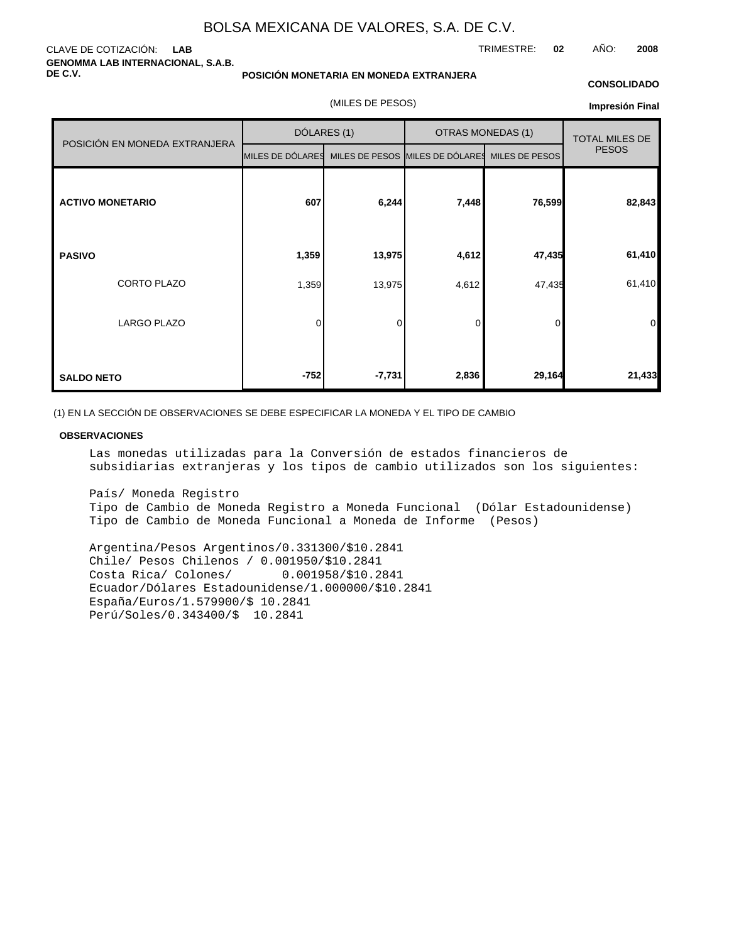### CLAVE DE COTIZACIÓN: **LAB GENOMMA LAB INTERNACIONAL, S.A.B. DE C.V.**

### **POSICIÓN MONETARIA EN MONEDA EXTRANJERA**

(MILES DE PESOS)

### **CONSOLIDADO**

TRIMESTRE: **02** AÑO: **2008**

**Impresión Final**

|                               | DÓLARES (1)                                                     |          | <b>OTRAS MONEDAS (1)</b> | <b>TOTAL MILES DE</b> |                |
|-------------------------------|-----------------------------------------------------------------|----------|--------------------------|-----------------------|----------------|
| POSICIÓN EN MONEDA EXTRANJERA | MILES DE DÓLARES MILES DE PESOS MILES DE DÓLARES MILES DE PESOS |          |                          |                       | <b>PESOS</b>   |
| <b>ACTIVO MONETARIO</b>       | 607                                                             | 6,244    | 7,448                    | 76,599                | 82,843         |
| <b>PASIVO</b>                 | 1,359                                                           | 13,975   | 4,612                    | 47,435                | 61,410         |
| CORTO PLAZO                   | 1,359                                                           | 13,975   | 4,612                    | 47,435                | 61,410         |
| <b>LARGO PLAZO</b>            | 0                                                               | 0        | $\mathbf 0$              | 0                     | $\overline{0}$ |
| <b>SALDO NETO</b>             | $-752$                                                          | $-7,731$ | 2,836                    | 29,164                | 21,433         |

(1) EN LA SECCIÓN DE OBSERVACIONES SE DEBE ESPECIFICAR LA MONEDA Y EL TIPO DE CAMBIO

### **OBSERVACIONES**

Las monedas utilizadas para la Conversión de estados financieros de subsidiarias extranjeras y los tipos de cambio utilizados son los siguientes:

País / Moneda Registro Tipo de Cambio de Moneda Registro a Moneda Funcional (Dólar Estadounidense) Tipo de Cambio de Moneda Funcional a Moneda de Informe (Pesos)

Argentina/Pesos Argentinos/0.331300/\$10.2841 Chile / Pesos Chilenos / 0.001950/\$10.2841 Costa Rica/ Colones/ 0.001958/\$10.2841 Ecuador /Dólares Estadounidense/1.000000/\$10.2841 España /Euros/ 1.579900/\$ 10.2841 Perú /Soles/0.343400/\$ 10.2841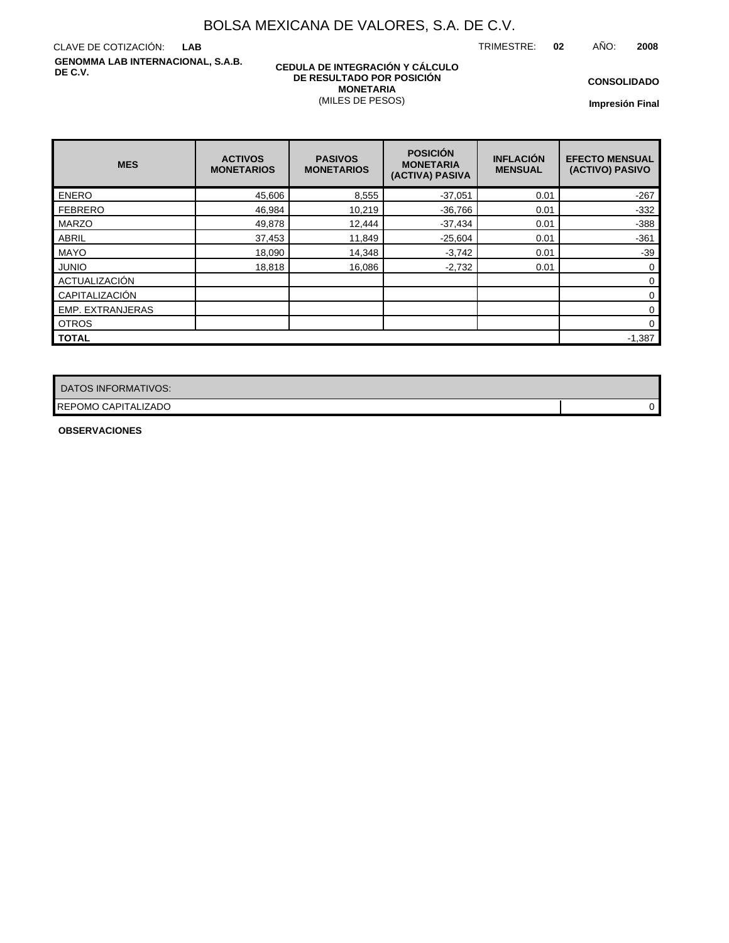TRIMESTRE: **02** AÑO: **2008**

CLAVE DE COTIZACIÓN: **LAB GENOMMA LAB INTERNACIONAL, S.A.B. DE C.V.**

### **CEDULA DE INTEGRACIÓN Y CÁLCULO DE RESULTADO POR POSICIÓN MONETARIA** (MILES DE PESOS)

**CONSOLIDADO**

**Impresión Final**

| <b>MES</b>              | <b>ACTIVOS</b><br><b>MONETARIOS</b> | <b>PASIVOS</b><br><b>MONETARIOS</b> | <b>POSICIÓN</b><br><b>MONETARIA</b><br>(ACTIVA) PASIVA | <b>INFLACIÓN</b><br><b>MENSUAL</b> | <b>EFECTO MENSUAL</b><br>(ACTIVO) PASIVO |
|-------------------------|-------------------------------------|-------------------------------------|--------------------------------------------------------|------------------------------------|------------------------------------------|
| <b>ENERO</b>            | 45,606                              | 8,555                               | $-37,051$                                              | 0.01                               | $-267$                                   |
| <b>FEBRERO</b>          | 46,984                              | 10,219                              | $-36,766$                                              | 0.01                               | $-332$                                   |
| <b>MARZO</b>            | 49,878                              | 12,444                              | $-37,434$                                              | 0.01                               | $-388$                                   |
| <b>ABRIL</b>            | 37,453                              | 11,849                              | $-25,604$                                              | 0.01                               | $-361$                                   |
| <b>MAYO</b>             | 18,090                              | 14,348                              | $-3,742$                                               | 0.01                               | $-39$                                    |
| <b>JUNIO</b>            | 18,818                              | 16,086                              | $-2,732$                                               | 0.01                               | 0                                        |
| ACTUALIZACIÓN           |                                     |                                     |                                                        |                                    | $\mathbf 0$                              |
| CAPITALIZACIÓN          |                                     |                                     |                                                        |                                    | $\mathbf 0$                              |
| <b>EMP. EXTRANJERAS</b> |                                     |                                     |                                                        |                                    | 0                                        |
| <b>OTROS</b>            |                                     |                                     |                                                        |                                    | $\mathbf 0$                              |
| <b>TOTAL</b>            |                                     |                                     |                                                        |                                    | $-1,387$                                 |

| DATOS INFORMATIVOS: |  |
|---------------------|--|
| REPOMO CAPITALIZADO |  |

**OBSERVACIONES**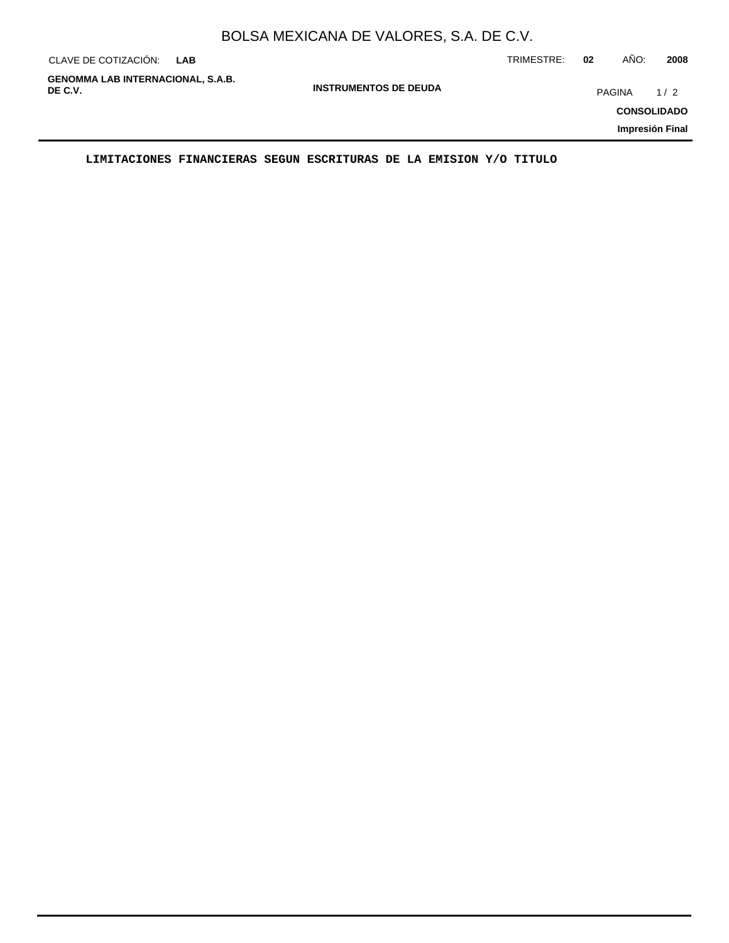| CLAVE DE COTIZACIÓN:                                | <b>LAB</b> |                              | TRIMESTRE: | 02 | AÑO:          | 2008                                         |
|-----------------------------------------------------|------------|------------------------------|------------|----|---------------|----------------------------------------------|
| <b>GENOMMA LAB INTERNACIONAL, S.A.B.</b><br>DE C.V. |            | <b>INSTRUMENTOS DE DEUDA</b> |            |    | <b>PAGINA</b> | 1/2<br><b>CONSOLIDADO</b><br>Impresión Final |

**LIMITACIONES FINANCIERAS SEGUN ESCRITURAS DE LA EMISION Y/O TITULO**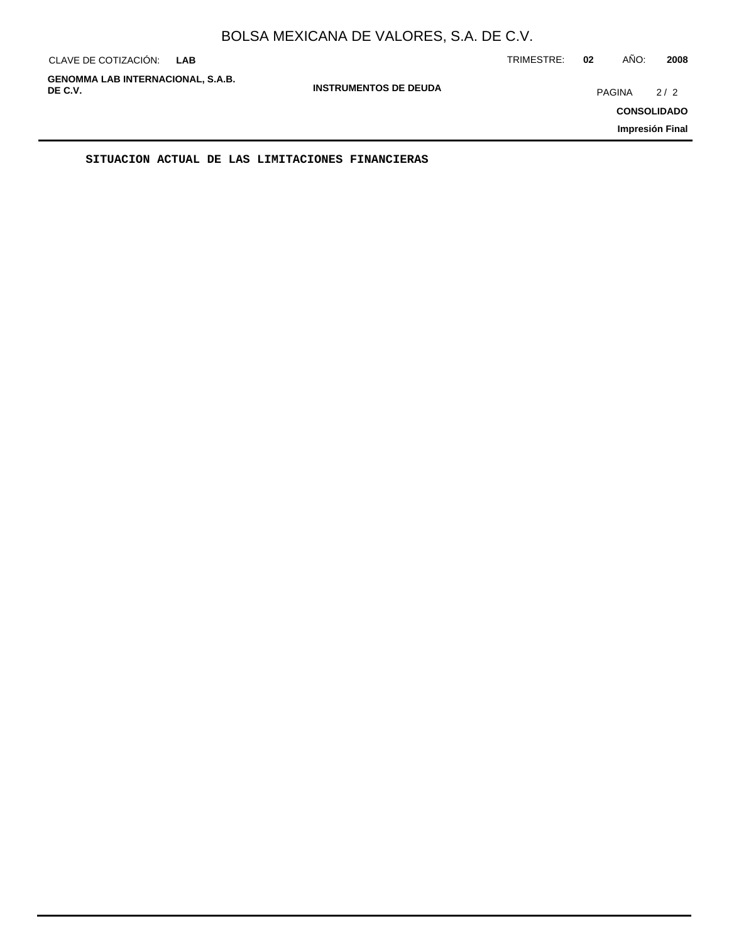| CLAVE DE COTIZACIÓN:                                | LAB |                              | TRIMESTRE: | 02 | AÑO:          | 2008                      |
|-----------------------------------------------------|-----|------------------------------|------------|----|---------------|---------------------------|
| <b>GENOMMA LAB INTERNACIONAL, S.A.B.</b><br>DE C.V. |     | <b>INSTRUMENTOS DE DEUDA</b> |            |    | <b>PAGINA</b> | 2/2<br><b>CONSOLIDADO</b> |
|                                                     |     |                              |            |    |               | Impresión Final           |

**SITUACION ACTUAL DE LAS LIMITACIONES FINANCIERAS**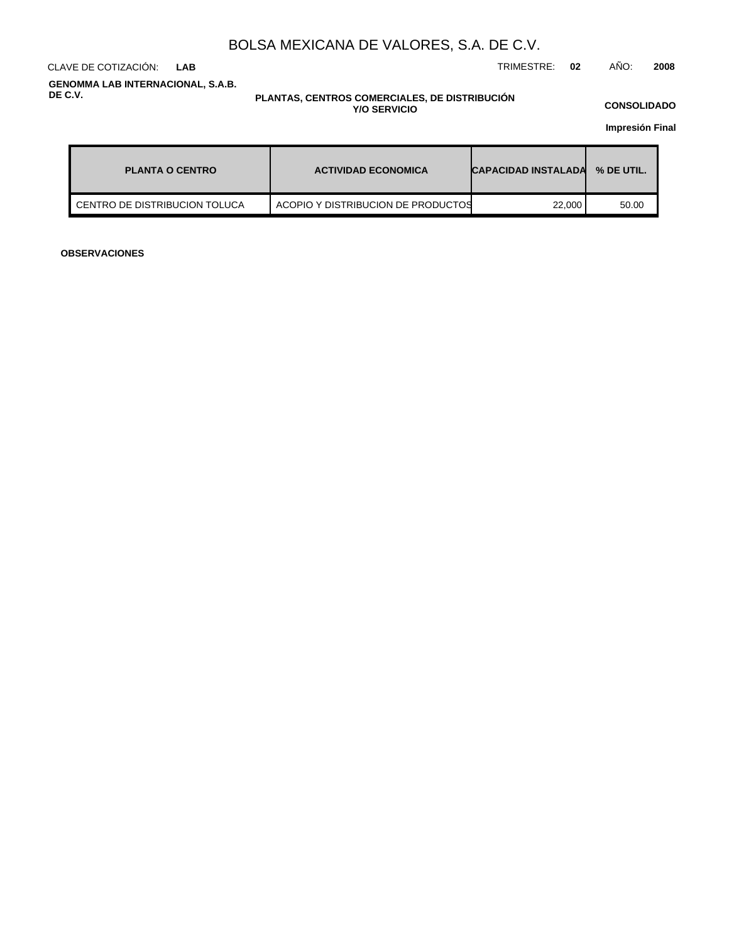CLAVE DE COTIZACIÓN: TRIMESTRE: **02** AÑO: **2008 LAB**

**GENOMMA LAB INTERNACIONAL, S.A.B. DE C.V.**

### **PLANTAS, CENTROS COMERCIALES, DE DISTRIBUCIÓN Y/O SERVICIO**

**CONSOLIDADO**

**Impresión Final**

| <b>PLANTA O CENTRO</b>        | <b>ACTIVIDAD ECONOMICA</b>         | <b>CAPACIDAD INSTALADA</b> | % DE UTIL. |
|-------------------------------|------------------------------------|----------------------------|------------|
| CENTRO DE DISTRIBUCION TOLUCA | ACOPIO Y DISTRIBUCION DE PRODUCTOS | 22,000                     | 50.00      |

**OBSERVACIONES**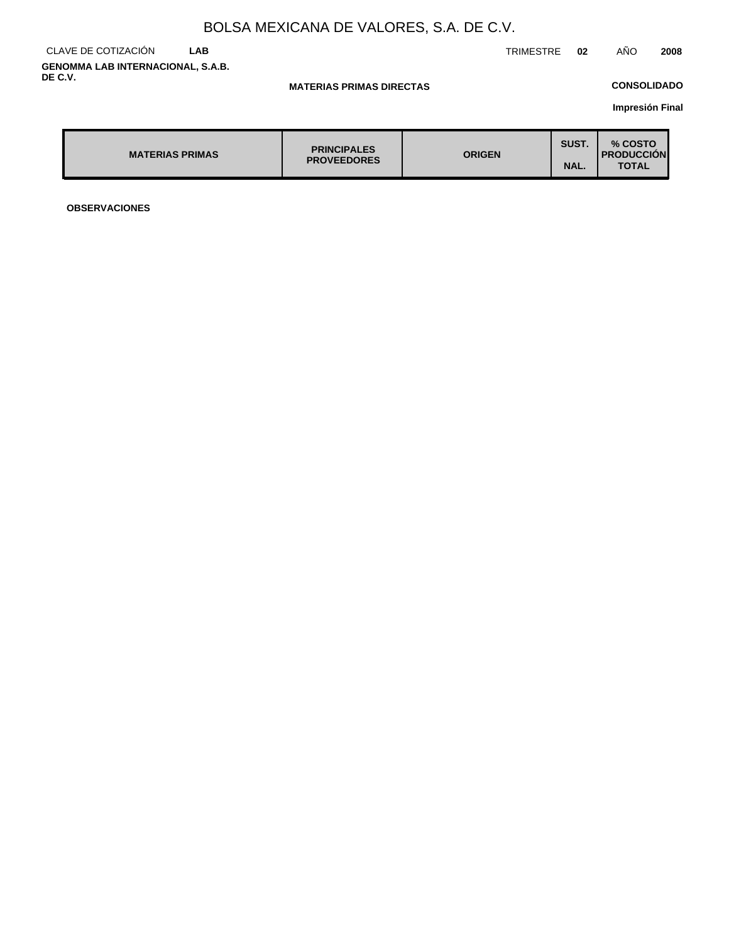### CLAVE DE COTIZACIÓN **LAB GENOMMA LAB INTERNACIONAL, S.A.B. DE C.V.**

**MATERIAS PRIMAS DIRECTAS**

### **CONSOLIDADO**

**Impresión Final**

| <b>MATERIAS PRIMAS</b> | <b>PRINCIPALES</b><br><b>PROVEEDORES</b> | <b>ORIGEN</b> | SUST.<br>NAL. | % COSTO<br><b>PRODUCCIÓN</b><br><b>TOTAL</b> |
|------------------------|------------------------------------------|---------------|---------------|----------------------------------------------|
|------------------------|------------------------------------------|---------------|---------------|----------------------------------------------|

**OBSERVACIONES**

TRIMESTRE **02** AÑO **2008**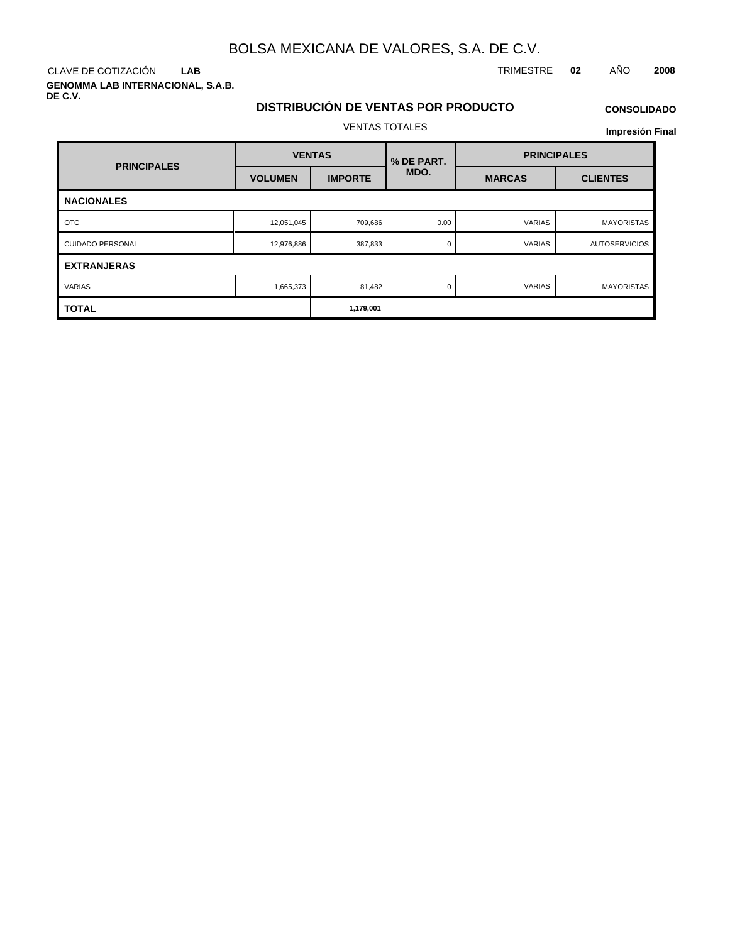**LAB**

**GENOMMA LAB INTERNACIONAL, S.A.B. DE C.V.**

CLAVE DE COTIZACIÓN TRIMESTRE **02** AÑO **2008**

# **DISTRIBUCIÓN DE VENTAS POR PRODUCTO**

## **CONSOLIDADO**

VENTAS TOTALES

| <b>PRINCIPALES</b>      | <b>VENTAS</b>  |                | % DE PART. | <b>PRINCIPALES</b> |                      |  |
|-------------------------|----------------|----------------|------------|--------------------|----------------------|--|
|                         | <b>VOLUMEN</b> | <b>IMPORTE</b> | MDO.       | <b>MARCAS</b>      | <b>CLIENTES</b>      |  |
| <b>NACIONALES</b>       |                |                |            |                    |                      |  |
| <b>OTC</b>              | 12,051,045     | 709,686        | 0.00       | <b>VARIAS</b>      | <b>MAYORISTAS</b>    |  |
| <b>CUIDADO PERSONAL</b> | 12,976,886     | 387,833        | 0          | VARIAS             | <b>AUTOSERVICIOS</b> |  |
| <b>EXTRANJERAS</b>      |                |                |            |                    |                      |  |
| <b>VARIAS</b>           | 1,665,373      | 81,482         | $\Omega$   | <b>VARIAS</b>      | MAYORISTAS           |  |
| <b>TOTAL</b>            |                | 1,179,001      |            |                    |                      |  |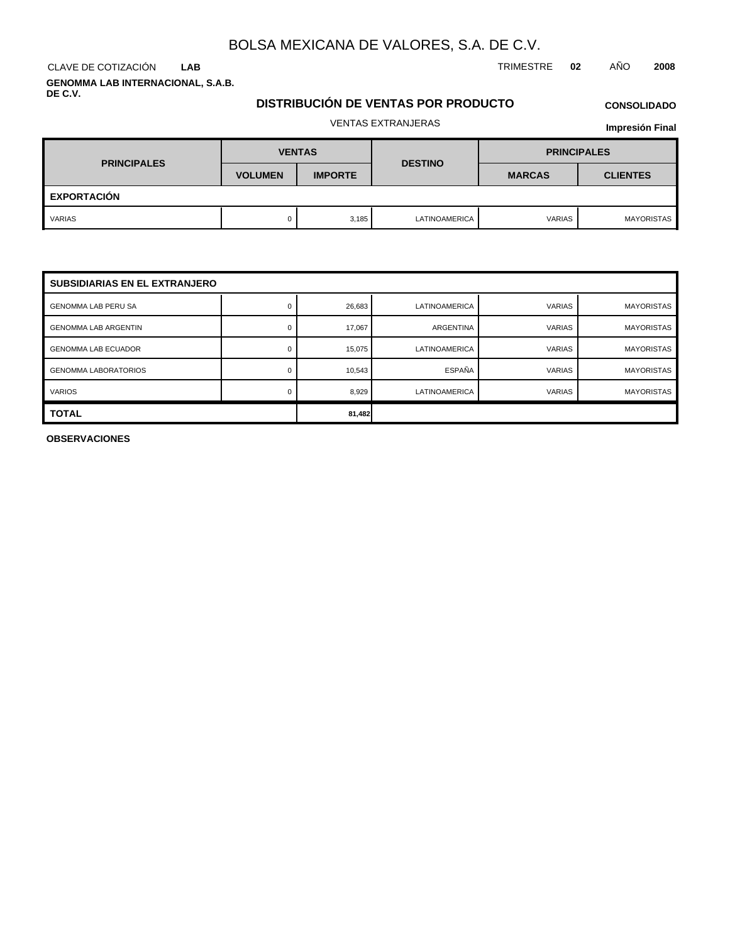## **LAB**

**GENOMMA LAB INTERNACIONAL, S.A.B. DE C.V.**

## CLAVE DE COTIZACIÓN TRIMESTRE **02** AÑO **2008**

## **DISTRIBUCIÓN DE VENTAS POR PRODUCTO**

# **CONSOLIDADO**

## VENTAS EXTRANJERAS

**Impresión Final**

| <b>PRINCIPALES</b> | <b>VENTAS</b>  |                | <b>DESTINO</b>       | <b>PRINCIPALES</b> |                 |  |
|--------------------|----------------|----------------|----------------------|--------------------|-----------------|--|
|                    | <b>VOLUMEN</b> | <b>IMPORTE</b> |                      | <b>MARCAS</b>      | <b>CLIENTES</b> |  |
| <b>EXPORTACIÓN</b> |                |                |                      |                    |                 |  |
| <b>VARIAS</b>      |                | 3,185          | <b>LATINOAMERICA</b> | <b>VARIAS</b>      | MAYORISTAS      |  |

| <b>SUBSIDIARIAS EN EL EXTRANJERO</b> |        |        |                      |               |                   |
|--------------------------------------|--------|--------|----------------------|---------------|-------------------|
| <b>GENOMMA LAB PERU SA</b>           |        | 26,683 | <b>LATINOAMERICA</b> | <b>VARIAS</b> | <b>MAYORISTAS</b> |
| <b>GENOMMA LAB ARGENTIN</b>          |        | 17,067 | ARGENTINA            | <b>VARIAS</b> | <b>MAYORISTAS</b> |
| <b>GENOMMA LAB ECUADOR</b>           |        | 15,075 | LATINOAMERICA        | <b>VARIAS</b> | <b>MAYORISTAS</b> |
| <b>GENOMMA LABORATORIOS</b>          |        | 10,543 | ESPAÑA               | <b>VARIAS</b> | <b>MAYORISTAS</b> |
| <b>VARIOS</b>                        |        | 8,929  | <b>LATINOAMERICA</b> | <b>VARIAS</b> | <b>MAYORISTAS</b> |
| <b>TOTAL</b>                         | 81,482 |        |                      |               |                   |

**OBSERVACIONES**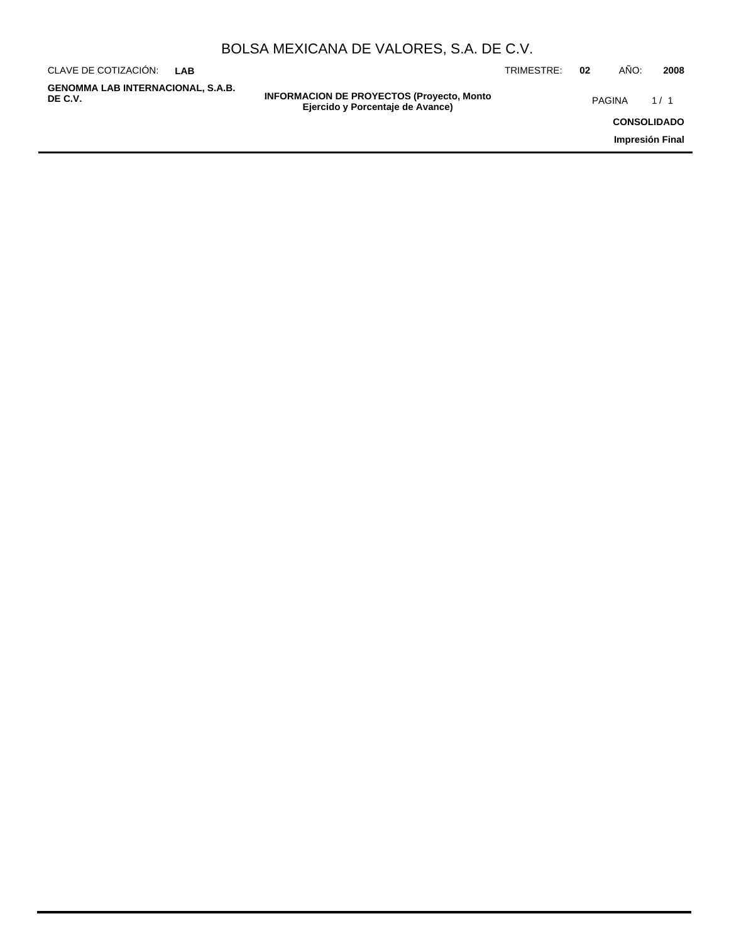| $A = 1$                                 |  |  |               |  |      |      |  |
|-----------------------------------------|--|--|---------------|--|------|------|--|
| CLAVE DE COTIZACIÓN: LAB                |  |  | TRIMESTRE: 02 |  | AÑO: | 2008 |  |
| DULSA MEAIUANA DE VALURES, S.A. DE U.V. |  |  |               |  |      |      |  |

**GENOMMA LAB INTERNACIONAL, S.A.B.**

**INFORMACION DE PROYECTOS (Proyecto, Monto DE C.V.** PAGINA 1 / 1**Ejercido y Porcentaje de Avance)**

**CONSOLIDADO**

**Impresión Final**

## BOLSA MEXICANA DE VALORES, S.A. DE C.V.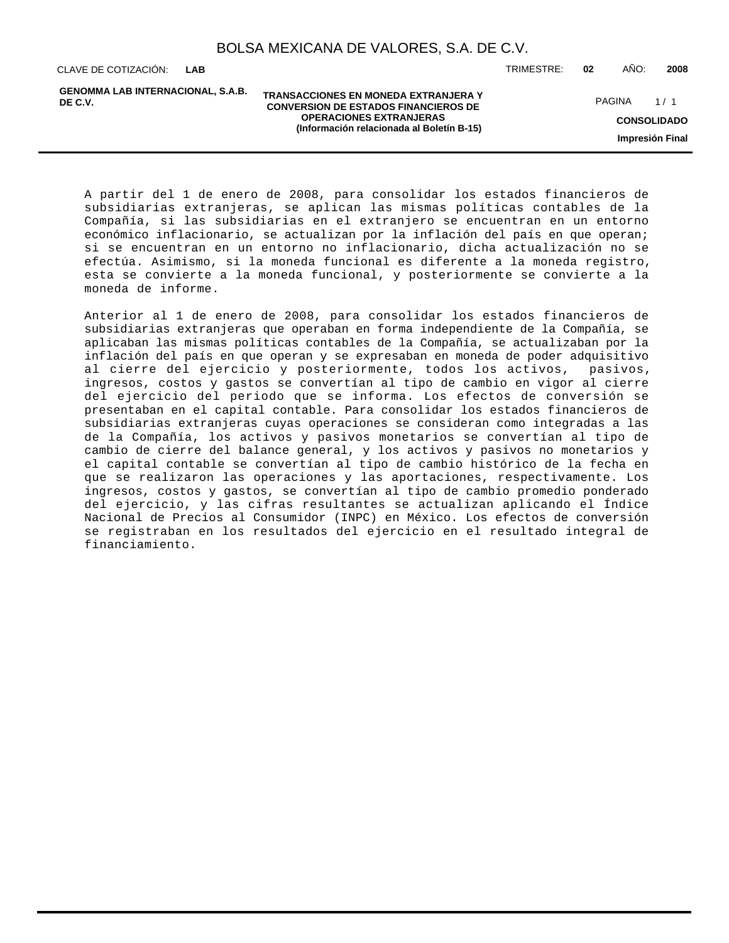**LAB**

**GENOMMA LAB INTERNACIONAL, S.A.B. DE C.V.**

**TRANSACCIONES EN MONEDA EXTRANJERA Y CONVERSION DE ESTADOS FINANCIEROS DE OPERACIONES EXTRANJERAS (Información relacionada al Boletín B-15)**

CLAVE DE COTIZACIÓN: TRIMESTRE: **02** AÑO: **2008**

PAGINA 1/1

**CONSOLIDADO**

**Impresión Final**

A partir del 1 de enero de 2008, para consolidar los estados financieros de subsidiarias extranjeras, se aplican las mismas políticas contables de la Compañía, si las subsidiarias en el extranjero se encuentran en un entorno económico inflacionario, se actualizan por la inflación del país en que operan; si se encuentran en un entorno no inflacionario, dicha actualización no se efectúa. Asimismo, si la moneda funcional es diferente a la moneda registro, esta se convierte a la moneda funcional, y posteriormente se convierte a la moneda de informe.

Anterior al 1 de enero de 2008, para consolidar los estados financieros de subsidiarias extranjeras que operaban en forma independiente de la Compañía, se aplicaban las mismas políticas contables de la Compañía, se actualizaban por la inflación del país en que operan y se expresaban en moneda de poder adquisitivo al cierre del ejercicio y posteriormente, todos los activos, pasivos, ingresos, costos y gastos se convertían al tipo de cambio en vigor al cierre del ejercicio del periodo que se informa. Los efectos de conversión se presentaban en el capital contable. Para consolidar los estados financieros de subsidiarias extranjeras cuyas operaciones se consideran como integradas a las de la Compañía, los activos y pasivos monetarios se convertían al tipo de cambio de cierre del balance general, y los activos y pasivos no monetarios y el capital contable se convertían al tipo de cambio histórico de la fecha en que se realizaron las operaciones y las aportaciones, respectivamente. Los ingresos, costos y gastos, se convertían al tipo de cambio promedio ponderado del ejercicio, y las cifras resultantes se actualizan aplicando el Índice Nacional de Precios al Consumidor (INPC) en México. Los efectos de conversión se registraban en los resultados del ejercicio en el resultado integral de financiamiento.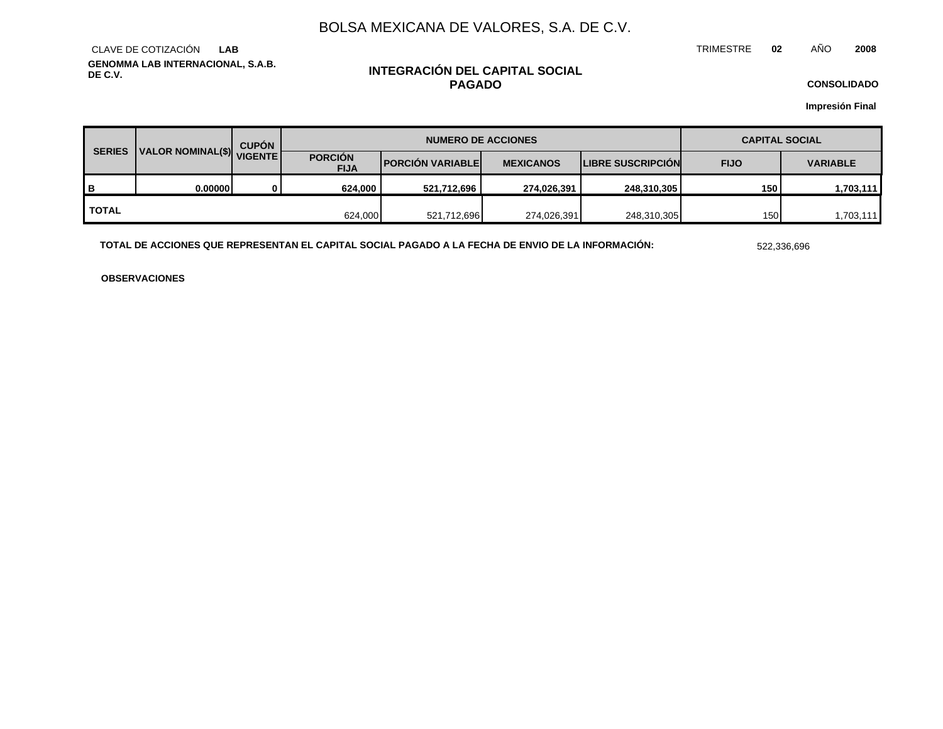TRIMESTRE **02** AÑO **2008**

**GENOMMA LAB INTERNACIONAL, S.A.B. DE C.V.** CLAVE DE COTIZACIÓN **LAB**

## **INTEGRACIÓN DEL CAPITAL SOCIAL PAGADO**

**CONSOLIDADO**

**Impresión Final**

| <b>SERIES</b> | VISENTE  | <b>CUPÓN</b> | <b>NUMERO DE ACCIONES</b>     |                          |                  |                          | <b>CAPITAL SOCIAL</b> |                 |  |
|---------------|----------|--------------|-------------------------------|--------------------------|------------------|--------------------------|-----------------------|-----------------|--|
|               |          |              | <b>PORCIÓN</b><br><b>FIJA</b> | <b>PORCIÓN VARIABLEI</b> | <b>MEXICANOS</b> | <b>LIBRE SUSCRIPCION</b> | <b>FIJO</b>           | <b>VARIABLE</b> |  |
| в             | 0.000001 | 0            | 624,000                       | 521,712,696              | 274,026,391      | 248,310,305              | 150                   | 1,703,111       |  |
| <b>TOTAL</b>  |          |              | 624,000                       | 521,712,696              | 274,026,391      | 248,310,305              | 150                   | 1,703,111       |  |

**TOTAL DE ACCIONES QUE REPRESENTAN EL CAPITAL SOCIAL PAGADO A LA FECHA DE ENVIO DE LA INFORMACIÓN:** 522,336,696

**OBSERVACIONES**